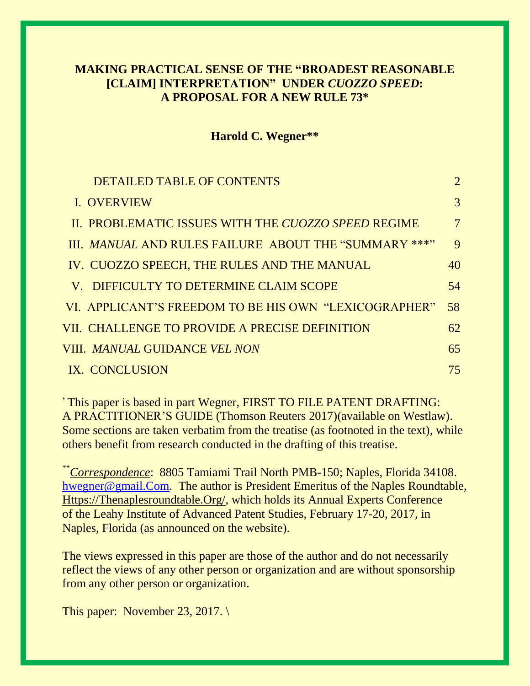# **MAKING PRACTICAL SENSE OF THE "BROADEST REASONABLE [CLAIM] INTERPRETATION" UNDER** *CUOZZO SPEED***: A PROPOSAL FOR A NEW RULE 73\***

### **Harold C. Wegner\*\***

| <b>DETAILED TABLE OF CONTENTS</b>                     | $\overline{2}$  |
|-------------------------------------------------------|-----------------|
| I. OVERVIEW                                           | 3               |
| II. PROBLEMATIC ISSUES WITH THE CUOZZO SPEED REGIME   | $7\phantom{.0}$ |
| III. MANUAL AND RULES FAILURE ABOUT THE "SUMMARY ***" | 9               |
| IV. CUOZZO SPEECH, THE RULES AND THE MANUAL           | 40              |
| V. DIFFICULTY TO DETERMINE CLAIM SCOPE                | 54              |
| VI. APPLICANT'S FREEDOM TO BE HIS OWN "LEXICOGRAPHER" | 58              |
| VII. CHALLENGE TO PROVIDE A PRECISE DEFINITION        | 62              |
| VIII. <i>MANUAL</i> GUIDANCE <i>VEL NON</i>           | 65              |
| IX. CONCLUSION                                        | 75              |

\* This paper is based in part Wegner, FIRST TO FILE PATENT DRAFTING: A PRACTITIONER'S GUIDE (Thomson Reuters 2017)(available on Westlaw). Some sections are taken verbatim from the treatise (as footnoted in the text), while others benefit from research conducted in the drafting of this treatise.

\*\**Correspondence*: 8805 Tamiami Trail North PMB-150; Naples, Florida 34108. [hwegner@gmail.Com.](mailto:hwegner@gmail.Com) The author is President Emeritus of the Naples Roundtable, [Https://Thenaplesroundtable.Org/,](https://thenaplesroundtable.org/) which holds its Annual Experts Conference of the Leahy Institute of Advanced Patent Studies, February 17-20, 2017, in Naples, Florida (as announced on the website).

The views expressed in this paper are those of the author and do not necessarily reflect the views of any other person or organization and are without sponsorship from any other person or organization.

This paper: November 23, 2017.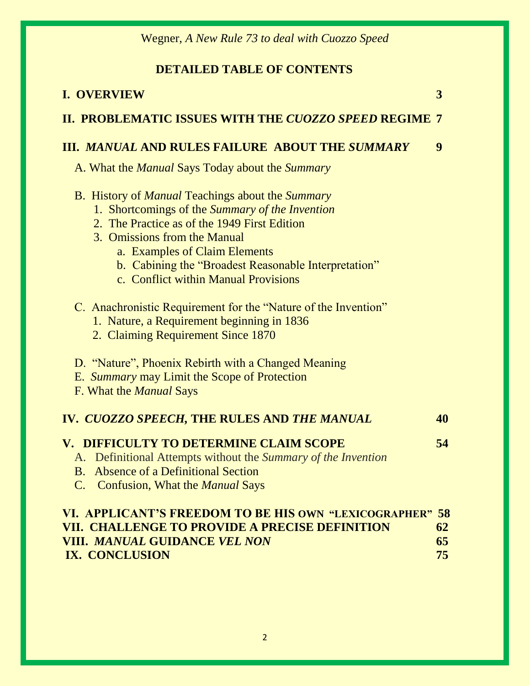# **DETAILED TABLE OF CONTENTS**

| <b>I. OVERVIEW</b>                                                                                                                                                                                                                                                                                                                                                                                                                                        | 3              |
|-----------------------------------------------------------------------------------------------------------------------------------------------------------------------------------------------------------------------------------------------------------------------------------------------------------------------------------------------------------------------------------------------------------------------------------------------------------|----------------|
| II. PROBLEMATIC ISSUES WITH THE CUOZZO SPEED REGIME 7                                                                                                                                                                                                                                                                                                                                                                                                     |                |
| <b>III. MANUAL AND RULES FAILURE ABOUT THE SUMMARY</b>                                                                                                                                                                                                                                                                                                                                                                                                    | 9              |
| A. What the <i>Manual</i> Says Today about the <i>Summary</i>                                                                                                                                                                                                                                                                                                                                                                                             |                |
| <b>B.</b> History of <i>Manual</i> Teachings about the <i>Summary</i><br>1. Shortcomings of the Summary of the Invention<br>2. The Practice as of the 1949 First Edition<br>3. Omissions from the Manual<br>a. Examples of Claim Elements<br>b. Cabining the "Broadest Reasonable Interpretation"<br>c. Conflict within Manual Provisions<br>C. Anachronistic Requirement for the "Nature of the Invention"<br>1. Nature, a Requirement beginning in 1836 |                |
| 2. Claiming Requirement Since 1870<br>D. "Nature", Phoenix Rebirth with a Changed Meaning<br>E. Summary may Limit the Scope of Protection<br>F. What the <i>Manual</i> Says                                                                                                                                                                                                                                                                               |                |
| IV. CUOZZO SPEECH, THE RULES AND THE MANUAL                                                                                                                                                                                                                                                                                                                                                                                                               | 40             |
| V. DIFFICULTY TO DETERMINE CLAIM SCOPE<br>A. Definitional Attempts without the Summary of the Invention<br><b>B.</b> Absence of a Definitional Section<br>C. Confusion, What the <i>Manual</i> Says                                                                                                                                                                                                                                                       | 54             |
| VI. APPLICANT'S FREEDOM TO BE HIS OWN "LEXICOGRAPHER" 58<br>VII. CHALLENGE TO PROVIDE A PRECISE DEFINITION<br><b>VIII. MANUAL GUIDANCE VEL NON</b><br>IX. CONCLUSION                                                                                                                                                                                                                                                                                      | 62<br>65<br>75 |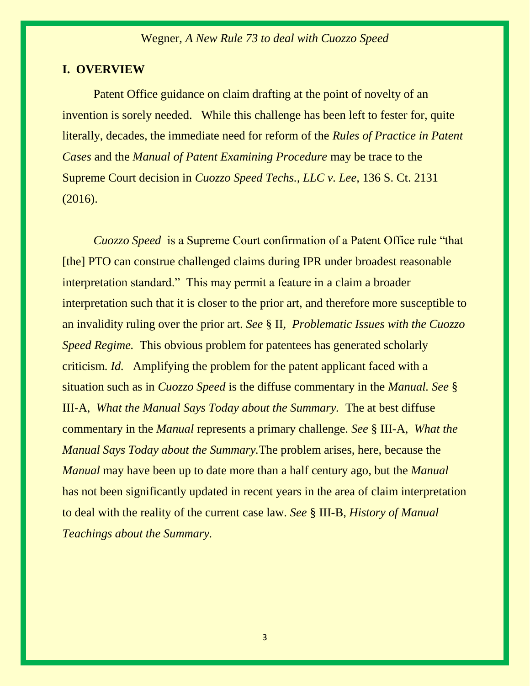#### **I. OVERVIEW**

Patent Office guidance on claim drafting at the point of novelty of an invention is sorely needed. While this challenge has been left to fester for, quite literally, decades, the immediate need for reform of the *Rules of Practice in Patent Cases* and the *Manual of Patent Examining Procedure* may be trace to the Supreme Court decision in *Cuozzo Speed Techs., LLC v. Lee,* 136 S. Ct. 2131 (2016).

*Cuozzo Speed* is a Supreme Court confirmation of a Patent Office rule "that [the] PTO can construe challenged claims during IPR under broadest reasonable interpretation standard." This may permit a feature in a claim a broader interpretation such that it is closer to the prior art, and therefore more susceptible to an invalidity ruling over the prior art. *See* § II, *Problematic Issues with the Cuozzo Speed Regime.* This obvious problem for patentees has generated scholarly criticism. *Id.* Amplifying the problem for the patent applicant faced with a situation such as in *Cuozzo Speed* is the diffuse commentary in the *Manual. See* § III-A, *What the Manual Says Today about the Summary.* The at best diffuse commentary in the *Manual* represents a primary challenge*. See* § III-A, *What the Manual Says Today about the Summary.*The problem arises, here, because the *Manual* may have been up to date more than a half century ago, but the *Manual*  has not been significantly updated in recent years in the area of claim interpretation to deal with the reality of the current case law. *See* § III-B, *History of Manual Teachings about the Summary.*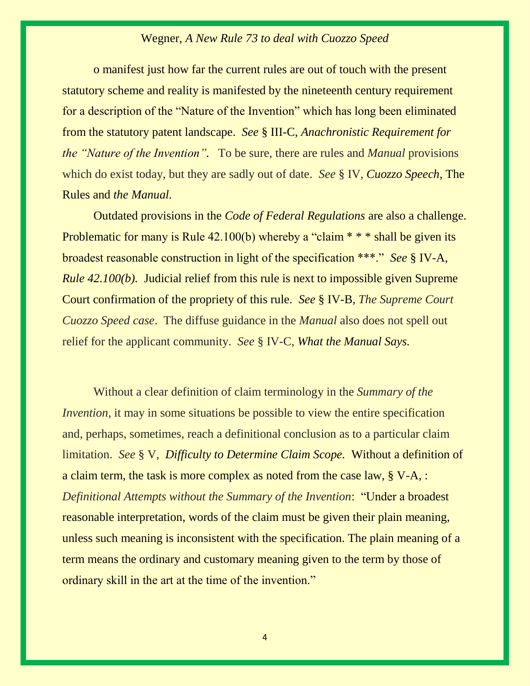o manifest just how far the current rules are out of touch with the present statutory scheme and reality is manifested by the nineteenth century requirement for a description of the "Nature of the Invention" which has long been eliminated from the statutory patent landscape. *See* § III-C, *Anachronistic Requirement for the "Nature of the Invention".* To be sure, there are rules and *Manual* provisions which do exist today, but they are sadly out of date. *See* § IV, *Cuozzo Speech,* The Rules and *the Manual.*

Outdated provisions in the *Code of Federal Regulations* are also a challenge. Problematic for many is Rule 42.100(b) whereby a "claim \* \* \* shall be given its broadest reasonable construction in light of the specification \*\*\*." *See* § IV-A, *Rule 42.100(b).* Judicial relief from this rule is next to impossible given Supreme Court confirmation of the propriety of this rule. *See* § IV-B, *The Supreme Court Cuozzo Speed case*. The diffuse guidance in the *Manual* also does not spell out relief for the applicant community. *See* § IV-C, *What the Manual Says.*

Without a clear definition of claim terminology in the *Summary of the Invention*, it may in some situations be possible to view the entire specification and, perhaps, sometimes, reach a definitional conclusion as to a particular claim limitation. *See* § V,*Difficulty to Determine Claim Scope.* Without a definition of a claim term, the task is more complex as noted from the case law, § V-A, : *Definitional Attempts without the Summary of the Invention*: "Under a broadest reasonable interpretation, words of the claim must be given their plain meaning, unless such meaning is inconsistent with the specification. The plain meaning of a term means the ordinary and customary meaning given to the term by those of ordinary skill in the art at the time of the invention."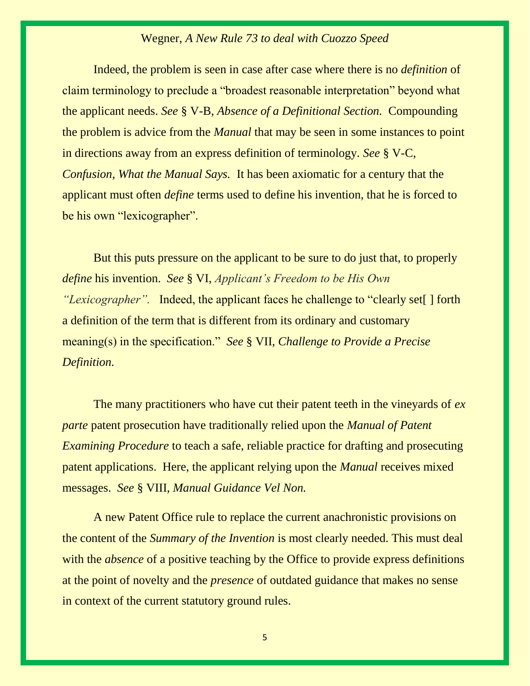Indeed, the problem is seen in case after case where there is no *definition* of claim terminology to preclude a "broadest reasonable interpretation" beyond what the applicant needs. *See* § V-B, *Absence of a Definitional Section.* Compounding the problem is advice from the *Manual* that may be seen in some instances to point in directions away from an express definition of terminology. *See* § V-C, *Confusion, What the Manual Says.* It has been axiomatic for a century that the applicant must often *define* terms used to define his invention, that he is forced to be his own "lexicographer".

But this puts pressure on the applicant to be sure to do just that, to properly *define* his invention. *See* § VI, *Applicant's Freedom to be His Own "Lexicographer".* Indeed, the applicant faces he challenge to "clearly set[ ] forth a definition of the term that is different from its ordinary and customary meaning(s) in the specification." *See* § VII, *Challenge to Provide a Precise Definition.* 

The many practitioners who have cut their patent teeth in the vineyards of *ex parte* patent prosecution have traditionally relied upon the *Manual of Patent Examining Procedure* to teach a safe, reliable practice for drafting and prosecuting patent applications. Here, the applicant relying upon the *Manual* receives mixed messages. *See* § VIII, *Manual Guidance Vel Non.*

A new Patent Office rule to replace the current anachronistic provisions on the content of the *Summary of the Invention* is most clearly needed. This must deal with the *absence* of a positive teaching by the Office to provide express definitions at the point of novelty and the *presence* of outdated guidance that makes no sense in context of the current statutory ground rules.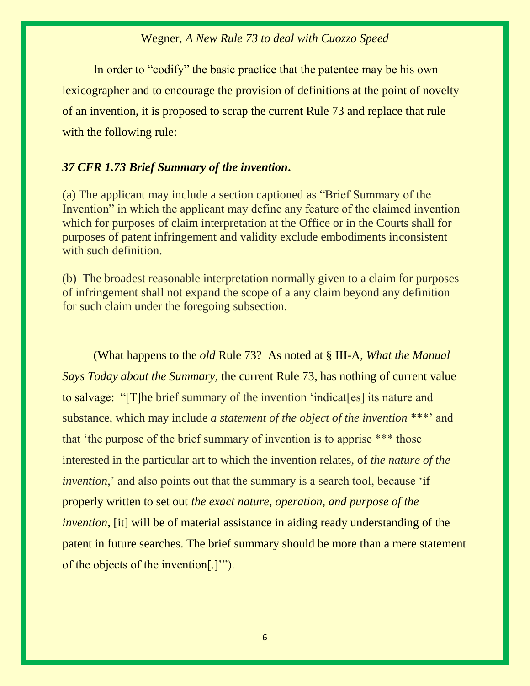In order to "codify" the basic practice that the patentee may be his own lexicographer and to encourage the provision of definitions at the point of novelty of an invention, it is proposed to scrap the current Rule 73 and replace that rule with the following rule:

## *[37 CFR 1.73](https://1.next.westlaw.com/Link/Document/FullText?findType=L&pubNum=1000547&cite=37CFRS1.73&originatingDoc=I2f73bd79f1bf11e598dc8b09b4f043e0&refType=LQ&originationContext=document&transitionType=DocumentItem&contextData=(sc.Search)) Brief Summary of the invention***.**

(a) The applicant may include a section captioned as "Brief Summary of the Invention" in which the applicant may define any feature of the claimed invention which for purposes of claim interpretation at the Office or in the Courts shall for purposes of patent infringement and validity exclude embodiments inconsistent with such definition.

(b) The broadest reasonable interpretation normally given to a claim for purposes of infringement shall not expand the scope of a any claim beyond any definition for such claim under the foregoing subsection.

(What happens to the *old* Rule 73? As noted at § III-A, *What the Manual Says Today about the Summary,* the current Rule 73, has nothing of current value to salvage: "[T]he brief summary of the invention 'indicat[es] its nature and substance, which may include *a statement of the object of the invention* \*\*\*' and that 'the purpose of the brief summary of invention is to apprise \*\*\* those interested in the particular art to which the invention relates, of *the nature of the invention*,' and also points out that the summary is a search tool, because 'if properly written to set out *the exact nature, operation, and purpose of the invention*, [it] will be of material assistance in aiding ready understanding of the patent in future searches. The brief summary should be more than a mere statement of the objects of the invention[.]'").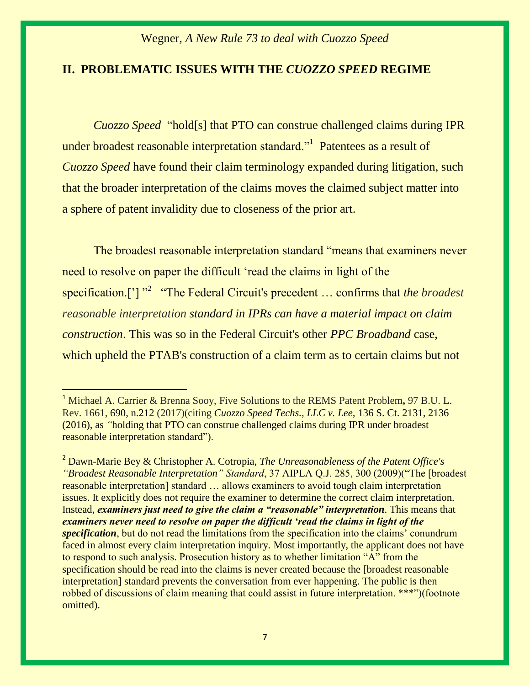#### **II. PROBLEMATIC ISSUES WITH THE** *CUOZZO SPEED* **REGIME**

*[Cuozzo Speed](https://1.next.westlaw.com/Link/Document/FullText?findType=Y&serNum=2039199307&pubNum=0000708&originatingDoc=I8858532fbbaf11e79bef99c0ee06c731&refType=RP&fi=co_pp_sp_708_2136&originationContext=document&transitionType=DocumentItem&contextData=(sc.Search)#co_pp_sp_708_2136)* "hold[s] that PTO can construe challenged claims during IPR under broadest reasonable interpretation standard."<sup>1</sup> Patentees as a result of *Cuozzo Speed* have found their claim terminology expanded during litigation, such that the broader interpretation of the claims moves the claimed subject matter into a sphere of patent invalidity due to closeness of the prior art.

The broadest reasonable interpretation standard "means that examiners never need to resolve on paper the difficult 'read the claims in light of the specification.<sup>['] "2</sup> "The Federal Circuit's precedent ... confirms that *the broadest reasonable interpretation standard in IPRs can have a material impact on claim construction*. This was so in the Federal Circuit's other *PPC Broadband* case, which upheld the PTAB's construction of a claim term as to certain claims but not

<sup>1</sup> Michael A. Carrier & Brenna Sooy, Five Solutions to the REMS Patent Problem**,** 97 B.U. L. Rev. 1661, 690, n[.212](https://1.next.westlaw.com/Document/I8858532fbbaf11e79bef99c0ee06c731/View/FullText.html?navigationPath=Search%2Fv3%2Fsearch%2Fresults%2Fnavigation%2Fi0ad740130000015fdfecc6288437840b%3FNav%3DANALYTICAL%26fragmentIdentifier%3DI3b165aec554311e79bef99c0ee06c731%26startIndex%3D21%26contextData%3D%2528sc.Search%2529%26transitionType%3DSearchItem&listSource=Search&list=ANALYTICAL&rank=25&grading=na&sessionScopeId=a92640ffdfecb0c937fdf7383073dd8cc60b0621a13465ddd2ed471714e7ee91&libraryResultGuid=i0ad740360000015fdfeab3515c117e05&originationContext=PreviousNextSearchTerm&transitionType=SearchItem&contextData=%28sc.Search%29&listPageSource=84b3760385c04d61a6d9551c3944ae1a&TermNavState=firstTerm#co_footnoteReference_F212461851063_ID0ESHBI) (2017)(citing *[Cuozzo Speed Techs., LLC v. Lee,](https://1.next.westlaw.com/Link/Document/FullText?findType=Y&serNum=2039199307&pubNum=0000708&originatingDoc=I8858532fbbaf11e79bef99c0ee06c731&refType=RP&fi=co_pp_sp_708_2136&originationContext=document&transitionType=DocumentItem&contextData=(sc.Search)#co_pp_sp_708_2136)* 136 S. Ct. 2131, 2136 [\(2016\), as](https://1.next.westlaw.com/Link/Document/FullText?findType=Y&serNum=2039199307&pubNum=0000708&originatingDoc=I8858532fbbaf11e79bef99c0ee06c731&refType=RP&fi=co_pp_sp_708_2136&originationContext=document&transitionType=DocumentItem&contextData=(sc.Search)#co_pp_sp_708_2136) *"*holding that PTO can construe challenged claims during IPR under broadest reasonable interpretation standard").

<sup>2</sup> Dawn-Marie Bey & Christopher A. Cotropia, *The Unreasonableness of the Patent Office's "Broadest Reasonable Interpretation" Standard*, 37 AIPLA Q.J. 285, 300 (2009)("The [broadest reasonable interpretation] standard … allows examiners to avoid tough claim interpretation issues. It explicitly does not require the examiner to determine the correct claim interpretation. Instead, *examiners just need to give the claim a "reasonable" interpretation*. This means that *examiners never need to resolve on paper the difficult 'read the claims in light of the specification*, but do not read the limitations from the specification into the claims' conundrum faced in almost every claim interpretation inquiry. Most importantly, the applicant does not have to respond to such analysis. Prosecution history as to whether limitation "A" from the specification should be read into the claims is never created because the [broadest reasonable interpretation] standard prevents the conversation from ever happening. The public is then robbed of discussions of claim meaning that could assist in future interpretation. \*\*\*")(footnote omitted).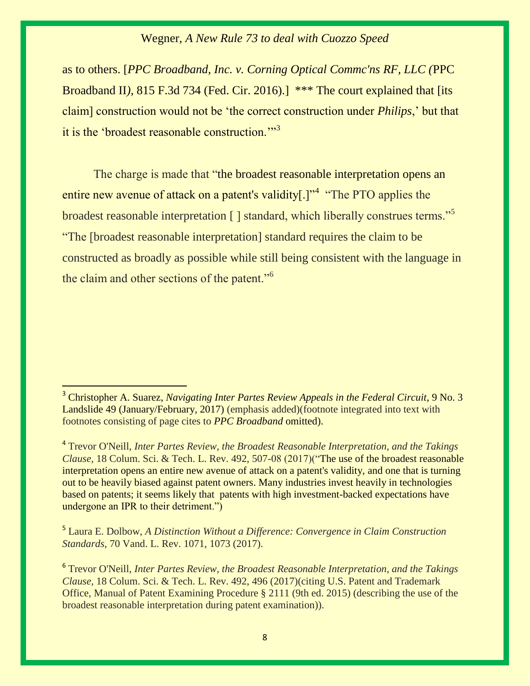as to others. [*PPC Broadband, Inc. v. Corning Optical Commc'ns RF, LLC (*PPC Broadband II*)*, 815 F.3d 734 (Fed. Cir. 2016).] \*\*\* The court explained that [its claim] construction would not be 'the correct construction under *Philips*,' but that it is the 'broadest reasonable construction."<sup>3</sup>

The charge is made that "the broadest reasonable interpretation opens an entire new avenue of attack on a patent's validity[.]"<sup>4</sup> "The PTO applies the broadest reasonable interpretation [ ] standard, which liberally construes terms."<sup>5</sup> "The [broadest reasonable interpretation] standard requires the claim to be constructed as broadly as possible while still being consistent with the language in the claim and other sections of the patent."<sup>6</sup>

4 Trevor O'Neill, *Inter Partes Review, the Broadest Reasonable Interpretation, and the Takings Clause,* 18 Colum. Sci. & Tech. L. Rev. 492, 507-08 (2017)("The use of the broadest reasonable interpretation opens an entire new avenue of attack on a patent's validity, and one that is turning out to be heavily biased against patent owners. Many industries invest heavily in technologies based on patents; it seems likely that patents with high investment-backed expectations have undergone an IPR to their detriment.")

5 Laura E. Dolbow, *A Distinction Without a Difference: Convergence in Claim Construction Standards*, 70 Vand. L. Rev. 1071, 1073 (2017).

6 Trevor O'Neill, *Inter Partes Review, the Broadest Reasonable Interpretation, and the Takings Clause,* 18 Colum. Sci. & Tech. L. Rev. 492, 496 (2017)(citing U.S. Patent and Trademark Office, Manual of Patent Examining Procedure § 2111 (9th ed. 2015) (describing the use of the broadest reasonable interpretation during patent examination)).

<sup>&</sup>lt;sup>3</sup> [Christopher A. Suarez,](https://1.next.westlaw.com/Link/Document/FullText?findType=h&pubNum=176284&cite=0482392001&originatingDoc=I0dd9ff721e8a11e798dc8b09b4f043e0&refType=RQ&originationContext=document&transitionType=DocumentItem&contextData=(sc.Search)) *Navigating Inter Partes Review Appeals in the Federal Circuit*, 9 No. 3 Landslide 49 (January/February, 2017) (emphasis added)(footnote integrated into text with footnotes consisting of page cites to *PPC Broadband* omitted).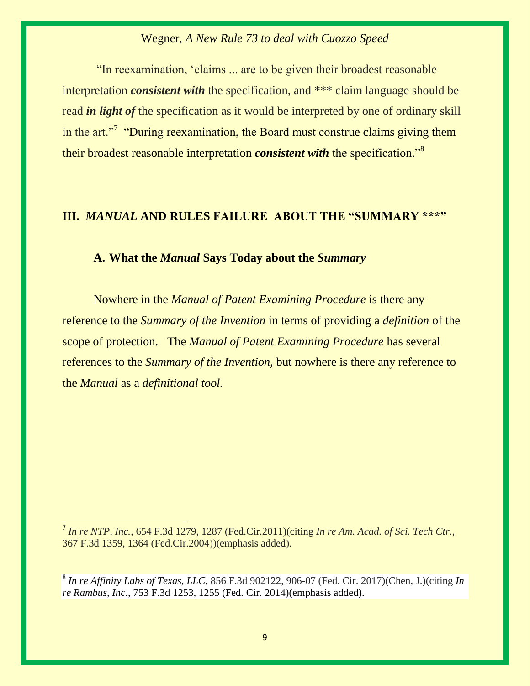"In reexamination, 'claims ... are to be given their broadest reasonable interpretation *consistent with* the specification, and \*\*\* claim language should be read *in light of* the specification as it would be interpreted by one of ordinary skill in the art."<sup>7</sup> "During reexamination, the Board must construe claims giving them their broadest reasonable interpretation *consistent with* the specification."<sup>8</sup>

# **III.** *MANUAL* **AND RULES FAILURE ABOUT THE "SUMMARY \*\*\*"**

## **A. What the** *Manual* **Says Today about the** *Summary*

Nowhere in the *Manual of Patent Examining Procedure* is there any reference to the *Summary of the Invention* in terms of providing a *definition* of the scope of protection. The *Manual of Patent Examining Procedure* has several references to the *Summary of the Invention,* but nowhere is there any reference to the *Manual* as a *definitional tool.* 

<sup>7</sup> *In re NTP, Inc.,* 654 F.3d 1279, 1287 (Fed.Cir.2011)(citing *In re Am. Acad. of Sci. Tech Ctr.,* 367 F.3d 1359, 1364 (Fed.Cir.2004))(emphasis added).

<sup>8</sup> *[In re Affinity Labs of Texas, LLC,](https://1.next.westlaw.com/Document/I17b1bd7031b711e79eadef7f77b52ba6/View/FullText.html?listSource=Search&navigationPath=Search%2fv3%2fsearch%2fresults%2fnavigation%2fi0ad740360000015fdfda22a35c116ef6%3fNav%3dCASE%26fragmentIdentifier%3dI712f90f1d9dd11e5b4bafa136b480ad2%26startIndex%3d1%26contextData%3d%2528sc.Search%2529%26transitionType%3dSearchItem&list=CASE&rank=7&listPageSource=f3b2bffb50435e2d8d994ee2dc6ceb39&originationContext=docHeader&contextData=(sc.Search)&transitionType=Document&needToInjectTerms=False&enableBestPortion=True&docSource=cba38b32b9f54946add0da25801b4ec8)* 856 F.3d 902122, 906-07 (Fed. Cir. 2017)(Chen, J.)(citing *[In](https://1.next.westlaw.com/Link/Document/FullText?findType=Y&serNum=2033511076&pubNum=0000506&originatingDoc=I17b1bd7031b711e79eadef7f77b52ba6&refType=RP&fi=co_pp_sp_506_1255&originationContext=document&transitionType=DocumentItem&contextData=(sc.Search)#co_pp_sp_506_1255)  re Rambus, Inc*[., 753 F.3d 1253, 1255 \(Fed. Cir. 2014\)\(](https://1.next.westlaw.com/Link/Document/FullText?findType=Y&serNum=2033511076&pubNum=0000506&originatingDoc=I17b1bd7031b711e79eadef7f77b52ba6&refType=RP&fi=co_pp_sp_506_1255&originationContext=document&transitionType=DocumentItem&contextData=(sc.Search)#co_pp_sp_506_1255)emphasis added).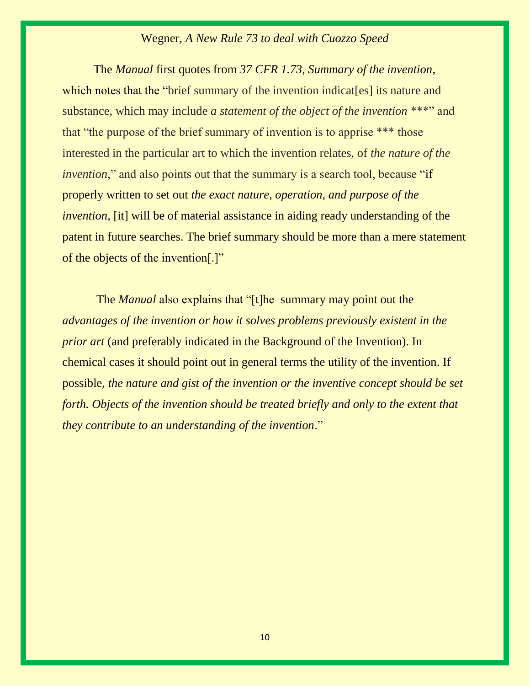The *Manual* first quotes from *[37 CFR 1.73,](https://1.next.westlaw.com/Link/Document/FullText?findType=L&pubNum=1000547&cite=37CFRS1.73&originatingDoc=I2f73bd79f1bf11e598dc8b09b4f043e0&refType=LQ&originationContext=document&transitionType=DocumentItem&contextData=(sc.Search)) Summary of the invention*, which notes that the "brief summary of the invention indicates] its nature and substance, which may include *a statement of the object of the invention* \*\*\*" and that "the purpose of the brief summary of invention is to apprise \*\*\* those interested in the particular art to which the invention relates, of *the nature of the invention*," and also points out that the summary is a search tool, because "if properly written to set out *the exact nature, operation, and purpose of the invention*, [it] will be of material assistance in aiding ready understanding of the patent in future searches. The brief summary should be more than a mere statement of the objects of the invention[.]"

The *Manual* also explains that "[t]he summary may point out the *advantages of the invention or how it solves problems previously existent in the prior art* (and preferably indicated in the Background of the Invention). In chemical cases it should point out in general terms the utility of the invention. If possible, *the nature and gist of the invention or the inventive concept should be set forth. Objects of the invention should be treated briefly and only to the extent that they contribute to an understanding of the invention*."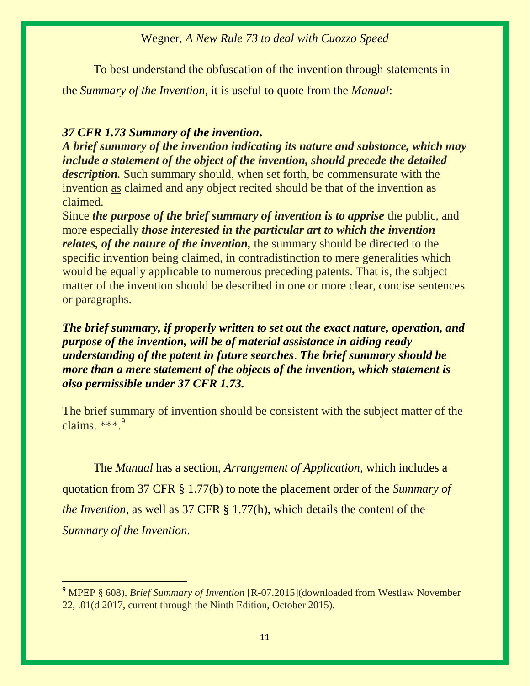To best understand the obfuscation of the invention through statements in

the *Summary of the Invention,* it is useful to quote from the *Manual*:

## *[37 CFR 1.73](https://1.next.westlaw.com/Link/Document/FullText?findType=L&pubNum=1000547&cite=37CFRS1.73&originatingDoc=I2f73bd79f1bf11e598dc8b09b4f043e0&refType=LQ&originationContext=document&transitionType=DocumentItem&contextData=(sc.Search)) Summary of the invention***.**

 $\overline{a}$ 

*A brief summary of the invention indicating its nature and substance, which may include a statement of the object of the invention, should precede the detailed description.* Such summary should, when set forth, be commensurate with the invention as claimed and any object recited should be that of the invention as claimed.

Since *the purpose of the brief summary of invention is to apprise* the public, and more especially *those interested in the particular art to which the invention relates, of the nature of the invention,* the summary should be directed to the specific invention being claimed, in contradistinction to mere generalities which would be equally applicable to numerous preceding patents. That is, the subject matter of the invention should be described in one or more clear, concise sentences or paragraphs.

# *The brief summary, if properly written to set out the exact nature, operation, and purpose of the invention, will be of material assistance in aiding ready understanding of the patent in future searches*. *The brief summary should be more than a mere statement of the objects of the invention, which statement is also permissible under 37 CFR 1.73.*

The brief summary of invention should be consistent with the subject matter of the claims.  $***<sup>9</sup>$ 

The *Manual* has a section, *Arrangement of Application,* which includes a quotation from 37 CFR § 1.77(b) to note the placement order of the *Summary of the Invention,* as well as 37 CFR § 1.77(h), which details the content of the *Summary of the Invention.*

<sup>&</sup>lt;sup>9</sup> MPEP § 608), *Brief Summary of Invention* [R-07.2015](downloaded from Westlaw November 22, .01(d 2017, current through the Ninth Edition, October 2015).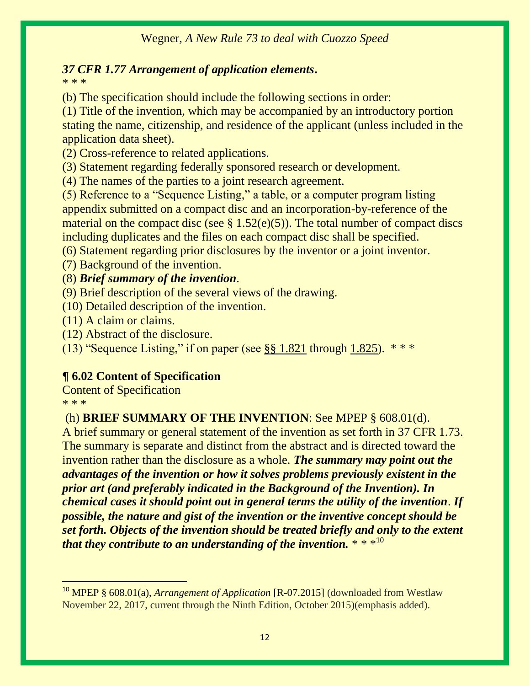# *[37 CFR 1.77](https://1.next.westlaw.com/Link/Document/FullText?findType=L&pubNum=1000547&cite=37CFRS1.77&originatingDoc=I2f73bd73f1bf11e598dc8b09b4f043e0&refType=LQ&originationContext=document&transitionType=DocumentItem&contextData=(sc.Search)) Arrangement of application elements***.**

\* \* \*

(b) The specification should include the following sections in order:

(1) Title of the invention, which may be accompanied by an introductory portion stating the name, citizenship, and residence of the applicant (unless included in the application data sheet).

(2) Cross-reference to related applications.

(3) Statement regarding federally sponsored research or development.

(4) The names of the parties to a joint research agreement.

(5) Reference to a "Sequence Listing," a table, or a computer program listing appendix submitted on a compact disc and an incorporation-by-reference of the material on the compact disc (see  $\S 1.52(e)(5)$ ). The total number of compact discs including duplicates and the files on each compact disc shall be specified.

(6) Statement regarding prior disclosures by the inventor or a joint inventor.

(7) Background of the invention.

(8) *Brief summary of the invention*.

(9) Brief description of the several views of the drawing.

(10) Detailed description of the invention.

(11) A claim or claims.

(12) Abstract of the disclosure.

(13) "Sequence Listing," if on paper (see  $\S$ § 1.821 through 1.825).  $***$ 

# **¶ 6.02 Content of Specification**

Content of Specification \* \* \*

 $\overline{a}$ 

# (h) **BRIEF SUMMARY OF THE INVENTION**: See [MPEP § 608.01\(d\).](https://1.next.westlaw.com/Link/Document/FullText?findType=Y&pubNum=1015320&cite=MPEPs608.01(d)&originatingDoc=I2f73bd73f1bf11e598dc8b09b4f043e0&refType=TS&originationContext=document&transitionType=DocumentItem&contextData=(sc.Search))

A brief summary or general statement of the invention as set forth in [37 CFR 1.73.](https://1.next.westlaw.com/Link/Document/FullText?findType=L&pubNum=1000547&cite=37CFRS1.73&originatingDoc=I2f73bd73f1bf11e598dc8b09b4f043e0&refType=LQ&originationContext=document&transitionType=DocumentItem&contextData=(sc.Search)) The summary is separate and distinct from the abstract and is directed toward the invention rather than the disclosure as a whole. *The summary may point out the advantages of the invention or how it solves problems previously existent in the prior art (and preferably indicated in the Background of the Invention). In chemical cases it should point out in general terms the utility of the invention*. *If possible, the nature and gist of the invention or the inventive concept should be set forth. Objects of the invention should be treated briefly and only to the extent that they contribute to an understanding of the invention.*  $* * *10$ 

<sup>&</sup>lt;sup>10</sup> MPEP § 608.01(a), *Arrangement of Application* [R-07.2015] (downloaded from Westlaw November 22, 2017, current through the Ninth Edition, October 2015)(emphasis added).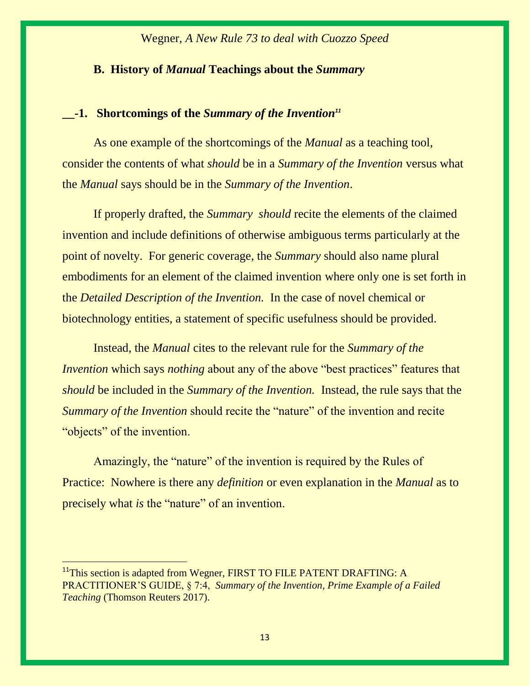## **B. History of** *Manual* **Teachings about the** *Summary*

## **\_\_-1. Shortcomings of the** *Summary of the Invention<sup>11</sup>*

As one example of the shortcomings of the *Manual* as a teaching tool, consider the contents of what *should* be in a *Summary of the Invention* versus what the *Manual* says should be in the *Summary of the Invention*.

If properly drafted, the *Summary should* recite the elements of the claimed invention and include definitions of otherwise ambiguous terms particularly at the point of novelty. For generic coverage, the *Summary* should also name plural embodiments for an element of the claimed invention where only one is set forth in the *Detailed Description of the Invention.* In the case of novel chemical or biotechnology entities, a statement of specific usefulness should be provided.

Instead, the *Manual* cites to the relevant rule for the *Summary of the Invention* which says *nothing* about any of the above "best practices" features that *should* be included in the *Summary of the Invention.* Instead, the rule says that the *Summary of the Invention* should recite the "nature" of the invention and recite "objects" of the invention.

Amazingly, the "nature" of the invention is required by the Rules of Practice: Nowhere is there any *definition* or even explanation in the *Manual* as to precisely what *is* the "nature" of an invention.

<sup>&</sup>lt;sup>11</sup>This section is adapted from Wegner, FIRST TO FILE PATENT DRAFTING: A PRACTITIONER'S GUIDE, § 7:4, *Summary of the Invention, Prime Example of a Failed Teaching* (Thomson Reuters 2017).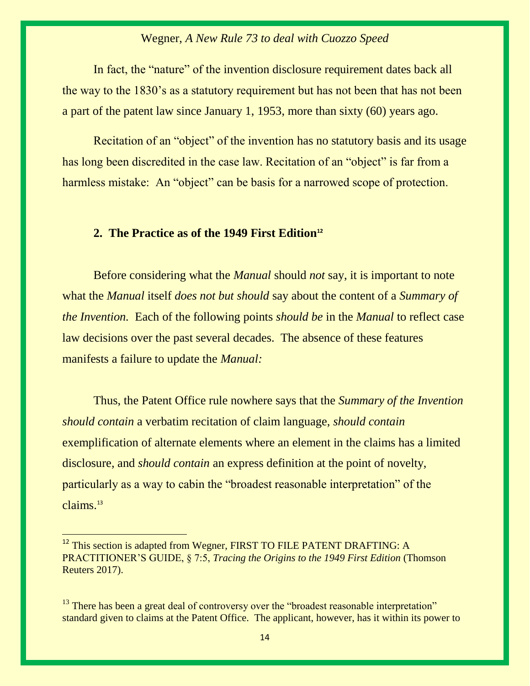In fact, the "nature" of the invention disclosure requirement dates back all the way to the 1830's as a statutory requirement but has not been that has not been a part of the patent law since January 1, 1953, more than sixty (60) years ago.

Recitation of an "object" of the invention has no statutory basis and its usage has long been discredited in the case law. Recitation of an "object" is far from a harmless mistake: An "object" can be basis for a narrowed scope of protection.

#### **2. The Practice as of the 1949 First Edition<sup>12</sup>**

Before considering what the *Manual* should *not* say, it is important to note what the *Manual* itself *does not but should* say about the content of a *Summary of the Invention.* Each of the following points *should be* in the *Manual* to reflect case law decisions over the past several decades. The absence of these features manifests a failure to update the *Manual:*

Thus, the Patent Office rule nowhere says that the *Summary of the Invention should contain* a verbatim recitation of claim language, *should contain* exemplification of alternate elements where an element in the claims has a limited disclosure, and *should contain* an express definition at the point of novelty, particularly as a way to cabin the "broadest reasonable interpretation" of the claims.<sup>13</sup>

<sup>&</sup>lt;sup>12</sup> This section is adapted from Wegner, FIRST TO FILE PATENT DRAFTING: A PRACTITIONER'S GUIDE, § 7:5, *Tracing the Origins to the 1949 First Edition* (Thomson Reuters 2017).

 $13$  There has been a great deal of controversy over the "broadest reasonable interpretation" standard given to claims at the Patent Office. The applicant, however, has it within its power to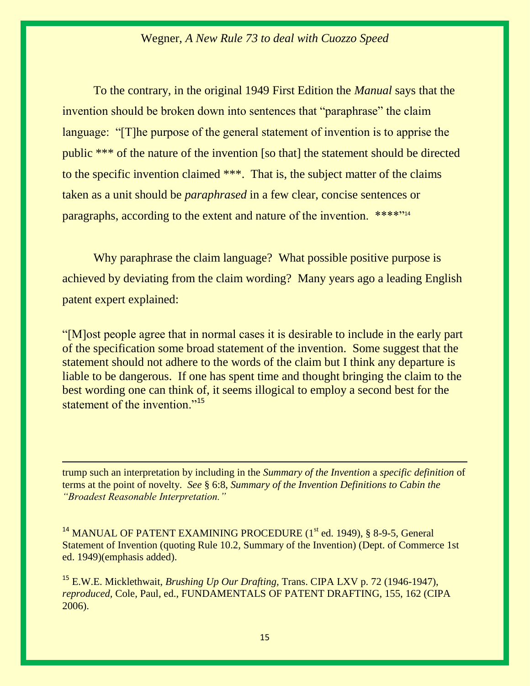To the contrary, in the original 1949 First Edition the *Manual* says that the invention should be broken down into sentences that "paraphrase" the claim language: "[T]he purpose of the general statement of invention is to apprise the public \*\*\* of the nature of the invention [so that] the statement should be directed to the specific invention claimed \*\*\*. That is, the subject matter of the claims taken as a unit should be *paraphrased* in a few clear, concise sentences or paragraphs, according to the extent and nature of the invention. \*\*\*\*"<sup>14</sup>

Why paraphrase the claim language? What possible positive purpose is achieved by deviating from the claim wording? Many years ago a leading English patent expert explained:

"[M]ost people agree that in normal cases it is desirable to include in the early part of the specification some broad statement of the invention. Some suggest that the statement should not adhere to the words of the claim but I think any departure is liable to be dangerous. If one has spent time and thought bringing the claim to the best wording one can think of, it seems illogical to employ a second best for the statement of the invention."<sup>15</sup>

trump such an interpretation by including in the *Summary of the Invention* a *specific definition* of terms at the point of novelty. *See* § 6:8, *Summary of the Invention Definitions to Cabin the "Broadest Reasonable Interpretation."*

 $\overline{a}$ 

<sup>14</sup> MANUAL OF PATENT EXAMINING PROCEDURE (1<sup>st</sup> ed. 1949), § 8-9-5, General Statement of Invention (quoting Rule 10.2, Summary of the Invention) (Dept. of Commerce 1st ed. 1949)(emphasis added).

<sup>15</sup> E.W.E. Micklethwait, *Brushing Up Our Drafting,* Trans. CIPA LXV p. 72 (1946-1947), *reproduced,* Cole, Paul, ed., FUNDAMENTALS OF PATENT DRAFTING, 155, 162 (CIPA 2006).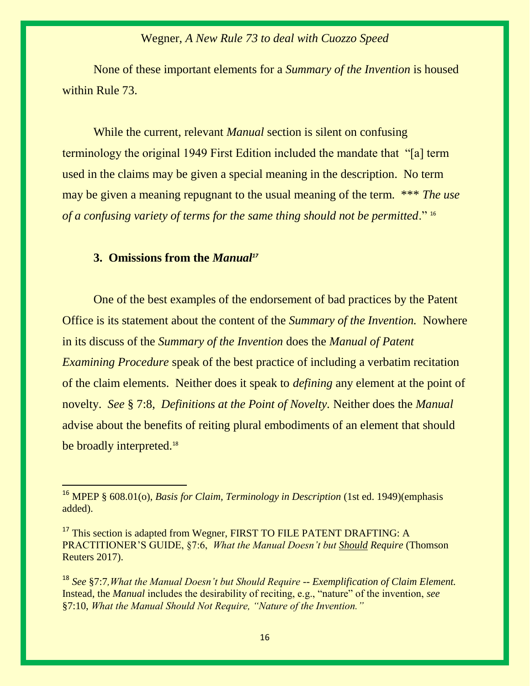None of these important elements for a *Summary of the Invention* is housed within Rule 73.

While the current, relevant *Manual* section is silent on confusing terminology the original 1949 First Edition included the mandate that "[a] term used in the claims may be given a special meaning in the description. No term may be given a meaning repugnant to the usual meaning of the term. \*\*\* *The use of a confusing variety of terms for the same thing should not be permitted*." <sup>16</sup>

## **3. Omissions from the** *Manual<sup>17</sup>*

 $\overline{a}$ 

One of the best examples of the endorsement of bad practices by the Patent Office is its statement about the content of the *Summary of the Invention.* Nowhere in its discuss of the *Summary of the Invention* does the *Manual of Patent Examining Procedure* speak of the best practice of including a verbatim recitation of the claim elements. Neither does it speak to *defining* any element at the point of novelty. *See* § 7:8, *Definitions at the Point of Novelty.* Neither does the *Manual*  advise about the benefits of reiting plural embodiments of an element that should be broadly interpreted.<sup>18</sup>

<sup>&</sup>lt;sup>16</sup> MPEP § 608.01(o), *Basis for Claim, Terminology in Description* (1st ed. 1949)(emphasis added).

<sup>&</sup>lt;sup>17</sup> This section is adapted from Wegner, FIRST TO FILE PATENT DRAFTING: A PRACTITIONER'S GUIDE, §7:6, *What the Manual Doesn't but Should Require* (Thomson Reuters 2017).

<sup>18</sup> *See* §7:7*,What the Manual Doesn't but Should Require -- Exemplification of Claim Element.*  Instead, the *Manual* includes the desirability of reciting, e.g., "nature" of the invention, *see*  §7:10, *What the Manual Should Not Require, "Nature of the Invention."*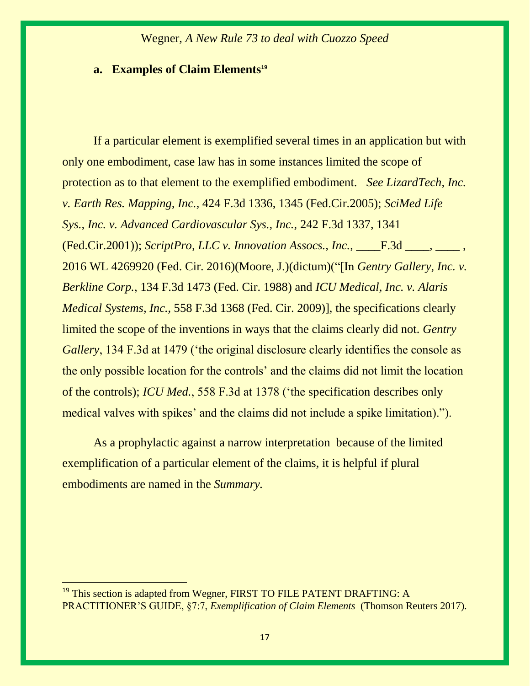#### **a. Examples of Claim Elements<sup>19</sup>**

If a particular element is exemplified several times in an application but with only one embodiment, case law has in some instances limited the scope of protection as to that element to the exemplified embodiment. *See LizardTech, Inc. v. Earth Res. Mapping, Inc.,* 424 F.3d 1336, 1345 (Fed.Cir.2005); *SciMed Life Sys., Inc. v. Advanced Cardiovascular Sys., Inc.,* 242 F.3d 1337, 1341 (Fed.Cir.2001)); *ScriptPro, LLC v. Innovation Assocs., Inc.*, \_\_\_\_F.3d \_\_\_\_, \_\_\_\_ , 2016 WL 4269920 (Fed. Cir. 2016)(Moore, J.)(dictum)("[In *Gentry Gallery, Inc. v. Berkline Corp.*, 134 F.3d 1473 (Fed. Cir. 1988) and *ICU Medical, Inc. v. Alaris Medical Systems, Inc.*, 558 F.3d 1368 (Fed. Cir. 2009)], the specifications clearly limited the scope of the inventions in ways that the claims clearly did not. *Gentry Gallery*, 134 F.3d at 1479 ('the original disclosure clearly identifies the console as the only possible location for the controls' and the claims did not limit the location of the controls); *ICU Med.*, 558 F.3d at 1378 ('the specification describes only medical valves with spikes' and the claims did not include a spike limitation).").

As a prophylactic against a narrow interpretation because of the limited exemplification of a particular element of the claims, it is helpful if plural embodiments are named in the *Summary.*

<sup>&</sup>lt;sup>19</sup> This section is adapted from Wegner, FIRST TO FILE PATENT DRAFTING: A PRACTITIONER'S GUIDE, §7:7, *Exemplification of Claim Elements* (Thomson Reuters 2017).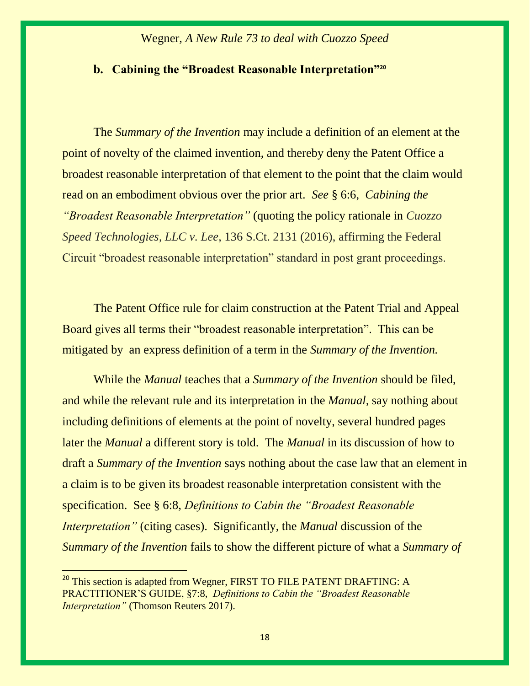### **b. Cabining the "Broadest Reasonable Interpretation"<sup>20</sup>**

The *Summary of the Invention* may include a definition of an element at the point of novelty of the claimed invention, and thereby deny the Patent Office a broadest reasonable interpretation of that element to the point that the claim would read on an embodiment obvious over the prior art. *See* § 6:6, *Cabining the "Broadest Reasonable Interpretation"* (quoting the policy rationale in *Cuozzo Speed Technologies, LLC v. Lee*, 136 S.Ct. 2131 (2016), affirming the Federal Circuit "broadest reasonable interpretation" standard in post grant proceedings.

The Patent Office rule for claim construction at the Patent Trial and Appeal Board gives all terms their "broadest reasonable interpretation". This can be mitigated by an express definition of a term in the *Summary of the Invention.* 

While the *Manual* teaches that a *Summary of the Invention* should be filed, and while the relevant rule and its interpretation in the *Manual,* say nothing about including definitions of elements at the point of novelty, several hundred pages later the *Manual* a different story is told. The *Manual* in its discussion of how to draft a *Summary of the Invention* says nothing about the case law that an element in a claim is to be given its broadest reasonable interpretation consistent with the specification. See § 6:8, *Definitions to Cabin the "Broadest Reasonable Interpretation"* (citing cases). Significantly, the *Manual* discussion of the *Summary of the Invention* fails to show the different picture of what a *Summary of* 

<sup>&</sup>lt;sup>20</sup> This section is adapted from Wegner, FIRST TO FILE PATENT DRAFTING: A PRACTITIONER'S GUIDE, §7:8, *Definitions to Cabin the "Broadest Reasonable Interpretation"* (Thomson Reuters 2017).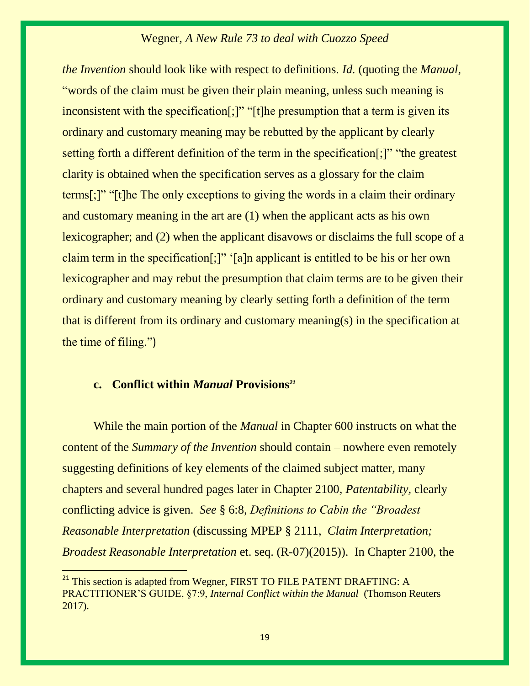*the Invention* should look like with respect to definitions. *Id.* (quoting the *Manual*, "words of the claim must be given their plain meaning, unless such meaning is inconsistent with the specification[;]" "[t]he presumption that a term is given its ordinary and customary meaning may be rebutted by the applicant by clearly setting forth a different definition of the term in the specification[;]" "the greatest clarity is obtained when the specification serves as a glossary for the claim terms[;]" "[t]he The only exceptions to giving the words in a claim their ordinary and customary meaning in the art are (1) when the applicant acts as his own lexicographer; and (2) when the applicant disavows or disclaims the full scope of a claim term in the specification[;]" '[a]n applicant is entitled to be his or her own lexicographer and may rebut the presumption that claim terms are to be given their ordinary and customary meaning by clearly setting forth a definition of the term that is different from its ordinary and customary meaning(s) in the specification at the time of filing.")

## **c. Conflict within** *Manual* **Provisions***<sup>21</sup>*

 $\overline{a}$ 

While the main portion of the *Manual* in Chapter 600 instructs on what the content of the *Summary of the Invention* should contain – nowhere even remotely suggesting definitions of key elements of the claimed subject matter, many chapters and several hundred pages later in Chapter 2100, *Patentability,* clearly conflicting advice is given. *See* § 6:8, *Definitions to Cabin the "Broadest Reasonable Interpretation* (discussing MPEP § 2111, *Claim Interpretation; Broadest Reasonable Interpretation* et. seq. (R-07)(2015)). In Chapter 2100, the

<sup>&</sup>lt;sup>21</sup> This section is adapted from Wegner, FIRST TO FILE PATENT DRAFTING: A PRACTITIONER'S GUIDE, §7:9, *Internal Conflict within the Manual* (Thomson Reuters 2017).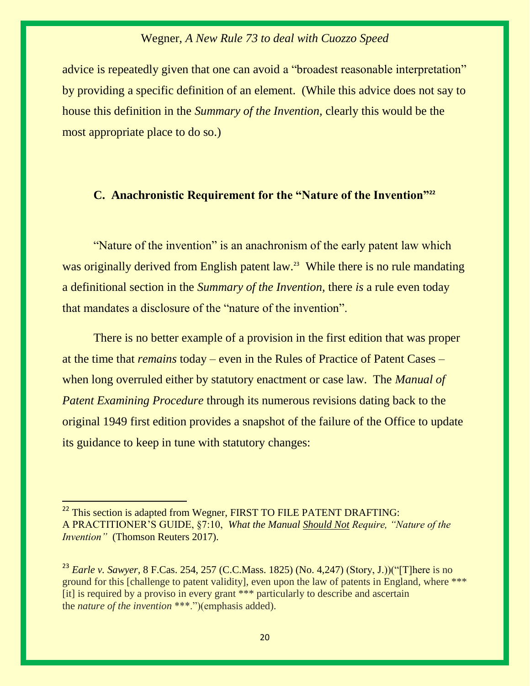advice is repeatedly given that one can avoid a "broadest reasonable interpretation" by providing a specific definition of an element. (While this advice does not say to house this definition in the *Summary of the Invention,* clearly this would be the most appropriate place to do so.)

## **C. Anachronistic Requirement for the "Nature of the Invention"<sup>22</sup>**

"Nature of the invention" is an anachronism of the early patent law which was originally derived from English patent law.<sup>23</sup> While there is no rule mandating a definitional section in the *Summary of the Invention,* there *is* a rule even today that mandates a disclosure of the "nature of the invention".

There is no better example of a provision in the first edition that was proper at the time that *remains* today – even in the Rules of Practice of Patent Cases – when long overruled either by statutory enactment or case law. The *Manual of Patent Examining Procedure* through its numerous revisions dating back to the original 1949 first edition provides a snapshot of the failure of the Office to update its guidance to keep in tune with statutory changes:

<sup>&</sup>lt;sup>22</sup> This section is adapted from Wegner, FIRST TO FILE PATENT DRAFTING: A PRACTITIONER'S GUIDE, §7:10, *What the Manual Should Not Require, "Nature of the Invention*" (Thomson Reuters 2017).

<sup>23</sup> *Earle v. Sawyer,* 8 F.Cas. 254, 257 (C.C.Mass. 1825) (No. 4,247) (Story, J.))("[T]here is no ground for this [challenge to patent validity], even upon the law of patents in England, where \*\*\* [it] is required by a proviso in every grant \*\*\* particularly to describe and ascertain the *nature of the invention* \*\*\*.")(emphasis added).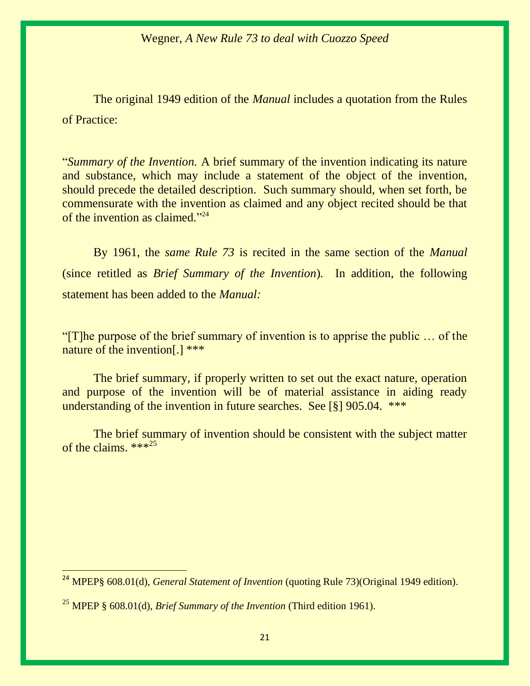The original 1949 edition of the *Manual* includes a quotation from the Rules of Practice:

"*Summary of the Invention.* A brief summary of the invention indicating its nature and substance, which may include a statement of the object of the invention, should precede the detailed description. Such summary should, when set forth, be commensurate with the invention as claimed and any object recited should be that of the invention as claimed."<sup>24</sup>

By 1961, the *same Rule 73* is recited in the same section of the *Manual*  (since retitled as *Brief Summary of the Invention*)*.* In addition, the following statement has been added to the *Manual:*

"[T]he purpose of the brief summary of invention is to apprise the public … of the nature of the invention[.] \*\*\*

The brief summary, if properly written to set out the exact nature, operation and purpose of the invention will be of material assistance in aiding ready understanding of the invention in future searches. See [§] 905.04. \*\*\*

The brief summary of invention should be consistent with the subject matter of the claims. \*\*\*<sup>25</sup>

<sup>24</sup> MPEP§ 608.01(d), *General Statement of Invention* (quoting Rule 73)(Original 1949 edition).

<sup>25</sup> MPEP § 608.01(d), *Brief Summary of the Invention* (Third edition 1961).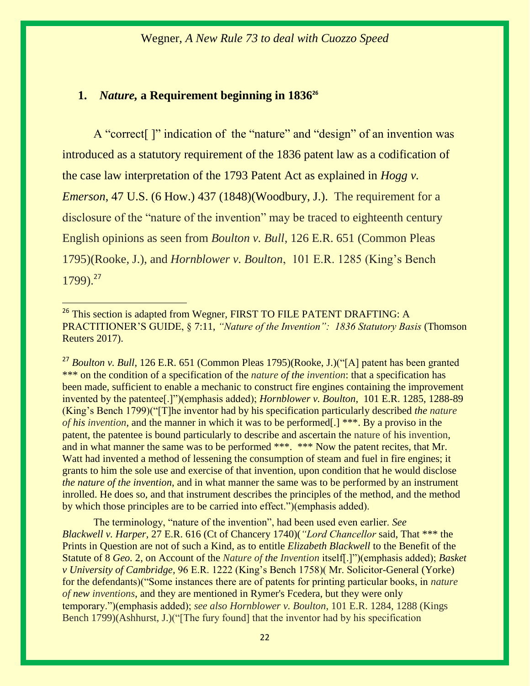## **1.** *Nature,* **a Requirement beginning in 1836<sup>26</sup>**

 $\overline{a}$ 

A "correct<sup>[]"</sup> indication of the "nature" and "design" of an invention was introduced as a statutory requirement of the 1836 patent law as a codification of the case law interpretation of the 1793 Patent Act as explained in *Hogg v. Emerson*, 47 U.S. (6 How.) 437 (1848)(Woodbury, J.). The requirement for a disclosure of the "nature of the invention" may be traced to eighteenth century English opinions as seen from *Boulton v. Bull*, 126 E.R. 651 (Common Pleas 1795)(Rooke, J.), and *Hornblower v. Boulton*, 101 E.R. 1285 (King's Bench  $1799$ .<sup>27</sup>

<sup>27</sup> *Boulton v. Bull*, 126 E.R. 651 (Common Pleas 1795)(Rooke, J.)("[A] patent has been granted \*\*\* on the condition of a specification of the *nature of the invention*: that a specification has been made, sufficient to enable a mechanic to construct fire engines containing the improvement invented by the patentee[.]")(emphasis added); *Hornblower v. Boulton*, 101 E.R. 1285, 1288-89 (King's Bench 1799)("[T]he inventor had by his specification particularly described *the nature of his invention*, and the manner in which it was to be performed[.] \*\*\*. By a proviso in the patent, the patentee is bound particularly to describe and ascertain the nature of his invention, and in what manner the same was to be performed \*\*\*. \*\*\* Now the patent recites, that Mr. Watt had invented a method of lessening the consumption of steam and fuel in fire engines; it grants to him the sole use and exercise of that invention, upon condition that he would disclose *the nature of the invention*, and in what manner the same was to be performed by an instrument inrolled. He does so, and that instrument describes the principles of the method, and the method by which those principles are to be carried into effect.")(emphasis added).

The terminology, "nature of the invention", had been used even earlier. *See Blackwell v. Harper,* 27 E.R. 616 (Ct of Chancery 1740)(*"Lord Chancellor* said, That \*\*\* the Prints in Question are not of such a Kind, as to entitle *Elizabeth Blackwell* to the Benefit of the Statute of 8 *Geo.* 2, on Account of the *Nature of the Invention* itself[.]")(emphasis added); *Basket v University of Cambridge,* 96 E.R. 1222 (King's Bench 1758)( Mr. Solicitor-General (Yorke) for the defendants)("Some instances there are of patents for printing particular books, in *nature of new inventions*, and they are mentioned in Rymer's Fcedera, but they were only temporary.")(emphasis added); *see also Hornblower v. Boulton*, 101 E.R. 1284, 1288 (Kings Bench 1799)(Ashhurst, J.)("[The fury found] that the inventor had by his specification

<sup>&</sup>lt;sup>26</sup> This section is adapted from Wegner, FIRST TO FILE PATENT DRAFTING: A PRACTITIONER'S GUIDE, § 7:11, *"Nature of the Invention": 1836 Statutory Basis* (Thomson Reuters 2017).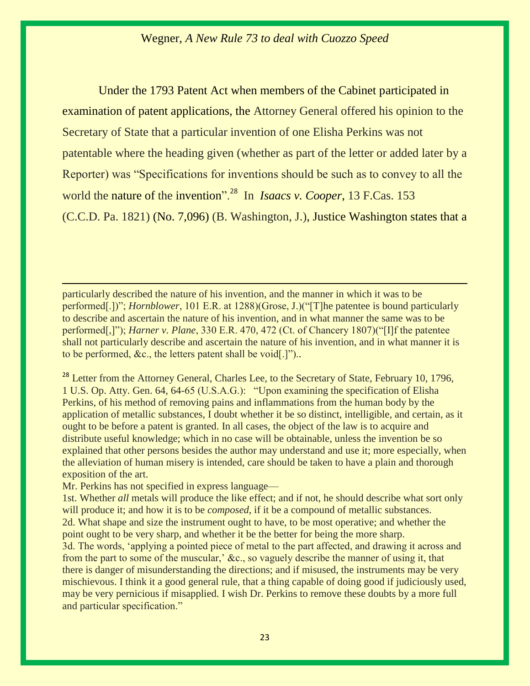Under the 1793 Patent Act when members of the Cabinet participated in examination of patent applications, the Attorney General offered his opinion to the Secretary of State that a particular invention of one Elisha Perkins was not patentable where the heading given (whether as part of the letter or added later by a Reporter) was "Specifications for inventions should be such as to convey to all the world the nature of the invention".<sup>28</sup> In *Isaacs v. Cooper*, 13 F.Cas. 153 (C.C.D. Pa. 1821) (No. 7,096) (B. Washington, J.), Justice Washington states that a

particularly described the nature of his invention, and the manner in which it was to be performed[.])"; *Hornblower*, 101 E.R. at 1288)(Grose, J.)("[T]he patentee is bound particularly to describe and ascertain the nature of his invention, and in what manner the same was to be performed[,]"); *Harner v. Plane*, 330 E.R. 470, 472 (Ct. of Chancery 1807)("[I]f the patentee shall not particularly describe and ascertain the nature of his invention, and in what manner it is to be performed, &c., the letters patent shall be void[.]")..

<sup>28</sup> Letter from the Attorney General, Charles Lee, to the Secretary of State, February 10, 1796, 1 U.S. Op. Atty. Gen. 64, 64-65 (U.S.A.G.): "Upon examining the specification of Elisha Perkins, of his method of removing pains and inflammations from the human body by the application of metallic substances, I doubt whether it be so distinct, intelligible, and certain, as it ought to be before a patent is granted. In all cases, the object of the law is to acquire and distribute useful knowledge; which in no case will be obtainable, unless the invention be so explained that other persons besides the author may understand and use it; more especially, when the alleviation of human misery is intended, care should be taken to have a plain and thorough exposition of the art.

Mr. Perkins has not specified in express language—

 $\overline{a}$ 

1st. Whether *all* metals will produce the like effect; and if not, he should describe what sort only will produce it; and how it is to be *composed*, if it be a compound of metallic substances. 2d. What shape and size the instrument ought to have, to be most operative; and whether the point ought to be very sharp, and whether it be the better for being the more sharp. 3d. The words, 'applying a pointed piece of metal to the part affected, and drawing it across and from the part to some of the muscular,' &c., so vaguely describe the manner of using it, that there is danger of misunderstanding the directions; and if misused, the instruments may be very mischievous. I think it a good general rule, that a thing capable of doing good if judiciously used, may be very pernicious if misapplied. I wish Dr. Perkins to remove these doubts by a more full and particular specification."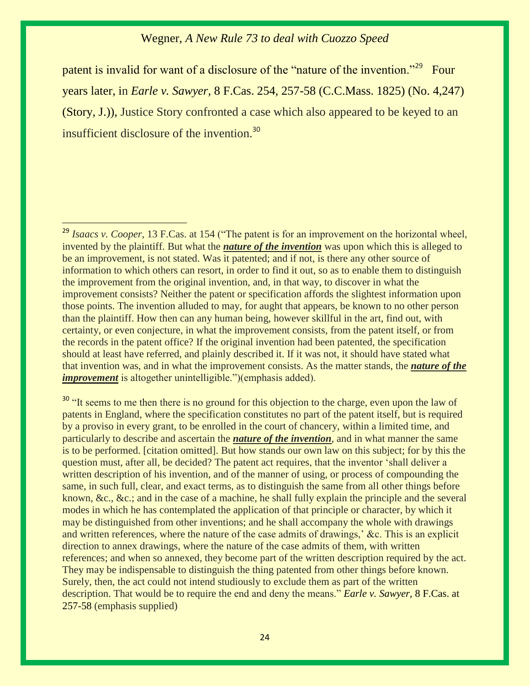patent is invalid for want of a disclosure of the "nature of the invention."<sup>29</sup> Four years later, in *Earle v. Sawyer,* 8 F.Cas. 254, 257-58 (C.C.Mass. 1825) (No. 4,247) (Story, J.)), Justice Story confronted a case which also appeared to be keyed to an insufficient disclosure of the invention.<sup>30</sup>

<sup>&</sup>lt;sup>29</sup> *Isaacs v. Cooper*, 13 F.Cas. at 154 ("The patent is for an improvement on the horizontal wheel, invented by the plaintiff. But what the *nature of the invention* was upon which this is alleged to be an improvement, is not stated. Was it patented; and if not, is there any other source of information to which others can resort, in order to find it out, so as to enable them to distinguish the improvement from the original invention, and, in that way, to discover in what the improvement consists? Neither the patent or specification affords the slightest information upon those points. The invention alluded to may, for aught that appears, be known to no other person than the plaintiff. How then can any human being, however skillful in the art, find out, with certainty, or even conjecture, in what the improvement consists, from the patent itself, or from the records in the patent office? If the original invention had been patented, the specification should at least have referred, and plainly described it. If it was not, it should have stated what that invention was, and in what the improvement consists. As the matter stands, the *nature of the improvement* is altogether unintelligible.")(emphasis added).

<sup>&</sup>lt;sup>30</sup> "It seems to me then there is no ground for this objection to the charge, even upon the law of patents in England, where the specification constitutes no part of the patent itself, but is required by a proviso in every grant, to be enrolled in the court of chancery, within a limited time, and particularly to describe and ascertain the *nature of the invention*, and in what manner the same is to be performed. [citation omitted]. But how stands our own law on this subject; for by this the question must, after all, be decided? The patent act requires, that the inventor 'shall deliver a written description of his invention, and of the manner of using, or process of compounding the same, in such full, clear, and exact terms, as to distinguish the same from all other things before known, &c., &c.; and in the case of a machine, he shall fully explain the principle and the several modes in which he has contemplated the application of that principle or character, by which it may be distinguished from other inventions; and he shall accompany the whole with drawings and written references, where the nature of the case admits of drawings,' &c. This is an explicit direction to annex drawings, where the nature of the case admits of them, with written references; and when so annexed, they become part of the written description required by the act. They may be indispensable to distinguish the thing patented from other things before known. Surely, then, the act could not intend studiously to exclude them as part of the written description. That would be to require the end and deny the means." *Earle v. Sawyer,* 8 F.Cas. at 257-58 (emphasis supplied)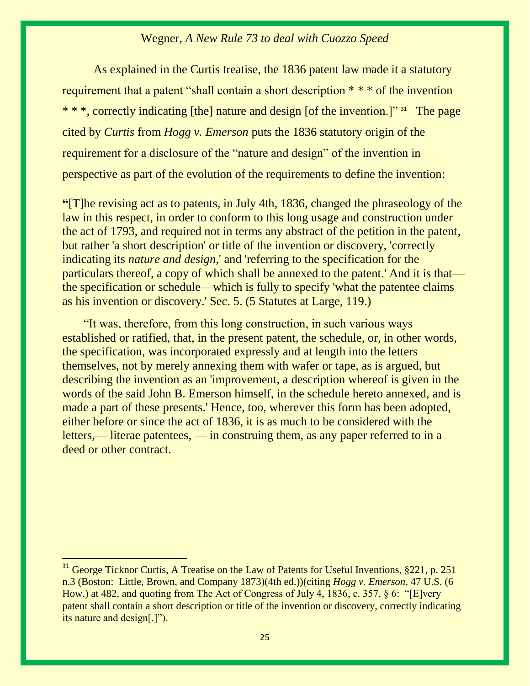As explained in the Curtis treatise, the 1836 patent law made it a statutory requirement that a patent "shall contain a short description  $**$ " of the invention \* \* \*, correctly indicating [the] nature and design [of the invention.]" <sup>31</sup> The page cited by *Curtis* from *Hogg v. Emerson* puts the 1836 statutory origin of the requirement for a disclosure of the "nature and design" of the invention in perspective as part of the evolution of the requirements to define the invention:

**"**[T]he revising act as to patents, in July 4th, 1836, changed the phraseology of the law in this respect, in order to conform to this long usage and construction under the act of 1793, and required not in terms any abstract of the petition in the patent, but rather 'a short description' or title of the invention or discovery, 'correctly indicating its *nature and design*,' and 'referring to the specification for the particulars thereof, a copy of which shall be annexed to the patent.' And it is that the specification or schedule—which is fully to specify 'what the patentee claims as his invention or discovery.' Sec. 5. (5 Statutes at Large, 119.)

 "It was, therefore, from this long construction, in such various ways established or ratified, that, in the present patent, the schedule, or, in other words, the specification, was incorporated expressly and at length into the letters themselves, not by merely annexing them with wafer or tape, as is argued, but describing the invention as an 'improvement, a description whereof is given in the words of the said John B. Emerson himself, in the schedule hereto annexed, and is made a part of these presents.' Hence, too, wherever this form has been adopted, either before or since the act of 1836, it is as much to be considered with the letters,— literae patentees, — in construing them, as any paper referred to in a deed or other contract.

<sup>&</sup>lt;sup>31</sup> George Ticknor Curtis, A Treatise on the Law of Patents for Useful Inventions, §221, p. 251 n.3 (Boston: Little, Brown, and Company 1873)(4th ed.))(citing *Hogg v. Emerson*, 47 U.S. (6 How.) at 482*,* and quoting from The Act of Congress of July 4, 1836, c. 357, § 6: "[E]very patent shall contain a short description or title of the invention or discovery, correctly indicating its nature and design[.]").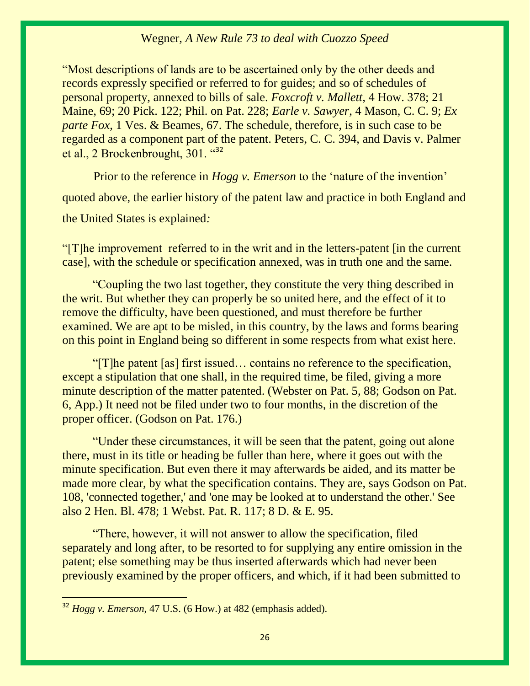"Most descriptions of lands are to be ascertained only by the other deeds and records expressly specified or referred to for guides; and so of schedules of personal property, annexed to bills of sale. *Foxcroft v. Mallett,* 4 How. 378; 21 Maine, 69; 20 Pick. 122; Phil. on Pat. 228; *Earle v. Sawyer*, 4 Mason, C. C. 9; *Ex parte Fox*, 1 Ves. & Beames, 67. The schedule, therefore, is in such case to be regarded as a component part of the patent. Peters, C. C. 394, and Davis v. Palmer et al., 2 Brockenbrought, 301. "<sup>32</sup>

Prior to the reference in *Hogg v. Emerson* to the 'nature of the invention' quoted above, the earlier history of the patent law and practice in both England and the United States is explained*:*

"[T]he improvement referred to in the writ and in the letters-patent [in the current case], with the schedule or specification annexed, was in truth one and the same.

 "Coupling the two last together, they constitute the very thing described in the writ. But whether they can properly be so united here, and the effect of it to remove the difficulty, have been questioned, and must therefore be further examined. We are apt to be misled, in this country, by the laws and forms bearing on this point in England being so different in some respects from what exist here.

 "[T]he patent [as] first issued… contains no reference to the specification, except a stipulation that one shall, in the required time, be filed, giving a more minute description of the matter patented. (Webster on Pat. 5, 88; Godson on Pat. 6, App.) It need not be filed under two to four months, in the discretion of the proper officer. (Godson on Pat. 176.)

 "Under these circumstances, it will be seen that the patent, going out alone there, must in its title or heading be fuller than here, where it goes out with the minute specification. But even there it may afterwards be aided, and its matter be made more clear, by what the specification contains. They are, says Godson on Pat. 108, 'connected together,' and 'one may be looked at to understand the other.' See also 2 Hen. Bl. 478; 1 Webst. Pat. R. 117; 8 D. & E. 95.

 "There, however, it will not answer to allow the specification, filed separately and long after, to be resorted to for supplying any entire omission in the patent; else something may be thus inserted afterwards which had never been previously examined by the proper officers, and which, if it had been submitted to

<sup>32</sup> *Hogg v. Emerson*, 47 U.S. (6 How.) at 482 (emphasis added).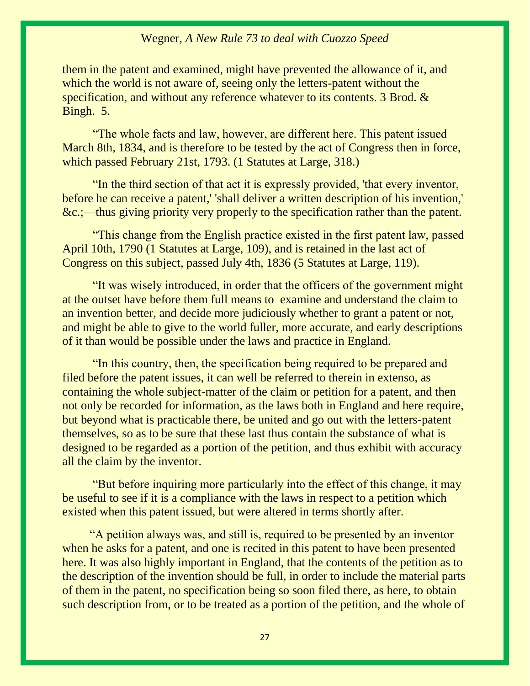them in the patent and examined, might have prevented the allowance of it, and which the world is not aware of, seeing only the letters-patent without the specification, and without any reference whatever to its contents. 3 Brod. & Bingh. 5.

 "The whole facts and law, however, are different here. This patent issued March 8th, 1834, and is therefore to be tested by the act of Congress then in force, which passed February 21st, 1793. (1 Statutes at Large, 318.)

 "In the third section of that act it is expressly provided, 'that every inventor, before he can receive a patent,' 'shall deliver a written description of his invention,' &c.;—thus giving priority very properly to the specification rather than the patent.

 "This change from the English practice existed in the first patent law, passed April 10th, 1790 (1 Statutes at Large, 109), and is retained in the last act of Congress on this subject, passed July 4th, 1836 (5 Statutes at Large, 119).

 "It was wisely introduced, in order that the officers of the government might at the outset have before them full means to examine and understand the claim to an invention better, and decide more judiciously whether to grant a patent or not, and might be able to give to the world fuller, more accurate, and early descriptions of it than would be possible under the laws and practice in England.

 "In this country, then, the specification being required to be prepared and filed before the patent issues, it can well be referred to therein in extenso, as containing the whole subject-matter of the claim or petition for a patent, and then not only be recorded for information, as the laws both in England and here require, but beyond what is practicable there, be united and go out with the letters-patent themselves, so as to be sure that these last thus contain the substance of what is designed to be regarded as a portion of the petition, and thus exhibit with accuracy all the claim by the inventor.

 "But before inquiring more particularly into the effect of this change, it may be useful to see if it is a compliance with the laws in respect to a petition which existed when this patent issued, but were altered in terms shortly after.

 "A petition always was, and still is, required to be presented by an inventor when he asks for a patent, and one is recited in this patent to have been presented here. It was also highly important in England, that the contents of the petition as to the description of the invention should be full, in order to include the material parts of them in the patent, no specification being so soon filed there, as here, to obtain such description from, or to be treated as a portion of the petition, and the whole of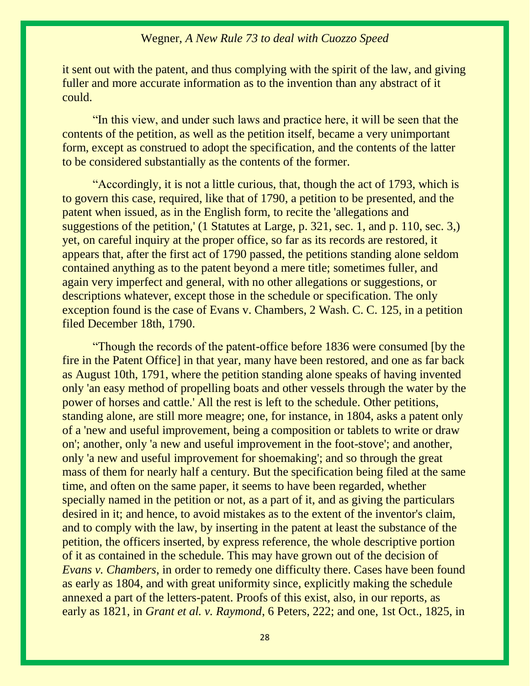it sent out with the patent, and thus complying with the spirit of the law, and giving fuller and more accurate information as to the invention than any abstract of it could.

 "In this view, and under such laws and practice here, it will be seen that the contents of the petition, as well as the petition itself, became a very unimportant form, except as construed to adopt the specification, and the contents of the latter to be considered substantially as the contents of the former.

 "Accordingly, it is not a little curious, that, though the act of 1793, which is to govern this case, required, like that of 1790, a petition to be presented, and the patent when issued, as in the English form, to recite the 'allegations and suggestions of the petition,' (1 Statutes at Large, p. 321, sec. 1, and p. 110, sec. 3,) yet, on careful inquiry at the proper office, so far as its records are restored, it appears that, after the first act of 1790 passed, the petitions standing alone seldom contained anything as to the patent beyond a mere title; sometimes fuller, and again very imperfect and general, with no other allegations or suggestions, or descriptions whatever, except those in the schedule or specification. The only exception found is the case of Evans v. Chambers, 2 Wash. C. C. 125, in a petition filed December 18th, 1790.

 "Though the records of the patent-office before 1836 were consumed [by the fire in the Patent Office] in that year, many have been restored, and one as far back as August 10th, 1791, where the petition standing alone speaks of having invented only 'an easy method of propelling boats and other vessels through the water by the power of horses and cattle.' All the rest is left to the schedule. Other petitions, standing alone, are still more meagre; one, for instance, in 1804, asks a patent only of a 'new and useful improvement, being a composition or tablets to write or draw on'; another, only 'a new and useful improvement in the foot-stove'; and another, only 'a new and useful improvement for shoemaking'; and so through the great mass of them for nearly half a century. But the specification being filed at the same time, and often on the same paper, it seems to have been regarded, whether specially named in the petition or not, as a part of it, and as giving the particulars desired in it; and hence, to avoid mistakes as to the extent of the inventor's claim, and to comply with the law, by inserting in the patent at least the substance of the petition, the officers inserted, by express reference, the whole descriptive portion of it as contained in the schedule. This may have grown out of the decision of *Evans v. Chambers*, in order to remedy one difficulty there. Cases have been found as early as 1804, and with great uniformity since, explicitly making the schedule annexed a part of the letters-patent. Proofs of this exist, also, in our reports, as early as 1821, in *Grant et al. v. Raymond*, 6 Peters, 222; and one, 1st Oct., 1825, in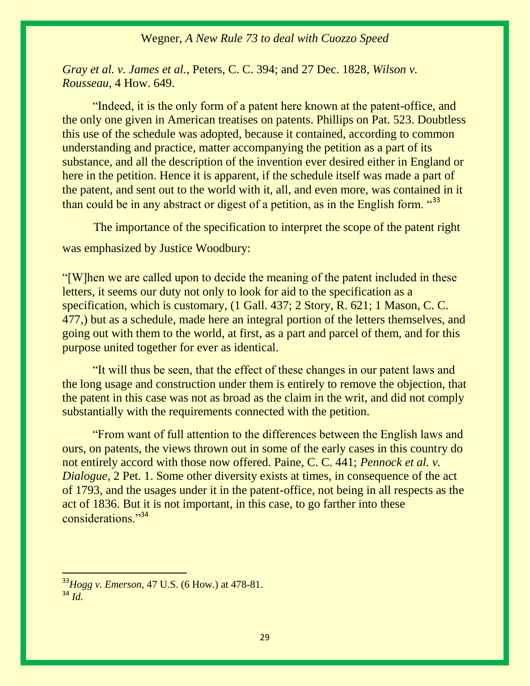*Gray et al. v. James et al.,* Peters, C. C. 394; and 27 Dec. 1828, *Wilson v. Rousseau*, 4 How. 649.

 "Indeed, it is the only form of a patent here known at the patent-office, and the only one given in American treatises on patents. Phillips on Pat. 523. Doubtless this use of the schedule was adopted, because it contained, according to common understanding and practice, matter accompanying the petition as a part of its substance, and all the description of the invention ever desired either in England or here in the petition. Hence it is apparent, if the schedule itself was made a part of the patent, and sent out to the world with it, all, and even more, was contained in it than could be in any abstract or digest of a petition, as in the English form.  $433$ 

The importance of the specification to interpret the scope of the patent right was emphasized by Justice Woodbury:

"[W]hen we are called upon to decide the meaning of the patent included in these letters, it seems our duty not only to look for aid to the specification as a specification, which is customary, (1 Gall. 437; 2 Story, R. 621; 1 Mason, C. C. 477,) but as a schedule, made here an integral portion of the letters themselves, and going out with them to the world, at first, as a part and parcel of them, and for this purpose united together for ever as identical.

 "It will thus be seen, that the effect of these changes in our patent laws and the long usage and construction under them is entirely to remove the objection, that the patent in this case was not as broad as the claim in the writ, and did not comply substantially with the requirements connected with the petition.

 "From want of full attention to the differences between the English laws and ours, on patents, the views thrown out in some of the early cases in this country do not entirely accord with those now offered. Paine, C. C. 441; *Pennock et al. v. Dialogue*, 2 Pet. 1. Some other diversity exists at times, in consequence of the act of 1793, and the usages under it in the patent-office, not being in all respects as the act of 1836. But it is not important, in this case, to go farther into these considerations."<sup>34</sup>

<sup>33</sup>*Hogg v. Emerson*, 47 U.S. (6 How.) at 478-81. <sup>34</sup> *Id.*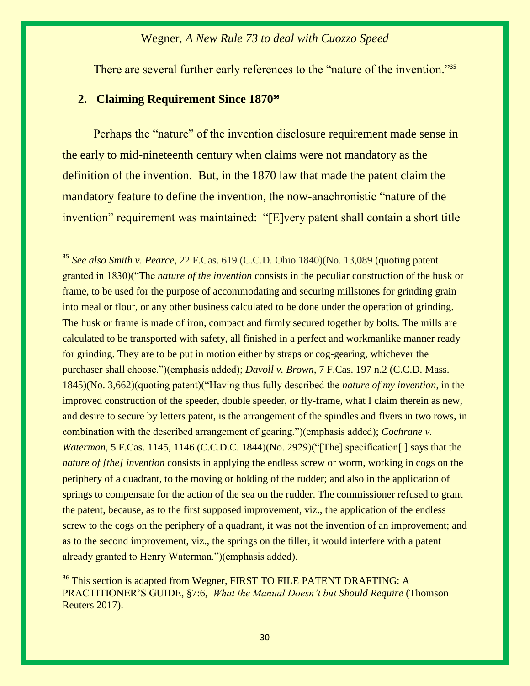There are several further early references to the "nature of the invention."<sup>35</sup>

## **2. Claiming Requirement Since 1870<sup>36</sup>**

 $\overline{a}$ 

Perhaps the "nature" of the invention disclosure requirement made sense in the early to mid-nineteenth century when claims were not mandatory as the definition of the invention. But, in the 1870 law that made the patent claim the mandatory feature to define the invention, the now-anachronistic "nature of the invention" requirement was maintained: "[E]very patent shall contain a short title

<sup>35</sup> *See also Smith v. Pearce,* 22 F.Cas. 619 (C.C.D. Ohio 1840)(No. 13,089 (quoting patent granted in 1830)("The *nature of the invention* consists in the peculiar construction of the husk or frame, to be used for the purpose of accommodating and securing millstones for grinding grain into meal or flour, or any other business calculated to be done under the operation of grinding. The husk or frame is made of iron, compact and firmly secured together by bolts. The mills are calculated to be transported with safety, all finished in a perfect and workmanlike manner ready for grinding. They are to be put in motion either by straps or cog-gearing, whichever the purchaser shall choose.")(emphasis added); *Davoll v. Brown,* 7 F.Cas. 197 n.2 (C.C.D. Mass. 1845)(No. 3,662)(quoting patent)("Having thus fully described the *nature of my invention*, in the improved construction of the speeder, double speeder, or fly-frame, what I claim therein as new, and desire to secure by letters patent, is the arrangement of the spindles and flvers in two rows, in combination with the described arrangement of gearing.")(emphasis added); *Cochrane v. Waterman,* 5 F.Cas. 1145, 1146 (C.C.D.C. 1844)(No. 2929)("The] specification [] says that the *nature of [the] invention* consists in applying the endless screw or worm, working in cogs on the periphery of a quadrant, to the moving or holding of the rudder; and also in the application of springs to compensate for the action of the sea on the rudder. The commissioner refused to grant the patent, because, as to the first supposed improvement, viz., the application of the endless screw to the cogs on the periphery of a quadrant, it was not the invention of an improvement; and as to the second improvement, viz., the springs on the tiller, it would interfere with a patent already granted to Henry Waterman.")(emphasis added).

<sup>&</sup>lt;sup>36</sup> This section is adapted from Wegner, FIRST TO FILE PATENT DRAFTING: A PRACTITIONER'S GUIDE, §7:6, *What the Manual Doesn't but Should Require* (Thomson Reuters 2017).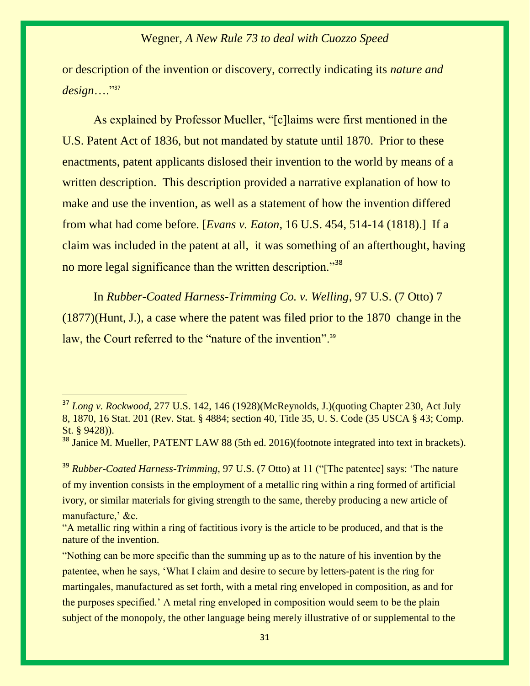or description of the invention or discovery, correctly indicating its *nature and design*…."<sup>37</sup>

As explained by Professor Mueller, "[c]laims were first mentioned in the U.S. Patent Act of 1836, but not mandated by statute until 1870. Prior to these enactments, patent applicants dislosed their invention to the world by means of a written description. This description provided a narrative explanation of how to make and use the invention, as well as a statement of how the invention differed from what had come before. [*Evans v. Eaton*, 16 U.S. 454, 514-14 (1818).] If a claim was included in the patent at all, it was something of an afterthought, having no more legal significance than the written description."<sup>38</sup>

In *[Rubber-Coated Harness-Trimming Co. v. Welling](https://1.next.westlaw.com/Document/I1db532f0b65511d9bdd1cfdd544ca3a4/View/FullText.html?listSource=Search&navigationPath=Search%2fv3%2fsearch%2fresults%2fnavigation%2fi0ad74013000001569e3e07425859d338%3fNav%3dCASE%26fragmentIdentifier%3dI1db532f0b65511d9bdd1cfdd544ca3a4%26startIndex%3d1%26contextData%3d%2528sc.Search%2529%26transitionType%3dSearchItem&list=ALL&rank=1&listPageSource=8a75bd7c25ef0aba408b23a4041fe827&originationContext=docHeader&contextData=(sc.Search)&transitionType=Document&needToInjectTerms=False&enableBestPortion=True&docSource=ef432cb682084e968125c373168daee4)*, 97 U.S. (7 Otto) 7 (1877)(Hunt, J.), a case where the patent was filed prior to the 1870 change in the law, the Court referred to the "nature of the invention".<sup>39</sup>

<sup>37</sup> *Long v. Rockwood*, 277 U.S. 142, 146 (1928)(McReynolds, J.)(quoting Chapter 230, Act July 8, 1870, 16 Stat. 201 (Rev. Stat. § 4884; section 40, Title 35, U. S. Code (35 USCA § 43; Comp. St. § 9428)).

<sup>&</sup>lt;sup>38</sup> Janice M. Mueller, PATENT LAW 88 (5th ed. 2016)(footnote integrated into text in brackets).

<sup>&</sup>lt;sup>39</sup> *[Rubber-Coated Harness-Trimming](https://1.next.westlaw.com/Document/I1db532f0b65511d9bdd1cfdd544ca3a4/View/FullText.html?listSource=Search&navigationPath=Search%2fv3%2fsearch%2fresults%2fnavigation%2fi0ad74013000001569e3e07425859d338%3fNav%3dCASE%26fragmentIdentifier%3dI1db532f0b65511d9bdd1cfdd544ca3a4%26startIndex%3d1%26contextData%3d%2528sc.Search%2529%26transitionType%3dSearchItem&list=ALL&rank=1&listPageSource=8a75bd7c25ef0aba408b23a4041fe827&originationContext=docHeader&contextData=(sc.Search)&transitionType=Document&needToInjectTerms=False&enableBestPortion=True&docSource=ef432cb682084e968125c373168daee4)*, 97 U.S. (7 Otto) at 11 ("The patentee] says: 'The nature of my invention consists in the employment of a metallic ring within a ring formed of artificial ivory, or similar materials for giving strength to the same, thereby producing a new article of manufacture,' &c.

<sup>&</sup>quot;A metallic ring within a ring of factitious ivory is the article to be produced, and that is the nature of the invention.

<sup>&</sup>quot;Nothing can be more specific than the summing up as to the nature of his invention by the patentee, when he says, 'What I claim and desire to secure by letters-patent is the ring for martingales, manufactured as set forth, with a metal ring enveloped in composition, as and for the purposes specified.' A metal ring enveloped in composition would seem to be the plain subject of the monopoly, the other language being merely illustrative of or supplemental to the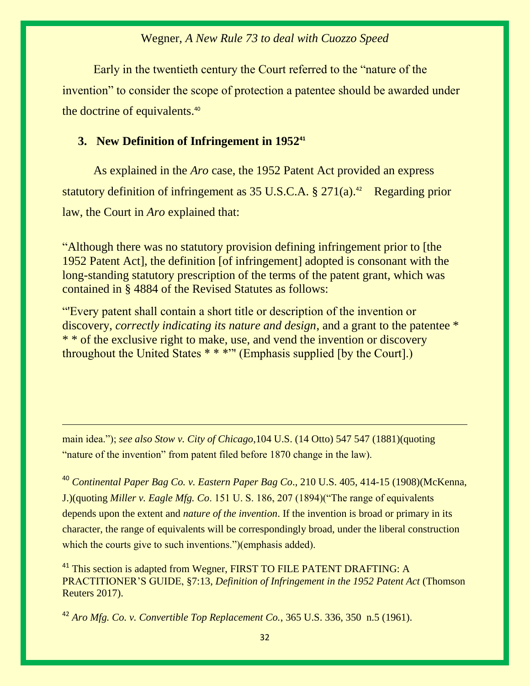Early in the twentieth century the Court referred to the "nature of the invention" to consider the scope of protection a patentee should be awarded under the doctrine of equivalents.<sup>40</sup>

## **3. New Definition of Infringement in 1952<sup>41</sup>**

As explained in the *Aro* case, the 1952 Patent Act provided an express statutory definition of infringement as  $35 \text{ U.S.C.A. }$  \$  $271(a).$ <sup>42</sup> Regarding prior law, the Court in *Aro* explained that:

"Although there was no statutory provision defining infringement prior to [the 1952 Patent Act], the definition [of infringement] adopted is consonant with the long-standing statutory prescription of the terms of the patent grant, which was contained in § 4884 of the Revised Statutes as follows:

"'Every patent shall contain a short title or description of the invention or discovery, *correctly indicating its nature and design*, and a grant to the patentee \* \* \* of the exclusive right to make, use, and vend the invention or discovery throughout the United States \* \* \*"' (Emphasis supplied [by the Court].)

main idea."); *see also Stow v. City of Chicago*,104 U.S. (14 Otto) 547 547 (1881)(quoting "nature of the invention" from patent filed before 1870 change in the law).

<sup>40</sup> *Continental Paper Bag Co. v. Eastern Paper Bag Co*., 210 U.S. 405, 414-15 (1908)(McKenna, J.)(quoting *Miller v. Eagle Mfg. Co*. 151 U. S. 186, 207 (1894)("The range of equivalents depends upon the extent and *nature of the invention*. If the invention is broad or primary in its character, the range of equivalents will be correspondingly broad, under the liberal construction which the courts give to such inventions.")(emphasis added).

<sup>41</sup> This section is adapted from Wegner, FIRST TO FILE PATENT DRAFTING: A PRACTITIONER'S GUIDE, §7:13, *Definition of Infringement in the 1952 Patent Act* (Thomson Reuters 2017).

<sup>42</sup> *Aro Mfg. Co. v. Convertible Top Replacement Co.*, 365 U.S. 336, 350 n.5 (1961).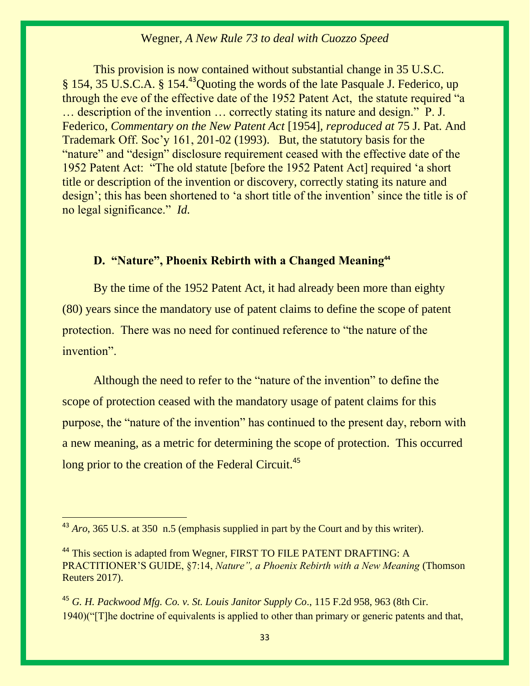This provision is now contained without substantial change in 35 U.S.C. § 154, 35 U.S.C.A. § 154.<sup>43</sup>Quoting the words of the late Pasquale J. Federico, up through the eve of the effective date of the 1952 Patent Act, the statute required "a … description of the invention … correctly stating its nature and design." P. J. Federico, *Commentary on the New Patent Act* [1954]*, reproduced at* 75 J. Pat. And Trademark Off. Soc'y 161, 201-02 (1993). But, the statutory basis for the "nature" and "design" disclosure requirement ceased with the effective date of the 1952 Patent Act: "The old statute [before the 1952 Patent Act] required 'a short title or description of the invention or discovery, correctly stating its nature and design'; this has been shortened to 'a short title of the invention' since the title is of no legal significance." *Id.*

# **D. "Nature", Phoenix Rebirth with a Changed Meaning<sup>44</sup>**

By the time of the 1952 Patent Act, it had already been more than eighty (80) years since the mandatory use of patent claims to define the scope of patent protection. There was no need for continued reference to "the nature of the invention".

Although the need to refer to the "nature of the invention" to define the scope of protection ceased with the mandatory usage of patent claims for this purpose, the "nature of the invention" has continued to the present day, reborn with a new meaning, as a metric for determining the scope of protection. This occurred long prior to the creation of the Federal Circuit.<sup>45</sup>

 $\overline{a}$ 

<sup>45</sup> *G. H. Packwood Mfg. Co. v. St. Louis Janitor Supply Co*., 115 F.2d 958, 963 (8th Cir. 1940)("[T]he doctrine of equivalents is applied to other than primary or generic patents and that,

<sup>&</sup>lt;sup>43</sup> *Aro*, 365 U.S. at 350 n.5 (emphasis supplied in part by the Court and by this writer).

<sup>&</sup>lt;sup>44</sup> This section is adapted from Wegner, FIRST TO FILE PATENT DRAFTING: A PRACTITIONER'S GUIDE, §7:14, *Nature", a Phoenix Rebirth with a New Meaning* (Thomson Reuters 2017).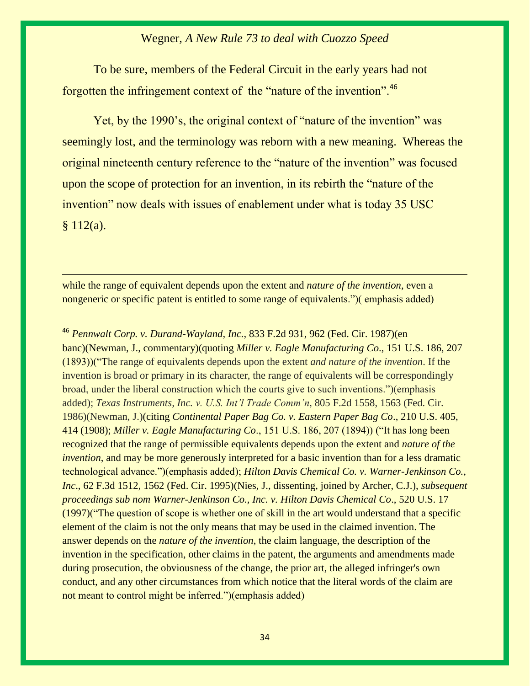To be sure, members of the Federal Circuit in the early years had not forgotten the infringement context of the "nature of the invention".<sup>46</sup>

Yet, by the 1990's, the original context of "nature of the invention" was seemingly lost, and the terminology was reborn with a new meaning. Whereas the original nineteenth century reference to the "nature of the invention" was focused upon the scope of protection for an invention, in its rebirth the "nature of the invention" now deals with issues of enablement under what is today 35 USC  $§ 112(a).$ 

while the range of equivalent depends upon the extent and *nature of the invention*, even a nongeneric or specific patent is entitled to some range of equivalents.")( emphasis added)

<sup>46</sup> *Pennwalt Corp. v. Durand-Wayland, Inc.,* 833 F.2d 931, 962 (Fed. Cir. 1987)(en banc)(Newman, J., commentary)(quoting *Miller v. Eagle Manufacturing Co*., 151 U.S. 186, 207 (1893))("The range of equivalents depends upon the extent *and nature of the invention*. If the invention is broad or primary in its character, the range of equivalents will be correspondingly broad, under the liberal construction which the courts give to such inventions.")(emphasis added); *Texas Instruments, Inc. v. U.S. Int'l Trade Comm'n*, 805 F.2d 1558, 1563 (Fed. Cir. 1986)(Newman, J.)(citing *Continental Paper Bag Co. v. Eastern Paper Bag Co*., 210 U.S. 405, 414 (1908); *Miller v. Eagle Manufacturing Co*., 151 U.S. 186, 207 (1894)) ("It has long been recognized that the range of permissible equivalents depends upon the extent and *nature of the invention*, and may be more generously interpreted for a basic invention than for a less dramatic technological advance.")(emphasis added); *Hilton Davis Chemical Co. v. Warner-Jenkinson Co., Inc*., 62 F.3d 1512, 1562 (Fed. Cir. 1995)(Nies, J., dissenting, joined by Archer, C.J.), *subsequent proceedings sub nom Warner-Jenkinson Co., Inc. v. Hilton Davis Chemical Co*., 520 U.S. 17 (1997)("The question of scope is whether one of skill in the art would understand that a specific element of the claim is not the only means that may be used in the claimed invention. The answer depends on the *nature of the invention*, the claim language, the description of the invention in the specification, other claims in the patent, the arguments and amendments made during prosecution, the obviousness of the change, the prior art, the alleged infringer's own conduct, and any other circumstances from which notice that the literal words of the claim are not meant to control might be inferred.")(emphasis added)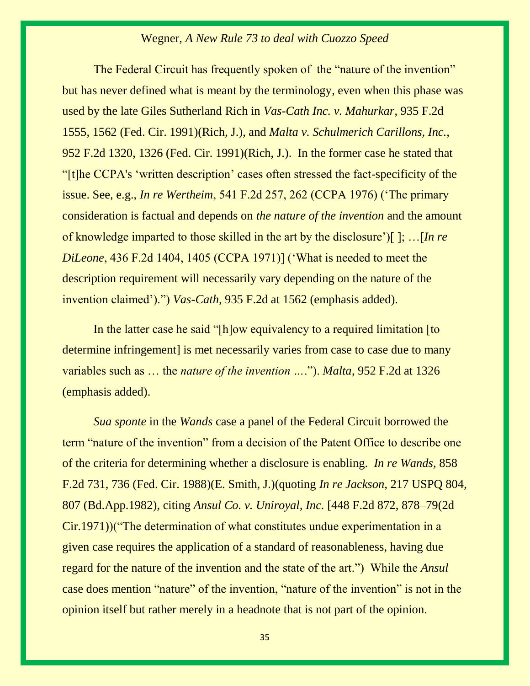The Federal Circuit has frequently spoken of the "nature of the invention" but has never defined what is meant by the terminology, even when this phase was used by the late Giles Sutherland Rich in *Vas-Cath Inc. v. Mahurkar*, 935 F.2d 1555, 1562 (Fed. Cir. 1991)(Rich, J.), and *Malta v. Schulmerich Carillons, Inc.,* 952 F.2d 1320, 1326 (Fed. Cir. 1991)(Rich, J.). In the former case he stated that "[t]he CCPA's 'written description' cases often stressed the fact-specificity of the issue. See, e.g., *In re Wertheim*, 541 F.2d 257, 262 (CCPA 1976) ('The primary consideration is factual and depends on *the nature of the invention* and the amount of knowledge imparted to those skilled in the art by the disclosure')[ ]; …[*In re DiLeone*, 436 F.2d 1404, 1405 (CCPA 1971)] ('What is needed to meet the description requirement will necessarily vary depending on the nature of the invention claimed').") *Vas-Cath*, 935 F.2d at 1562 (emphasis added).

In the latter case he said "[h]ow equivalency to a required limitation [to] determine infringement] is met necessarily varies from case to case due to many variables such as … the *nature of the invention …*."). *Malta,* 952 F.2d at 1326 (emphasis added).

*Sua sponte* in the *Wands* case a panel of the Federal Circuit borrowed the term "nature of the invention" from a decision of the Patent Office to describe one of the criteria for determining whether a disclosure is enabling. *In re Wands,* 858 F.2d 731, 736 (Fed. Cir. 1988)(E. Smith, J.)(quoting *In re Jackson,* [217 USPQ 804,](https://1.next.westlaw.com/Link/Document/FullText?findType=Y&serNum=1982028603&pubNum=867&originatingDoc=Ic92ff3c295e611d993e6d35cc61aab4a&refType=RP&fi=co_pp_sp_867_807&originationContext=document&transitionType=DocumentItem&contextData=(sc.DocLink)#co_pp_sp_867_807)  [807 \(Bd.App.1982\),](https://1.next.westlaw.com/Link/Document/FullText?findType=Y&serNum=1982028603&pubNum=867&originatingDoc=Ic92ff3c295e611d993e6d35cc61aab4a&refType=RP&fi=co_pp_sp_867_807&originationContext=document&transitionType=DocumentItem&contextData=(sc.DocLink)#co_pp_sp_867_807) citing *[Ansul Co. v. Uniroyal, Inc.](https://1.next.westlaw.com/Link/Document/FullText?findType=Y&serNum=1971112473&pubNum=0000350&originatingDoc=Ic92ff3c295e611d993e6d35cc61aab4a&refType=RP&fi=co_pp_sp_350_878&originationContext=document&transitionType=DocumentItem&contextData=(sc.Search)#co_pp_sp_350_878)* [448 F.2d 872, 878–79(2d [Cir.1971\)](https://1.next.westlaw.com/Link/Document/FullText?findType=Y&serNum=1971112473&pubNum=0000350&originatingDoc=Ic92ff3c295e611d993e6d35cc61aab4a&refType=RP&fi=co_pp_sp_350_878&originationContext=document&transitionType=DocumentItem&contextData=(sc.Search)#co_pp_sp_350_878))("The determination of what constitutes undue experimentation in a given case requires the application of a standard of reasonableness, having due regard for the nature of the invention and the state of the art.") While the *Ansul*  case does mention "nature" of the invention, "nature of the invention" is not in the opinion itself but rather merely in a headnote that is not part of the opinion.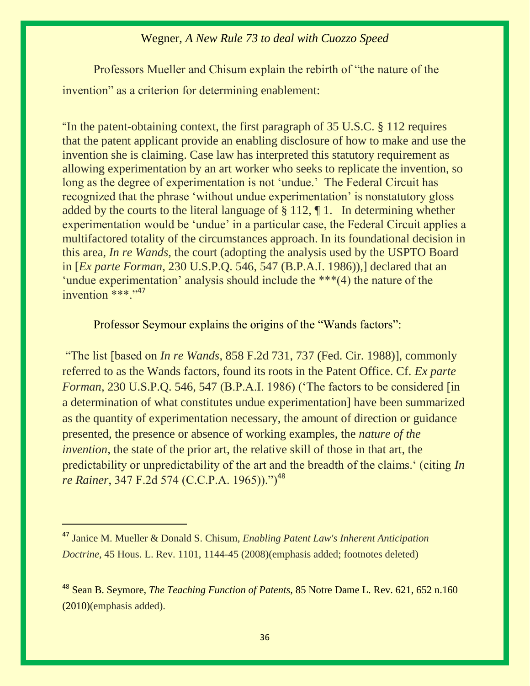Professors Mueller and Chisum explain the rebirth of "the nature of the invention" as a criterion for determining enablement:

"In the patent-obtaining context, the first paragraph of 35 U.S.C. § 112 requires that the patent applicant provide an enabling disclosure of how to make and use the invention she is claiming. Case law has interpreted this statutory requirement as allowing experimentation by an art worker who seeks to replicate the invention, so long as the degree of experimentation is not 'undue.' The Federal Circuit has recognized that the phrase 'without undue experimentation' is nonstatutory gloss added by the courts to the literal language of § 112, ¶ 1. In determining whether experimentation would be 'undue' in a particular case, the Federal Circuit applies a multifactored totality of the circumstances approach. In its foundational decision in this area, *In re Wands*, the court (adopting the analysis used by the USPTO Board in [*Ex parte Forman*, 230 U.S.P.Q. 546, 547 (B.P.A.I. 1986)),] declared that an 'undue experimentation' analysis should include the \*\*\*(4) the nature of the invention  $***$ ."<sup>47</sup>

Professor Seymour explains the origins of the "Wands factors":

"The list [based on *In re Wands*, 858 F.2d 731, 737 (Fed. Cir. 1988)], commonly referred to as the Wands factors, found its roots in the Patent Office. Cf. *Ex parte Forman,* 230 U.S.P.Q. 546, 547 (B.P.A.I. 1986) ('The factors to be considered [in a determination of what constitutes undue experimentation] have been summarized as the quantity of experimentation necessary, the amount of direction or guidance presented, the presence or absence of working examples, the *nature of the invention*, the state of the prior art, the relative skill of those in that art, the predictability or unpredictability of the art and the breadth of the claims.' (citing *In re Rainer*, 347 F.2d 574 (C.C.P.A. 1965)).")<sup>48</sup>

<sup>47</sup> Janice M. Mueller & Donald S. Chisum, *Enabling Patent Law's Inherent Anticipation Doctrine,* 45 Hous. L. Rev. 1101, 1144-45 (2008)(emphasis added; footnotes deleted)

<sup>48</sup> [Sean B. Seymore,](https://1.next.westlaw.com/Link/Document/FullText?findType=h&pubNum=176284&cite=0374196901&originatingDoc=I84b478af28c211df9b8c850332338889&refType=RQ&originationContext=document&transitionType=DocumentItem&contextData=(sc.Search)) *The Teaching Function of Patents,* 85 Notre Dame L. Rev. 621, 652 n.160 (2010)(emphasis added).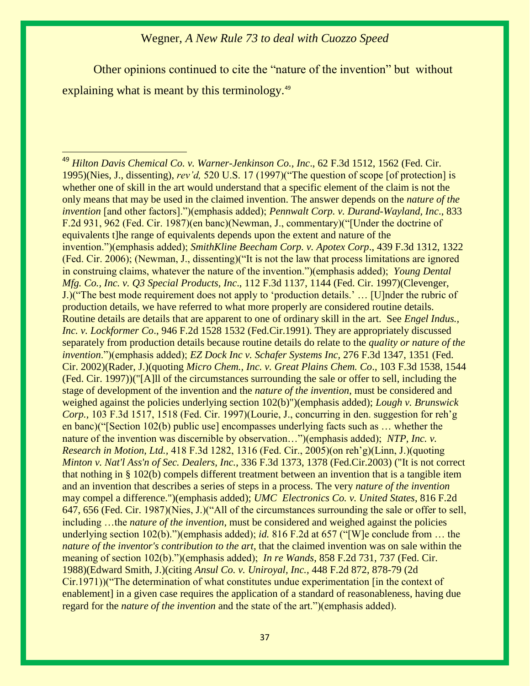Other opinions continued to cite the "nature of the invention" but without explaining what is meant by this terminology.<sup>49</sup>

 $\overline{a}$ <sup>49</sup> *Hilton Davis Chemical Co. v. Warner-Jenkinson Co., Inc*., 62 F.3d 1512, 1562 (Fed. Cir. 1995)(Nies, J., dissenting), *rev'd,* 520 U.S. 17 (1997)("The question of scope [of protection] is whether one of skill in the art would understand that a specific element of the claim is not the only means that may be used in the claimed invention. The answer depends on the *nature of the invention* [and other factors].")(emphasis added); *Pennwalt Corp. v. Durand-Wayland, Inc*., 833 F.2d 931, 962 (Fed. Cir. 1987)(en banc)(Newman, J., commentary)("[Under the doctrine of equivalents the range of equivalents depends upon the extent and nature of the invention.")(emphasis added); *SmithKline Beecham Corp. v. Apotex Corp*., 439 F.3d 1312, 1322 (Fed. Cir. 2006); (Newman, J., dissenting)("It is not the law that process limitations are ignored in construing claims, whatever the nature of the invention.")(emphasis added); *Young Dental Mfg. Co., Inc. v. Q3 Special Products, Inc*., 112 F.3d 1137, 1144 (Fed. Cir. 1997)(Clevenger, J.)("The best mode requirement does not apply to 'production details.' … [U]nder the rubric of production details, we have referred to what more properly are considered routine details. Routine details are details that are apparent to one of ordinary skill in the art. See *Engel Indus., Inc. v. Lockformer Co*., 946 F.2d 1528 1532 (Fed.Cir.1991). They are appropriately discussed separately from production details because routine details do relate to the *quality or nature of the invention*.")(emphasis added); *EZ Dock Inc v. Schafer Systems Inc,* 276 F.3d 1347, 1351 (Fed. Cir. 2002)(Rader, J.)(quoting *Micro Chem., Inc. v. Great Plains Chem. Co*., 103 F.3d 1538, 1544 (Fed. Cir. 1997))("[A]ll of the circumstances surrounding the sale or offer to sell, including the stage of development of the invention and the *nature of the invention*, must be considered and weighed against the policies underlying section 102(b)")(emphasis added); *Lough v. Brunswick Corp.,* 103 F.3d 1517, 1518 (Fed. Cir. 1997)(Lourie, J., concurring in den. suggestion for reh'g en banc)("[Section 102(b) public use] encompasses underlying facts such as … whether the nature of the invention was discernible by observation…")(emphasis added); *NTP, Inc. v. Research in Motion, Ltd.,* 418 F.3d 1282, 1316 (Fed. Cir., 2005)(on reh'g)(Linn, J.)(quoting *Minton v. Nat'l Ass'n of Sec. Dealers, Inc.*, 336 F.3d 1373, 1378 (Fed.Cir.2003) ("It is not correct that nothing in § 102(b) compels different treatment between an invention that is a tangible item and an invention that describes a series of steps in a process. The very *nature of the invention* may compel a difference.")(emphasis added); *UMC Electronics Co. v. United States*, 816 F.2d 647, 656 (Fed. Cir. 1987)(Nies, J.)("All of the circumstances surrounding the sale or offer to sell, including …the *nature of the invention*, must be considered and weighed against the policies underlying section 102(b).")(emphasis added); *id.* 816 F.2d at 657 ("[W]e conclude from … the *nature of the inventor's contribution to the art*, that the claimed invention was on sale within the meaning of section 102(b).")(emphasis added); *In re Wands*, 858 F.2d 731, 737 (Fed. Cir. 1988)(Edward Smith, J.)(citing *Ansul Co. v. Uniroyal, Inc.,* 448 F.2d 872, 878-79 (2d Cir.1971))("The determination of what constitutes undue experimentation [in the context of enablement] in a given case requires the application of a standard of reasonableness, having due regard for the *nature of the invention* and the state of the art.")(emphasis added).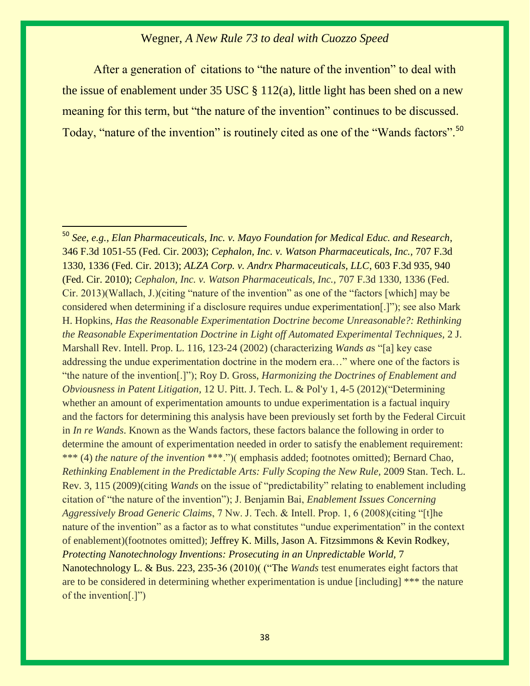After a generation of citations to "the nature of the invention" to deal with the issue of enablement under 35 USC § 112(a), little light has been shed on a new meaning for this term, but "the nature of the invention" continues to be discussed. Today, "nature of the invention" is routinely cited as one of the "Wands factors".<sup>50</sup>

 $\overline{a}$ 

<sup>50</sup> *See, e.g., Elan Pharmaceuticals, Inc. v. Mayo Foundation for Medical Educ. and Research*, 346 F.3d 1051-55 (Fed. Cir. 2003); *Cephalon, Inc. v. Watson Pharmaceuticals, Inc.,* 707 F.3d 1330, 1336 (Fed. Cir. 2013); *ALZA Corp. v. Andrx Pharmaceuticals, LLC*, 603 F.3d 935, 940 (Fed. Cir. 2010); *Cephalon, Inc. v. Watson Pharmaceuticals, Inc.,* 707 F.3d 1330, 1336 (Fed. Cir. 2013)(Wallach, J.)(citing "nature of the invention" as one of the "factors [which] may be considered when determining if a disclosure requires undue experimentation[.]"); see also Mark H. Hopkins, *Has the Reasonable Experimentation Doctrine become Unreasonable?: Rethinking the Reasonable Experimentation Doctrine in Light off Automated Experimental Techniques,* 2 J. Marshall Rev. Intell. Prop. L. 116, 123-24 (2002) (characterizing *Wands a*s "[a] key case addressing the undue experimentation doctrine in the modern era…" where one of the factors is "the nature of the invention[.]"); Roy D. Gross, *Harmonizing the Doctrines of Enablement and Obviousness in Patent Litigation,* 12 U. Pitt. J. Tech. L. & Pol'y 1, 4-5 (2012)("Determining whether an amount of experimentation amounts to undue experimentation is a factual inquiry and the factors for determining this analysis have been previously set forth by the Federal Circuit in *In re Wands*. Known as the Wands factors, these factors balance the following in order to determine the amount of experimentation needed in order to satisfy the enablement requirement: \*\*\* (4) *the nature of the invention* \*\*\*.")( emphasis added; footnotes omitted); Bernard Chao, *Rethinking Enablement in the Predictable Arts: Fully Scoping the New Rule, 2009 Stan. Tech. L.* Rev. 3, 115 (2009)(citing *Wands* on the issue of "predictability" relating to enablement including citation of "the nature of the invention"); J. Benjamin Bai, *Enablement Issues Concerning Aggressively Broad Generic Claims*, 7 Nw. J. Tech. & Intell. Prop. 1, 6 (2008)(citing "[t]he nature of the invention" as a factor as to what constitutes "undue experimentation" in the context of enablement)(footnotes omitted); [Jeffrey K. Mills,](https://1.next.westlaw.com/Link/Document/FullText?findType=h&pubNum=176284&cite=0359008101&originatingDoc=Ic793b982208911e08b05fdf15589d8e8&refType=RQ&originationContext=document&transitionType=DocumentItem&contextData=(sc.Search)) Jason A. Fitzsimmons & Kevin Rodkey, *Protecting Nanotechnology Inventions: Prosecuting in an Unpredictable World, 7* Nanotechnology L. & Bus. 223, 235-36 (2010)( ("The *Wands* test enumerates eight factors that are to be considered in determining whether experimentation is undue [including] \*\*\* the nature of the invention[.]")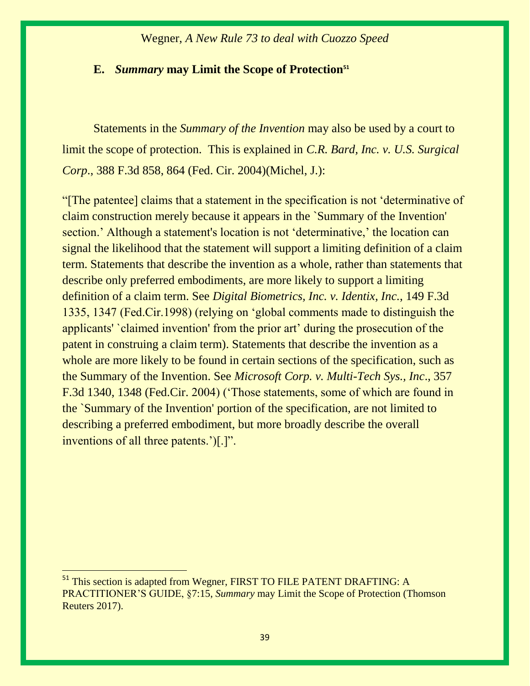#### **E.** *Summary* **may Limit the Scope of Protection<sup>51</sup>**

Statements in the *Summary of the Invention* may also be used by a court to limit the scope of protection. This is explained in *C.R. Bard, Inc. v. U.S. Surgical Corp*., 388 F.3d 858, 864 (Fed. Cir. 2004)(Michel, J.):

"[The patentee] claims that a statement in the specification is not 'determinative of claim construction merely because it appears in the `Summary of the Invention' section.' Although a statement's location is not 'determinative,' the location can signal the likelihood that the statement will support a limiting definition of a claim term. Statements that describe the invention as a whole, rather than statements that describe only preferred embodiments, are more likely to support a limiting definition of a claim term. See *Digital Biometrics, Inc. v. Identix, Inc.*, 149 F.3d 1335, 1347 (Fed.Cir.1998) (relying on 'global comments made to distinguish the applicants' `claimed invention' from the prior art' during the prosecution of the patent in construing a claim term). Statements that describe the invention as a whole are more likely to be found in certain sections of the specification, such as the Summary of the Invention. See *Microsoft Corp. v. Multi-Tech Sys., Inc*., 357 F.3d 1340, 1348 (Fed.Cir. 2004) ('Those statements, some of which are found in the `Summary of the Invention' portion of the specification, are not limited to describing a preferred embodiment, but more broadly describe the overall inventions of all three patents.')[.]".

<sup>&</sup>lt;sup>51</sup> This section is adapted from Wegner, FIRST TO FILE PATENT DRAFTING: A PRACTITIONER'S GUIDE, §7:15, *Summary* may Limit the Scope of Protection (Thomson Reuters 2017).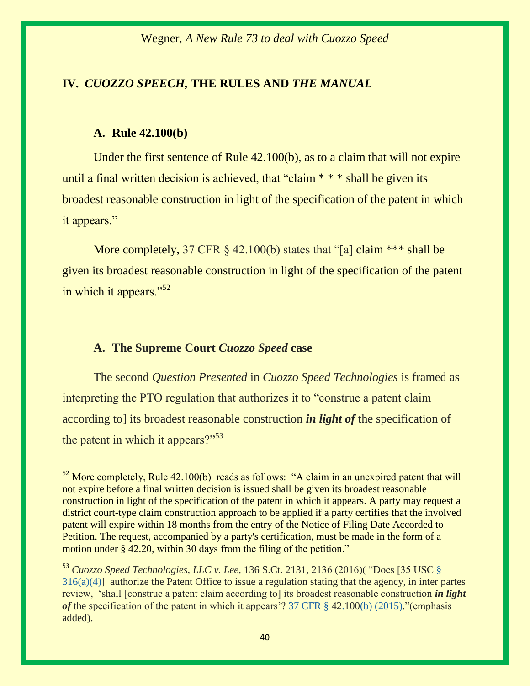## **IV.** *CUOZZO SPEECH,* **THE RULES AND** *THE MANUAL*

#### **A. Rule 42.100(b)**

 $\overline{a}$ 

Under the first sentence of Rule 42.100(b), as to a claim that will not expire until a final written decision is achieved, that "claim \* \* \* shall be given its broadest reasonable construction in light of the specification of the patent in which it appears."

More completely, 37 CFR § 42.100(b) states that "[a] claim \*\*\* shall be given its broadest reasonable construction in light of the specification of the patent in which it appears."<sup>52</sup>

#### **A. The Supreme Court** *Cuozzo Speed* **case**

The second *Question Presented* in *Cuozzo Speed Technologies* is framed as interpreting the PTO regulation that authorizes it to "construe a patent claim according to] its broadest reasonable construction *in light of* the specification of the patent in which it appears?"<sup>53</sup>

 $52$  More completely, Rule 42.100(b) reads as follows: "A claim in an unexpired patent that will not expire before a final written decision is issued shall be given its broadest reasonable construction in light of the specification of the patent in which it appears. A party may request a district court-type claim construction approach to be applied if a party certifies that the involved patent will expire within 18 months from the entry of the Notice of Filing Date Accorded to Petition. The request, accompanied by a party's certification, must be made in the form of a motion under [§ 42.20](https://1.next.westlaw.com/Link/Document/FullText?findType=L&pubNum=1000547&cite=37CFRS42.20&originatingDoc=N06312481105411E6A9998AABBB715E77&refType=VP&originationContext=document&transitionType=DocumentItem&contextData=(sc.DocLink)), within 30 days from the filing of the petition."

<sup>53</sup> *Cuozzo Speed Technologies, LLC v. Lee,* 136 S.Ct. 2131, 2136 (2016)( "Does [35 USC [§](https://1.next.westlaw.com/Link/Document/FullText?findType=L&pubNum=1000546&cite=35USCAS316&originatingDoc=I0210e51836e911e6a807ad48145ed9f1&refType=RB&originationContext=document&transitionType=DocumentItem&contextData=(sc.Search)#co_pp_d40e000072291)   $316(a)(4)$ ] authorize the Patent Office to issue a regulation stating that the agency, in inter partes review, 'shall [construe a patent claim according to] its broadest reasonable construction *in light of* the specification of the patent in which it appears'? [37 CFR § 42.100\(b\) \(2015\)](https://1.next.westlaw.com/Link/Document/FullText?findType=L&pubNum=1000547&cite=37CFRS42.100&originatingDoc=I0210e51836e911e6a807ad48145ed9f1&refType=RB&originationContext=document&transitionType=DocumentItem&contextData=(sc.Search)#co_pp_a83b000018c76)."(emphasis added).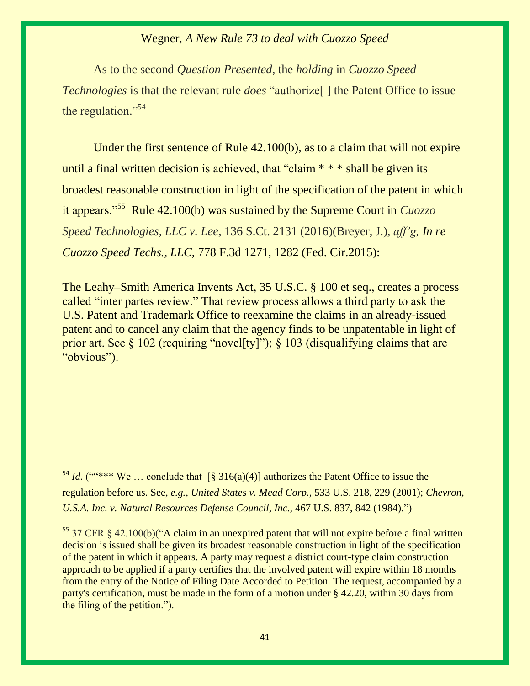As to the second *Question Presented,* the *holding* in *Cuozzo Speed Technologies* is that the relevant rule *does* "authorize<sup>[]</sup> the Patent Office to issue the regulation." $54$ 

Under the first sentence of Rule 42.100(b), as to a claim that will not expire until a final written decision is achieved, that "claim \* \* \* shall be given its broadest reasonable construction in light of the specification of the patent in which it appears."<sup>55</sup> Rule 42.100(b) was sustained by the Supreme Court in *Cuozzo Speed Technologies, LLC v. Lee,* 136 S.Ct. 2131 (2016)(Breyer, J.), *aff'g, In re Cuozzo Speed Techs., LLC,* 778 F.3d 1271, 1282 (Fed. Cir.2015):

The Leahy–Smith America Invents Act, [35 U.S.C. § 100 et seq.,](https://1.next.westlaw.com/Link/Document/FullText?findType=L&pubNum=1000546&cite=35USCAS100&originatingDoc=I0210e51836e911e6a807ad48145ed9f1&refType=LQ&originationContext=document&transitionType=DocumentItem&contextData=(sc.Search)) creates a process called "inter partes review." That review process allows a third party to ask the U.S. Patent and Trademark Office to reexamine the claims in an already-issued patent and to cancel any claim that the agency finds to be unpatentable in light of prior art. See  $\S 102$  (requiring "novel[ty]");  $\S 103$  (disqualifying claims that are "obvious").

<sup>54</sup> *Id.* (""\*\*\* We ... conclude that  $\lceil \frac{8}{316(a)(4)} \rceil$  authorizes the Patent Office to issue the regulation before us. See, *e.g., [United States v. Mead Corp.,](https://1.next.westlaw.com/Link/Document/FullText?findType=Y&serNum=2001518724&pubNum=0000708&originatingDoc=I0210e51836e911e6a807ad48145ed9f1&refType=RP&originationContext=document&transitionType=DocumentItem&contextData=(sc.Search))* 533 U.S. 218, 229 (2001); *[Chevron,](https://1.next.westlaw.com/Link/Document/FullText?findType=Y&serNum=1984130736&pubNum=0000708&originatingDoc=I0210e51836e911e6a807ad48145ed9f1&refType=RP&originationContext=document&transitionType=DocumentItem&contextData=(sc.Search))  [U.S.A. Inc. v. Natural Resources Defense Council, Inc.,](https://1.next.westlaw.com/Link/Document/FullText?findType=Y&serNum=1984130736&pubNum=0000708&originatingDoc=I0210e51836e911e6a807ad48145ed9f1&refType=RP&originationContext=document&transitionType=DocumentItem&contextData=(sc.Search))* 467 U.S. 837, 842 (1984).")

 $55$  37 CFR § 42.100(b)("A claim in an unexpired patent that will not expire before a final written decision is issued shall be given its broadest reasonable construction in light of the specification of the patent in which it appears. A party may request a district court-type claim construction approach to be applied if a party certifies that the involved patent will expire within 18 months from the entry of the Notice of Filing Date Accorded to Petition. The request, accompanied by a party's certification, must be made in the form of a motion under [§ 42.20,](https://1.next.westlaw.com/Link/Document/FullText?findType=L&pubNum=1000547&cite=37CFRS42.20&originatingDoc=N06312481105411E6A9998AABBB715E77&refType=VP&originationContext=document&transitionType=DocumentItem&contextData=(sc.DocLink)) within 30 days from the filing of the petition.").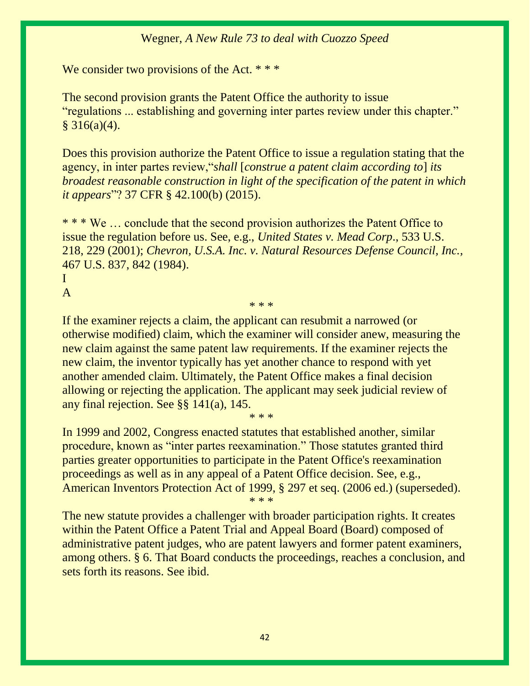We consider two provisions of the Act. \* \* \*

The second provision grants the Patent Office the authority to issue "regulations ... establishing and governing inter partes review under this chapter."  $§ 316(a)(4).$ 

Does this provision authorize the Patent Office to issue a regulation stating that the agency, in inter partes review,"*shall* [*construe a patent claim according to*] *its broadest reasonable construction in light of the specification of the patent in which it appears*"? [37 CFR § 42.100\(b\) \(2015\).](https://1.next.westlaw.com/Link/Document/FullText?findType=L&pubNum=1000547&cite=37CFRS42.100&originatingDoc=I0210e51836e911e6a807ad48145ed9f1&refType=RB&originationContext=document&transitionType=DocumentItem&contextData=(sc.Search)#co_pp_a83b000018c76)

\* \* \* We … conclude that the second provision authorizes the Patent Office to issue the regulation before us. See, e.g., *[United States v. Mead Corp](https://1.next.westlaw.com/Link/Document/FullText?findType=Y&serNum=2001518724&pubNum=0000708&originatingDoc=I0210e51836e911e6a807ad48145ed9f1&refType=RP&originationContext=document&transitionType=DocumentItem&contextData=(sc.Search))*., 533 U.S. [218, 229 \(2001\);](https://1.next.westlaw.com/Link/Document/FullText?findType=Y&serNum=2001518724&pubNum=0000708&originatingDoc=I0210e51836e911e6a807ad48145ed9f1&refType=RP&originationContext=document&transitionType=DocumentItem&contextData=(sc.Search)) *[Chevron, U.S.A. Inc. v. Natural Resources Defense Council, Inc.,](https://1.next.westlaw.com/Link/Document/FullText?findType=Y&serNum=1984130736&pubNum=0000708&originatingDoc=I0210e51836e911e6a807ad48145ed9f1&refType=RP&originationContext=document&transitionType=DocumentItem&contextData=(sc.Search))*  [467 U.S. 837, 842 \(1984\).](https://1.next.westlaw.com/Link/Document/FullText?findType=Y&serNum=1984130736&pubNum=0000708&originatingDoc=I0210e51836e911e6a807ad48145ed9f1&refType=RP&originationContext=document&transitionType=DocumentItem&contextData=(sc.Search))

#### I A

\* \* \*

If the examiner rejects a claim, the applicant can resubmit a narrowed (or otherwise modified) claim, which the examiner will consider anew, measuring the new claim against the same patent law requirements. If the examiner rejects the new claim, the inventor typically has yet another chance to respond with yet another amended claim. Ultimately, the Patent Office makes a final decision allowing or rejecting the application. The applicant may seek judicial review of any final rejection. See §§ 141(a), 145.

In 1999 and 2002, Congress enacted statutes that established another, similar procedure, known as "inter partes reexamination." Those statutes granted third parties greater opportunities to participate in the Patent Office's reexamination proceedings as well as in any appeal of a Patent Office decision. See, e.g., American Inventors Protection Act of 1999, § 297 et seq. (2006 ed.) (superseded).

\* \* \*

\* \* \*

The new statute provides a challenger with broader participation rights. It creates within the Patent Office a Patent Trial and Appeal Board (Board) composed of administrative patent judges, who are patent lawyers and former patent examiners, among others. § 6. That Board conducts the proceedings, reaches a conclusion, and sets forth its reasons. See ibid.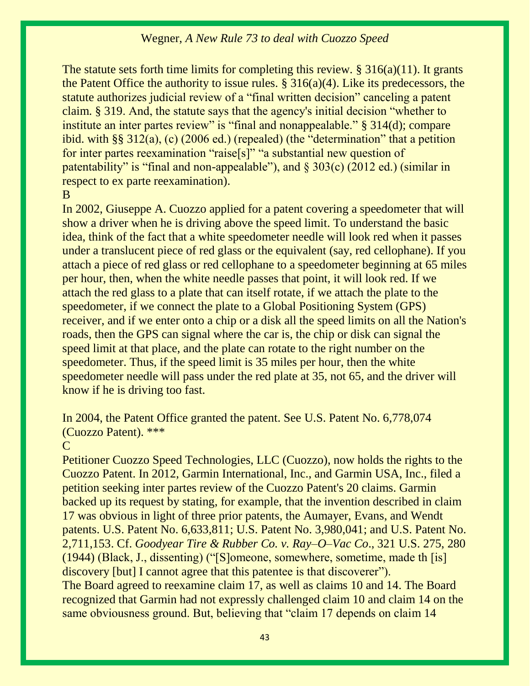The statute sets forth time limits for completing this review.  $\S 316(a)(11)$ . It grants the Patent Office the authority to issue rules.  $\S 316(a)(4)$ . Like its predecessors, the statute authorizes judicial review of a "final written decision" canceling a patent claim. [§ 319](https://1.next.westlaw.com/Link/Document/FullText?findType=L&pubNum=1000546&cite=35USCAS319&originatingDoc=I0210e51836e911e6a807ad48145ed9f1&refType=LQ&originationContext=document&transitionType=DocumentItem&contextData=(sc.Search)). And, the statute says that the agency's initial decision "whether to institute an inter partes review" is "final and nonappealable." [§ 314\(d\);](https://1.next.westlaw.com/Link/Document/FullText?findType=L&pubNum=1000546&cite=35USCAS314&originatingDoc=I0210e51836e911e6a807ad48145ed9f1&refType=RB&originationContext=document&transitionType=DocumentItem&contextData=(sc.Search)#co_pp_5ba1000067d06) compare ibid. with §§ 312(a), (c) (2006 ed.) (repealed) (the "determination" that a petition for inter partes reexamination "raise[s]" "a substantial new question of patentability" is "final and non-appealable"), and  $\S 303(c)$  (2012 ed.) (similar in respect to ex parte reexamination).

#### B

In 2002, Giuseppe A. Cuozzo applied for a patent covering a speedometer that will show a driver when he is driving above the speed limit. To understand the basic idea, think of the fact that a white speedometer needle will look red when it passes under a translucent piece of red glass or the equivalent (say, red cellophane). If you attach a piece of red glass or red cellophane to a speedometer beginning at 65 miles per hour, then, when the white needle passes that point, it will look red. If we attach the red glass to a plate that can itself rotate, if we attach the plate to the speedometer, if we connect the plate to a Global Positioning System (GPS) receiver, and if we enter onto a chip or a disk all the speed limits on all the Nation's roads, then the GPS can signal where the car is, the chip or disk can signal the speed limit at that place, and the plate can rotate to the right number on the speedometer. Thus, if the speed limit is 35 miles per hour, then the white speedometer needle will pass under the red plate at 35, not 65, and the driver will know if he is driving too fast.

In 2004, the Patent Office granted the patent. See [U.S. Patent No. 6,778,074](https://1.next.westlaw.com/Link/Document/FullText?findType=Y&serNum=2004886143&pubNum=0004074&originatingDoc=I0210e51836e911e6a807ad48145ed9f1&refType=PA&docFamilyGuid=I8fb22fecf42011d8b80a9f6d63ee1f3d&originationContext=document&transitionType=DocumentItem&contextData=(sc.Search))  [\(Cuozzo Patent\).](https://1.next.westlaw.com/Link/Document/FullText?findType=Y&serNum=2004886143&pubNum=0004074&originatingDoc=I0210e51836e911e6a807ad48145ed9f1&refType=PA&docFamilyGuid=I8fb22fecf42011d8b80a9f6d63ee1f3d&originationContext=document&transitionType=DocumentItem&contextData=(sc.Search)) \*\*\*

#### $\mathcal{C}_{\cdot}$

Petitioner Cuozzo Speed Technologies, LLC (Cuozzo), now holds the rights to the Cuozzo Patent. In 2012, Garmin International, Inc., and Garmin USA, Inc., filed a petition seeking inter partes review of the Cuozzo Patent's 20 claims. Garmin backed up its request by stating, for example, that the invention described in claim 17 was obvious in light of three prior patents, the Aumayer, Evans, and Wendt patents. [U.S. Patent No. 6,633,811;](https://1.next.westlaw.com/Link/Document/FullText?findType=Y&serNum=2003700888&pubNum=0004074&originatingDoc=I0210e51836e911e6a807ad48145ed9f1&refType=PA&docFamilyGuid=Ic2826990ff4211d798fac21bb8892c61&originationContext=document&transitionType=DocumentItem&contextData=(sc.Search)) [U.S. Patent No. 3,980,041;](https://1.next.westlaw.com/Link/Document/FullText?findType=Y&serNum=1976068383&pubNum=0004074&originatingDoc=I0210e51836e911e6a807ad48145ed9f1&refType=PA&docFamilyGuid=I88f0d970721e11d792e6e58f3e66f41c&originationContext=document&transitionType=DocumentItem&contextData=(sc.Search)) and [U.S. Patent No.](https://1.next.westlaw.com/Link/Document/FullText?findType=Y&serNum=1955026437&pubNum=0004074&originatingDoc=I0210e51836e911e6a807ad48145ed9f1&refType=PA&docFamilyGuid=Ife3bef3072a511d78347daa8ede63acd&originationContext=document&transitionType=DocumentItem&contextData=(sc.Search))  [2,711,153.](https://1.next.westlaw.com/Link/Document/FullText?findType=Y&serNum=1955026437&pubNum=0004074&originatingDoc=I0210e51836e911e6a807ad48145ed9f1&refType=PA&docFamilyGuid=Ife3bef3072a511d78347daa8ede63acd&originationContext=document&transitionType=DocumentItem&contextData=(sc.Search)) Cf. *[Goodyear Tire & Rubber Co. v. Ray](https://1.next.westlaw.com/Link/Document/FullText?findType=Y&serNum=1944115409&pubNum=0000708&originatingDoc=I0210e51836e911e6a807ad48145ed9f1&refType=RP&originationContext=document&transitionType=DocumentItem&contextData=(sc.Search))–O–Vac Co*., 321 U.S. 275, 280 [\(1944\)](https://1.next.westlaw.com/Link/Document/FullText?findType=Y&serNum=1944115409&pubNum=0000708&originatingDoc=I0210e51836e911e6a807ad48145ed9f1&refType=RP&originationContext=document&transitionType=DocumentItem&contextData=(sc.Search)) (Black, J., dissenting) ("[S]omeone, somewhere, sometime, made th [is] discovery [but] I cannot agree that this patentee is that discoverer"). The Board agreed to reexamine claim 17, as well as claims 10 and 14. The Board recognized that Garmin had not expressly challenged claim 10 and claim 14 on the same obviousness ground. But, believing that "claim 17 depends on claim 14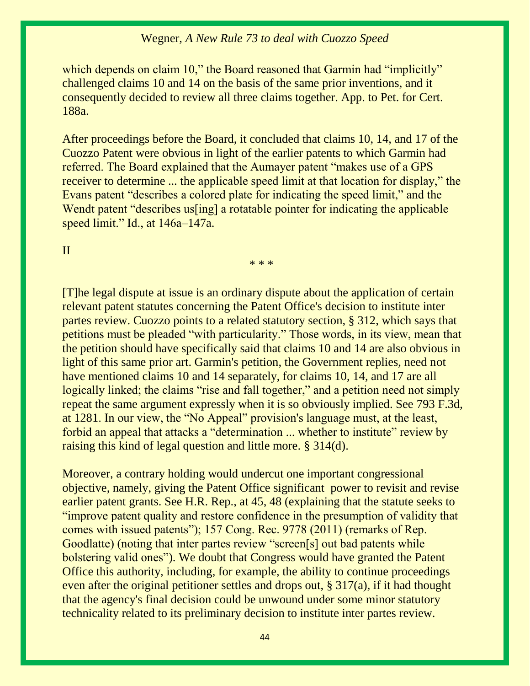which depends on claim 10," the Board reasoned that Garmin had "implicitly" challenged claims 10 and 14 on the basis of the same prior inventions, and it consequently decided to review all three claims together. App. to Pet. for Cert. 188a.

After proceedings before the Board, it concluded that claims 10, 14, and 17 of the Cuozzo Patent were obvious in light of the earlier patents to which Garmin had referred. The Board explained that the Aumayer patent "makes use of a GPS receiver to determine ... the applicable speed limit at that location for display," the Evans patent "describes a colored plate for indicating the speed limit," and the Wendt patent "describes us<sup>[ing]</sup> a rotatable pointer for indicating the applicable speed limit." Id., at 146a–147a.

\* \* \*

#### II

[T]he legal dispute at issue is an ordinary dispute about the application of certain relevant patent statutes concerning the Patent Office's decision to institute inter partes review. Cuozzo points to a related statutory section, § 312, which says that petitions must be pleaded "with particularity." Those words, in its view, mean that the petition should have specifically said that claims 10 and 14 are also obvious in light of this same prior art. Garmin's petition, the Government replies, need not have mentioned claims 10 and 14 separately, for claims 10, 14, and 17 are all logically linked; the claims "rise and fall together," and a petition need not simply repeat the same argument expressly when it is so obviously implied. See [793 F.3d,](https://1.next.westlaw.com/Link/Document/FullText?findType=Y&serNum=2036640877&pubNum=0000506&originatingDoc=I0210e51836e911e6a807ad48145ed9f1&refType=RP&fi=co_pp_sp_506_1281&originationContext=document&transitionType=DocumentItem&contextData=(sc.Search)#co_pp_sp_506_1281)  [at 1281](https://1.next.westlaw.com/Link/Document/FullText?findType=Y&serNum=2036640877&pubNum=0000506&originatingDoc=I0210e51836e911e6a807ad48145ed9f1&refType=RP&fi=co_pp_sp_506_1281&originationContext=document&transitionType=DocumentItem&contextData=(sc.Search)#co_pp_sp_506_1281). In our view, the "No Appeal" provision's language must, at the least, forbid an appeal that attacks a "determination ... whether to institute" review by raising this kind of legal question and little more. [§ 314\(d\).](https://1.next.westlaw.com/Link/Document/FullText?findType=L&pubNum=1000546&cite=35USCAS314&originatingDoc=I0210e51836e911e6a807ad48145ed9f1&refType=RB&originationContext=document&transitionType=DocumentItem&contextData=(sc.Search)#co_pp_5ba1000067d06)

Moreover, a contrary holding would undercut one important congressional objective, namely, giving the Patent Office significant power to revisit and revise earlier patent grants. See H.R. Rep., at 45, 48 (explaining that the statute seeks to "improve patent quality and restore confidence in the presumption of validity that comes with issued patents"); 157 Cong. Rec. 9778 (2011) (remarks of Rep. Goodlatte) (noting that inter partes review "screen[s] out bad patents while bolstering valid ones"). We doubt that Congress would have granted the Patent Office this authority, including, for example, the ability to continue proceedings even after the original petitioner settles and drops out, § 317(a), if it had thought that the agency's final decision could be unwound under some minor statutory technicality related to its preliminary decision to institute inter partes review.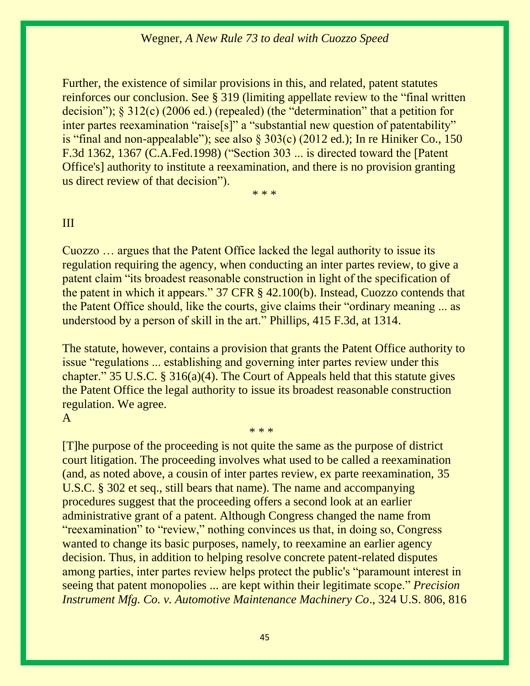Further, the existence of similar provisions in this, and related, patent statutes reinforces our conclusion. See [§ 319](https://1.next.westlaw.com/Link/Document/FullText?findType=L&pubNum=1000546&cite=35USCAS319&originatingDoc=I0210e51836e911e6a807ad48145ed9f1&refType=LQ&originationContext=document&transitionType=DocumentItem&contextData=(sc.Search)) (limiting appellate review to the "final written decision"); § 312(c) (2006 ed.) (repealed) (the "determination" that a petition for inter partes reexamination "raise[s]" a "substantial new question of patentability" is "final and non-appealable"); see also  $\S 303(c)$  (2012 ed.); In re Hiniker Co., 150 [F.3d 1362, 1367 \(C.A.Fed.1998\)](https://1.next.westlaw.com/Link/Document/FullText?findType=Y&serNum=1998158144&pubNum=0000506&originatingDoc=I0210e51836e911e6a807ad48145ed9f1&refType=RP&fi=co_pp_sp_506_1367&originationContext=document&transitionType=DocumentItem&contextData=(sc.Search)#co_pp_sp_506_1367) ("Section 303 ... is directed toward the [Patent Office's] authority to institute a reexamination, and there is no provision granting us direct review of that decision").

\* \* \*

#### III

Cuozzo … argues that the Patent Office lacked the legal authority to issue its regulation requiring the agency, when conducting an inter partes review, to give a patent claim "its broadest reasonable construction in light of the specification of the patent in which it appears." [37 CFR § 42.100\(b\).](https://1.next.westlaw.com/Link/Document/FullText?findType=L&pubNum=1000547&cite=37CFRS42.100&originatingDoc=I0210e51836e911e6a807ad48145ed9f1&refType=RB&originationContext=document&transitionType=DocumentItem&contextData=(sc.Search)#co_pp_a83b000018c76) Instead, Cuozzo contends that the Patent Office should, like the courts, give claims their "ordinary meaning ... as understood by a person of skill in the art." [Phillips, 415 F.3d, at 1314.](https://1.next.westlaw.com/Link/Document/FullText?findType=Y&serNum=2006931523&pubNum=0000506&originatingDoc=I0210e51836e911e6a807ad48145ed9f1&refType=RP&fi=co_pp_sp_506_1314&originationContext=document&transitionType=DocumentItem&contextData=(sc.Search)#co_pp_sp_506_1314)

The statute, however, contains a provision that grants the Patent Office authority to issue "regulations ... establishing and governing inter partes review under this chapter." [35 U.S.C. § 316\(a\)\(4\).](https://1.next.westlaw.com/Link/Document/FullText?findType=L&pubNum=1000546&cite=35USCAS316&originatingDoc=I0210e51836e911e6a807ad48145ed9f1&refType=RB&originationContext=document&transitionType=DocumentItem&contextData=(sc.Search)#co_pp_d40e000072291) The Court of Appeals held that this statute gives the Patent Office the legal authority to issue its broadest reasonable construction regulation. We agree.

\* \* \*

#### A

[T]he purpose of the proceeding is not quite the same as the purpose of district court litigation. The proceeding involves what used to be called a reexamination (and, as noted above, a cousin of inter partes review, ex parte reexamination, [35](https://1.next.westlaw.com/Link/Document/FullText?findType=L&pubNum=1000546&cite=35USCAS302&originatingDoc=I0210e51836e911e6a807ad48145ed9f1&refType=LQ&originationContext=document&transitionType=DocumentItem&contextData=(sc.Search))  [U.S.C. § 302 et seq.,](https://1.next.westlaw.com/Link/Document/FullText?findType=L&pubNum=1000546&cite=35USCAS302&originatingDoc=I0210e51836e911e6a807ad48145ed9f1&refType=LQ&originationContext=document&transitionType=DocumentItem&contextData=(sc.Search)) still bears that name). The name and accompanying procedures suggest that the proceeding offers a second look at an earlier administrative grant of a patent. Although Congress changed the name from "reexamination" to "review," nothing convinces us that, in doing so, Congress wanted to change its basic purposes, namely, to reexamine an earlier agency decision. Thus, in addition to helping resolve concrete patent-related disputes among parties, inter partes review helps protect the public's "paramount interest in seeing that patent monopolies ... are kept within their legitimate scope." *[Precision](https://1.next.westlaw.com/Link/Document/FullText?findType=Y&serNum=1945115864&pubNum=0000708&originatingDoc=I0210e51836e911e6a807ad48145ed9f1&refType=RP&originationContext=document&transitionType=DocumentItem&contextData=(sc.Search))  [Instrument Mfg. Co. v. Automotive Maintenance Machinery Co](https://1.next.westlaw.com/Link/Document/FullText?findType=Y&serNum=1945115864&pubNum=0000708&originatingDoc=I0210e51836e911e6a807ad48145ed9f1&refType=RP&originationContext=document&transitionType=DocumentItem&contextData=(sc.Search))*., 324 U.S. 806, 816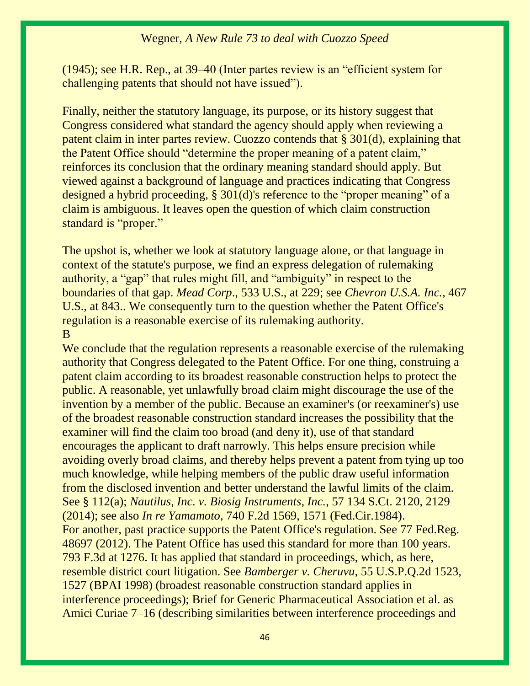(1945); see H.R. Rep., at 39–40 (Inter partes review is an "efficient system for challenging patents that should not have issued").

Finally, neither the statutory language, its purpose, or its history suggest that Congress considered what standard the agency should apply when reviewing a patent claim in inter partes review. Cuozzo contends that [§ 301\(d\),](https://1.next.westlaw.com/Link/Document/FullText?findType=L&pubNum=1000546&cite=35USCAS301&originatingDoc=I0210e51836e911e6a807ad48145ed9f1&refType=RB&originationContext=document&transitionType=DocumentItem&contextData=(sc.Search)#co_pp_5ba1000067d06) explaining that the Patent Office should "determine the proper meaning of a patent claim," reinforces its conclusion that the ordinary meaning standard should apply. But viewed against a background of language and practices indicating that Congress designed a hybrid proceeding, [§ 301\(d\)'](https://1.next.westlaw.com/Link/Document/FullText?findType=L&pubNum=1000546&cite=35USCAS301&originatingDoc=I0210e51836e911e6a807ad48145ed9f1&refType=RB&originationContext=document&transitionType=DocumentItem&contextData=(sc.Search)#co_pp_5ba1000067d06)s reference to the "proper meaning" of a claim is ambiguous. It leaves open the question of which claim construction standard is "proper."

The upshot is, whether we look at statutory language alone, or that language in context of the statute's purpose, we find an express delegation of rulemaking authority, a "gap" that rules might fill, and "ambiguity" in respect to the boundaries of that gap. *Mead Corp*[., 533 U.S., at 229;](https://1.next.westlaw.com/Link/Document/FullText?findType=Y&serNum=2001518724&pubNum=0000708&originatingDoc=I0210e51836e911e6a807ad48145ed9f1&refType=RP&originationContext=document&transitionType=DocumentItem&contextData=(sc.Search)) see *Chevron U.S.A. Inc.*, 467 U.S., at 843.. We consequently turn to the question whether the Patent Office's regulation is a reasonable exercise of its rulemaking authority. B

We conclude that the regulation represents a reasonable exercise of the rulemaking authority that Congress delegated to the Patent Office. For one thing, construing a patent claim according to its broadest reasonable construction helps to protect the public. A reasonable, yet unlawfully broad claim might discourage the use of the invention by a member of the public. Because an examiner's (or reexaminer's) use of the broadest reasonable construction standard increases the possibility that the examiner will find the claim too broad (and deny it), use of that standard encourages the applicant to draft narrowly. This helps ensure precision while avoiding overly broad claims, and thereby helps prevent a patent from tying up too much knowledge, while helping members of the public draw useful information from the disclosed invention and better understand the lawful limits of the claim. See [§ 112\(a\);](https://1.next.westlaw.com/Link/Document/FullText?findType=L&pubNum=1000546&cite=35USCAS112&originatingDoc=I0210e51836e911e6a807ad48145ed9f1&refType=LQ&originationContext=document&transitionType=DocumentItem&contextData=(sc.Search)) *[Nautilus, Inc. v. Biosig Instruments, Inc.](https://1.next.westlaw.com/Link/Document/FullText?findType=Y&serNum=2033496707&pubNum=0000708&originatingDoc=I0210e51836e911e6a807ad48145ed9f1&refType=RP&fi=co_pp_sp_708_2129&originationContext=document&transitionType=DocumentItem&contextData=(sc.Search)#co_pp_sp_708_2129)*, 57 134 S.Ct. 2120, 2129 [\(2014\);](https://1.next.westlaw.com/Link/Document/FullText?findType=Y&serNum=2033496707&pubNum=0000708&originatingDoc=I0210e51836e911e6a807ad48145ed9f1&refType=RP&fi=co_pp_sp_708_2129&originationContext=document&transitionType=DocumentItem&contextData=(sc.Search)#co_pp_sp_708_2129) see also *In re Yamamoto*[, 740 F.2d 1569, 1571 \(Fed.Cir.1984\).](https://1.next.westlaw.com/Link/Document/FullText?findType=Y&serNum=1984138738&pubNum=0000350&originatingDoc=I0210e51836e911e6a807ad48145ed9f1&refType=RP&fi=co_pp_sp_350_1571&originationContext=document&transitionType=DocumentItem&contextData=(sc.Search)#co_pp_sp_350_1571) For another, past practice supports the Patent Office's regulation. See [77 Fed.Reg.](https://1.next.westlaw.com/Link/Document/FullText?findType=l&pubNum=0001037&cite=UUID(IE3D6E4F0E5DD11E19A99AD9030C16C68)&originatingDoc=I0210e51836e911e6a807ad48145ed9f1&refType=CP&fi=co_pp_sp_1037_48697&originationContext=document&transitionType=DocumentItem&contextData=(sc.Search)#co_pp_sp_1037_48697)  [48697 \(2012\).](https://1.next.westlaw.com/Link/Document/FullText?findType=l&pubNum=0001037&cite=UUID(IE3D6E4F0E5DD11E19A99AD9030C16C68)&originatingDoc=I0210e51836e911e6a807ad48145ed9f1&refType=CP&fi=co_pp_sp_1037_48697&originationContext=document&transitionType=DocumentItem&contextData=(sc.Search)#co_pp_sp_1037_48697) The Patent Office has used this standard for more than 100 years. [793 F.3d at 1276.](https://1.next.westlaw.com/Link/Document/FullText?findType=Y&serNum=2036640877&pubNum=0000506&originatingDoc=I0210e51836e911e6a807ad48145ed9f1&refType=RP&fi=co_pp_sp_506_1276&originationContext=document&transitionType=DocumentItem&contextData=(sc.Search)#co_pp_sp_506_1276) It has applied that standard in proceedings, which, as here, resemble district court litigation. See *[Bamberger v. Cheruvu](https://1.next.westlaw.com/Link/Document/FullText?findType=Y&serNum=1998446451&pubNum=0001013&originatingDoc=I0210e51836e911e6a807ad48145ed9f1&refType=RP&fi=co_pp_sp_1013_1527&originationContext=document&transitionType=DocumentItem&contextData=(sc.Search)#co_pp_sp_1013_1527)*, 55 U.S.P.Q.2d 1523, [1527 \(BPAI 1998\)](https://1.next.westlaw.com/Link/Document/FullText?findType=Y&serNum=1998446451&pubNum=0001013&originatingDoc=I0210e51836e911e6a807ad48145ed9f1&refType=RP&fi=co_pp_sp_1013_1527&originationContext=document&transitionType=DocumentItem&contextData=(sc.Search)#co_pp_sp_1013_1527) (broadest reasonable construction standard applies in interference proceedings); Brief for Generic Pharmaceutical Association et al. as Amici Curiae 7–16 (describing similarities between interference proceedings and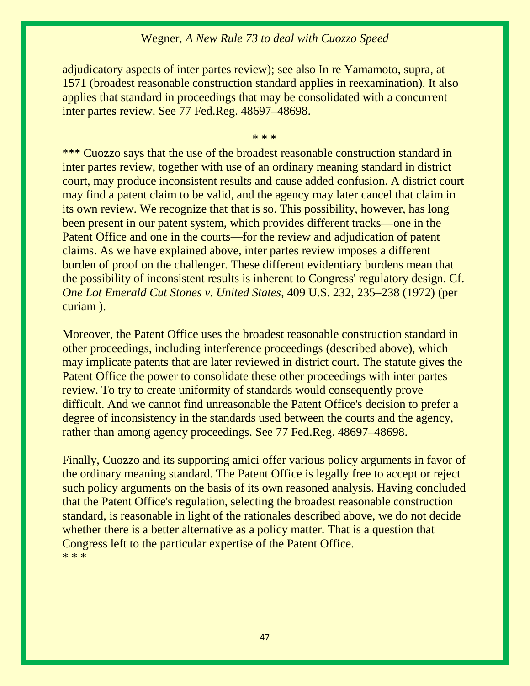adjudicatory aspects of inter partes review); see also In re Yamamoto, supra, at 1571 (broadest reasonable construction standard applies in reexamination). It also applies that standard in proceedings that may be consolidated with a concurrent inter partes review. See [77 Fed.Reg. 48697](https://1.next.westlaw.com/Link/Document/FullText?findType=l&pubNum=0001037&cite=UUID(IE3D6E4F0E5DD11E19A99AD9030C16C68)&originatingDoc=I0210e51836e911e6a807ad48145ed9f1&refType=CP&fi=co_pp_sp_1037_48697&originationContext=document&transitionType=DocumentItem&contextData=(sc.Search)#co_pp_sp_1037_48697)–48698.

\* \* \*

\*\*\* Cuozzo says that the use of the broadest reasonable construction standard in inter partes review, together with use of an ordinary meaning standard in district court, may produce inconsistent results and cause added confusion. A district court may find a patent claim to be valid, and the agency may later cancel that claim in its own review. We recognize that that is so. This possibility, however, has long been present in our patent system, which provides different tracks—one in the Patent Office and one in the courts—for the review and adjudication of patent claims. As we have explained above, inter partes review imposes a different burden of proof on the challenger. These different evidentiary burdens mean that the possibility of inconsistent results is inherent to Congress' regulatory design. Cf. *[One Lot Emerald Cut Stones v. United States](https://1.next.westlaw.com/Link/Document/FullText?findType=Y&serNum=1972127224&pubNum=0000708&originatingDoc=I0210e51836e911e6a807ad48145ed9f1&refType=RP&originationContext=document&transitionType=DocumentItem&contextData=(sc.Search))*, 409 U.S. 232, 235–238 (1972) (per curiam ).

Moreover, the Patent Office uses the broadest reasonable construction standard in other proceedings, including interference proceedings (described above), which may implicate patents that are later reviewed in district court. The statute gives the Patent Office the power to consolidate these other proceedings with inter partes review. To try to create uniformity of standards would consequently prove difficult. And we cannot find unreasonable the Patent Office's decision to prefer a degree of inconsistency in the standards used between the courts and the agency, rather than among agency proceedings. See [77 Fed.Reg. 48697](https://1.next.westlaw.com/Link/Document/FullText?findType=l&pubNum=0001037&cite=UUID(IE3D6E4F0E5DD11E19A99AD9030C16C68)&originatingDoc=I0210e51836e911e6a807ad48145ed9f1&refType=CP&fi=co_pp_sp_1037_48697&originationContext=document&transitionType=DocumentItem&contextData=(sc.Search)#co_pp_sp_1037_48697)–48698.

Finally, Cuozzo and its supporting amici offer various policy arguments in favor of the ordinary meaning standard. The Patent Office is legally free to accept or reject such policy arguments on the basis of its own reasoned analysis. Having concluded that the Patent Office's regulation, selecting the broadest reasonable construction standard, is reasonable in light of the rationales described above, we do not decide whether there is a better alternative as a policy matter. That is a question that Congress left to the particular expertise of the Patent Office. \* \* \*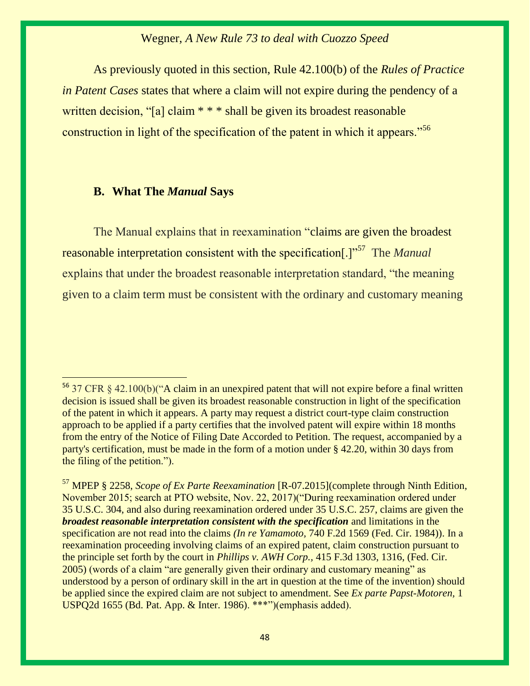As previously quoted in this section, Rule 42.100(b) of the *Rules of Practice in Patent Cases* states that where a claim will not expire during the pendency of a written decision, "[a] claim \* \* \* shall be given its broadest reasonable construction in light of the specification of the patent in which it appears."<sup>56</sup>

#### **B. What The** *Manual* **Says**

 $\overline{a}$ 

The Manual explains that in reexamination "claims are given the broadest reasonable interpretation consistent with the specification[.]"<sup>57</sup> The *Manual* explains that under the broadest reasonable interpretation standard, "the meaning given to a claim term must be consistent with the ordinary and customary meaning

<sup>&</sup>lt;sup>56</sup> 37 CFR § 42.100(b)("A claim in an unexpired patent that will not expire before a final written decision is issued shall be given its broadest reasonable construction in light of the specification of the patent in which it appears. A party may request a district court-type claim construction approach to be applied if a party certifies that the involved patent will expire within 18 months from the entry of the Notice of Filing Date Accorded to Petition. The request, accompanied by a party's certification, must be made in the form of a motion under [§ 42.20,](https://1.next.westlaw.com/Link/Document/FullText?findType=L&pubNum=1000547&cite=37CFRS42.20&originatingDoc=N06312481105411E6A9998AABBB715E77&refType=VP&originationContext=document&transitionType=DocumentItem&contextData=(sc.DocLink)) within 30 days from the filing of the petition.").

<sup>57</sup> MPEP § 2258, *Scope of Ex Parte Reexamination* [R-07.2015](complete through Ninth Edition, November 2015; search at PTO website, Nov. 22, 2017)("During reexamination ordered under [35 U.S.C. 304,](https://1.next.westlaw.com/Link/Document/FullText?findType=L&pubNum=1000546&cite=35USCAS304&originatingDoc=I0bd76dbe68d311df9b8c850332338889&refType=LQ&originationContext=document&transitionType=DocumentItem&contextData=(sc.Search)) and also during reexamination ordered under [35 U.S.C. 257,](https://1.next.westlaw.com/Link/Document/FullText?findType=L&pubNum=1000546&cite=35USCAS257&originatingDoc=I0bd76dbe68d311df9b8c850332338889&refType=LQ&originationContext=document&transitionType=DocumentItem&contextData=(sc.Search)) claims are given the *broadest reasonable interpretation consistent with the specification* and limitations in the specification are not read into the claims *(In re Yamamoto,* [740 F.2d 1569 \(Fed. Cir. 1984\)\)](https://1.next.westlaw.com/Link/Document/FullText?findType=Y&serNum=1984138738&pubNum=0000350&originatingDoc=I0bd76dbe68d311df9b8c850332338889&refType=RP&originationContext=document&transitionType=DocumentItem&contextData=(sc.Search)). In a reexamination proceeding involving claims of an expired patent, claim construction pursuant to the principle set forth by the court in *Phillips v. AWH Corp.,* [415 F.3d 1303, 1316, \(Fed. Cir.](https://1.next.westlaw.com/Link/Document/FullText?findType=Y&serNum=2006931523&pubNum=0000506&originatingDoc=I0bd76dbe68d311df9b8c850332338889&refType=RP&fi=co_pp_sp_506_1316&originationContext=document&transitionType=DocumentItem&contextData=(sc.Search)#co_pp_sp_506_1316)  [2005\)](https://1.next.westlaw.com/Link/Document/FullText?findType=Y&serNum=2006931523&pubNum=0000506&originatingDoc=I0bd76dbe68d311df9b8c850332338889&refType=RP&fi=co_pp_sp_506_1316&originationContext=document&transitionType=DocumentItem&contextData=(sc.Search)#co_pp_sp_506_1316) (words of a claim "are generally given their ordinary and customary meaning" as understood by a person of ordinary skill in the art in question at the time of the invention) should be applied since the expired claim are not subject to amendment. See *[Ex parte Papst-Motoren,](https://1.next.westlaw.com/Link/Document/FullText?findType=Y&serNum=1986022888&pubNum=0001013&originatingDoc=I0bd76dbe68d311df9b8c850332338889&refType=RP&originationContext=document&transitionType=DocumentItem&contextData=(sc.Search))* 1 [USPQ2d 1655 \(Bd. Pat. App. & Inter. 1986\)](https://1.next.westlaw.com/Link/Document/FullText?findType=Y&serNum=1986022888&pubNum=0001013&originatingDoc=I0bd76dbe68d311df9b8c850332338889&refType=RP&originationContext=document&transitionType=DocumentItem&contextData=(sc.Search)). \*\*\*")(emphasis added).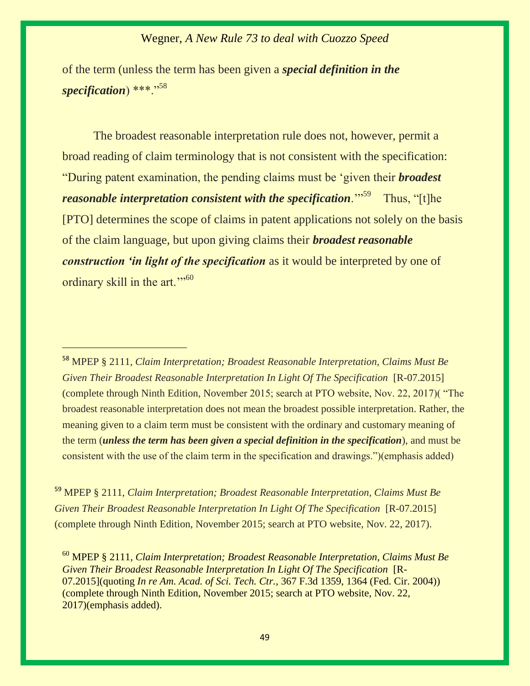of the term (unless the term has been given a *special definition in the*  specification) \*\*\*."<sup>58</sup>

The broadest reasonable interpretation rule does not, however, permit a broad reading of claim terminology that is not consistent with the specification: "During patent examination, the pending claims must be 'given their *broadest reasonable interpretation consistent with the specification.*"<sup>59</sup> Thus, "[t]he [PTO] determines the scope of claims in patent applications not solely on the basis of the claim language, but upon giving claims their *broadest reasonable construction 'in light of the specification* as it would be interpreted by one of ordinary skill in the art."<sup>50</sup>

<sup>58</sup> MPEP § 2111, *Claim Interpretation; Broadest Reasonable Interpretation, Claims Must Be Given Their Broadest Reasonable Interpretation In Light Of The Specification* [R-07.2015] (complete through Ninth Edition, November 2015; search at PTO website, Nov. 22, 2017)( "The broadest reasonable interpretation does not mean the broadest possible interpretation. Rather, the meaning given to a claim term must be consistent with the ordinary and customary meaning of the term (*unless the term has been given a special definition in the specification*), and must be consistent with the use of the claim term in the specification and drawings.")(emphasis added)

 $\overline{a}$ 

<sup>59</sup> MPEP § 2111, *Claim Interpretation; Broadest Reasonable Interpretation, Claims Must Be Given Their Broadest Reasonable Interpretation In Light Of The Specification* [R-07.2015] (complete through Ninth Edition, November 2015; search at PTO website, Nov. 22, 2017).

<sup>60</sup> MPEP § 2111*, Claim Interpretation; Broadest Reasonable Interpretation, Claims Must Be Given Their Broadest Reasonable Interpretation In Light Of The Specification* [R-07.2015](quoting *In re Am. Acad. of Sci. Tech. Ctr.,* [367 F.3d 1359, 1364 \(Fed. Cir. 2004\)\)](https://1.next.westlaw.com/Link/Document/FullText?findType=Y&serNum=2004468243&pubNum=0000506&originatingDoc=If1885a7c68d211df9b8c850332338889&refType=RP&fi=co_pp_sp_506_1364&originationContext=document&transitionType=DocumentItem&contextData=(sc.Search)#co_pp_sp_506_1364) (complete through Ninth Edition, November 2015; search at PTO website, Nov. 22, 2017)(emphasis added).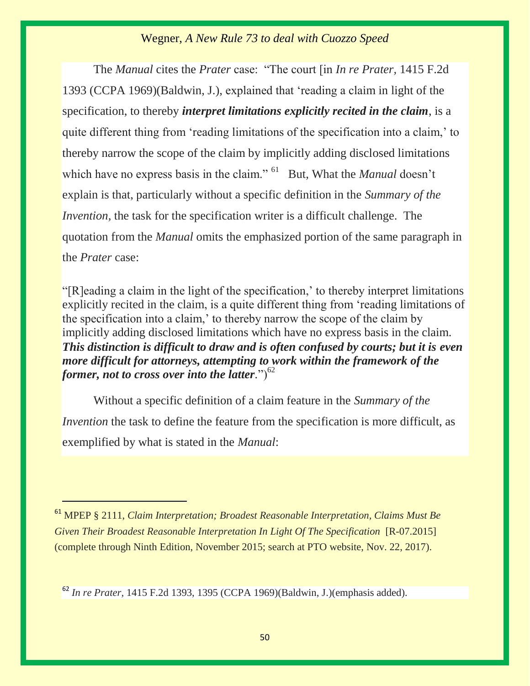The *Manual* cites the *Prater* case: "The court [in *In re Prater,* 1415 F.2d 1393 (CCPA 1969)(Baldwin, J.), explained that 'reading a claim in light of the specification, to thereby *interpret limitations explicitly recited in the claim*, is a quite different thing from 'reading limitations of the specification into a claim,' to thereby narrow the scope of the claim by implicitly adding disclosed limitations which have no express basis in the claim." <sup>61</sup> But, What the *Manual* doesn't explain is that, particularly without a specific definition in the *Summary of the Invention*, the task for the specification writer is a difficult challenge. The quotation from the *Manual* omits the emphasized portion of the same paragraph in the *Prater* case:

"[R]eading a claim in the light of the specification,' to thereby interpret limitations explicitly recited in the claim, is a quite different thing from 'reading limitations of the specification into a claim,' to thereby narrow the scope of the claim by implicitly adding disclosed limitations which have no express basis in the claim. *This distinction is difficult to draw and is often confused by courts; but it is even more difficult for attorneys, attempting to work within the framework of the former, not to cross over into the latter.*" $)^{62}$ 

Without a specific definition of a claim feature in the *Summary of the Invention* the task to define the feature from the specification is more difficult, as exemplified by what is stated in the *Manual*:

<sup>61</sup> MPEP § 2111, *Claim Interpretation; Broadest Reasonable Interpretation, Claims Must Be Given Their Broadest Reasonable Interpretation In Light Of The Specification* [R-07.2015] (complete through Ninth Edition, November 2015; search at PTO website, Nov. 22, 2017).

<sup>62</sup> *In re Prater,* 1415 F.2d 1393, 1395 (CCPA 1969)(Baldwin, J.)(emphasis added).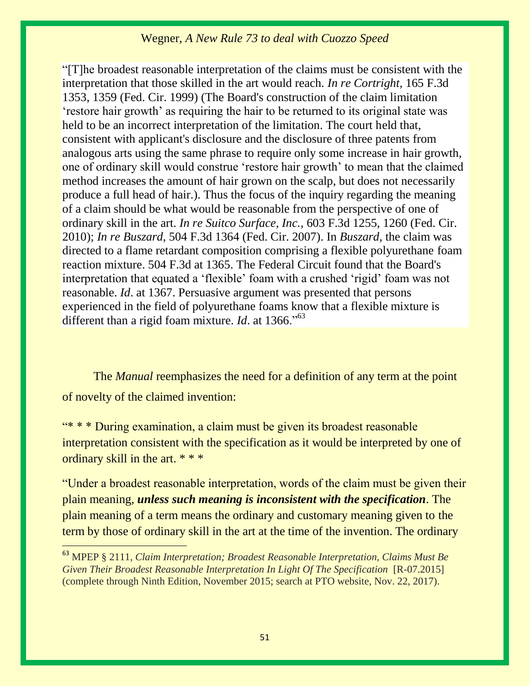"[T]he broadest reasonable interpretation of the claims must be consistent with the interpretation that those skilled in the art would reach. *[In re Cortright,](https://1.next.westlaw.com/Link/Document/FullText?findType=Y&serNum=1999034601&pubNum=0000506&originatingDoc=If1885a7c68d211df9b8c850332338889&refType=RP&fi=co_pp_sp_506_1359&originationContext=document&transitionType=DocumentItem&contextData=(sc.Search)#co_pp_sp_506_1359)* 165 F.3d [1353, 1359 \(Fed. Cir. 1999\)](https://1.next.westlaw.com/Link/Document/FullText?findType=Y&serNum=1999034601&pubNum=0000506&originatingDoc=If1885a7c68d211df9b8c850332338889&refType=RP&fi=co_pp_sp_506_1359&originationContext=document&transitionType=DocumentItem&contextData=(sc.Search)#co_pp_sp_506_1359) (The Board's construction of the claim limitation 'restore hair growth' as requiring the hair to be returned to its original state was held to be an incorrect interpretation of the limitation. The court held that, consistent with applicant's disclosure and the disclosure of three patents from analogous arts using the same phrase to require only some increase in hair growth, one of ordinary skill would construe 'restore hair growth' to mean that the claimed method increases the amount of hair grown on the scalp, but does not necessarily produce a full head of hair.). Thus the focus of the inquiry regarding the meaning of a claim should be what would be reasonable from the perspective of one of ordinary skill in the art. *In re Suitco Surface, Inc.,* [603 F.3d 1255, 1260 \(Fed. Cir.](https://1.next.westlaw.com/Link/Document/FullText?findType=Y&serNum=2021750064&pubNum=0000506&originatingDoc=If1885a7c68d211df9b8c850332338889&refType=RP&fi=co_pp_sp_506_1260&originationContext=document&transitionType=DocumentItem&contextData=(sc.Search)#co_pp_sp_506_1260)  [2010\);](https://1.next.westlaw.com/Link/Document/FullText?findType=Y&serNum=2021750064&pubNum=0000506&originatingDoc=If1885a7c68d211df9b8c850332338889&refType=RP&fi=co_pp_sp_506_1260&originationContext=document&transitionType=DocumentItem&contextData=(sc.Search)#co_pp_sp_506_1260) *In re Buszard,* [504 F.3d 1364 \(Fed. Cir. 2007\).](https://1.next.westlaw.com/Link/Document/FullText?findType=Y&serNum=2013277495&pubNum=0000506&originatingDoc=If1885a7c68d211df9b8c850332338889&refType=RP&originationContext=document&transitionType=DocumentItem&contextData=(sc.Search)) In *Buszard,* the claim was directed to a flame retardant composition comprising a flexible polyurethane foam reaction mixture. [504 F.3d at 1365.](https://1.next.westlaw.com/Link/Document/FullText?findType=Y&serNum=2013277495&pubNum=0000506&originatingDoc=If1885a7c68d211df9b8c850332338889&refType=RP&fi=co_pp_sp_506_1365&originationContext=document&transitionType=DocumentItem&contextData=(sc.Search)#co_pp_sp_506_1365) The Federal Circuit found that the Board's interpretation that equated a 'flexible' foam with a crushed 'rigid' foam was not reasonable. *Id*[. at 1367.](https://1.next.westlaw.com/Link/Document/FullText?findType=Y&serNum=2013277495&pubNum=0001013&originatingDoc=If1885a7c68d211df9b8c850332338889&refType=RP&fi=co_pp_sp_1013_1751&originationContext=document&transitionType=DocumentItem&contextData=(sc.Search)#co_pp_sp_1013_1751) Persuasive argument was presented that persons experienced in the field of polyurethane foams know that a flexible mixture is different than a rigid foam mixture. *Id*[. at 1366](https://1.next.westlaw.com/Link/Document/FullText?findType=Y&serNum=2013277495&pubNum=0001013&originatingDoc=If1885a7c68d211df9b8c850332338889&refType=RP&fi=co_pp_sp_1013_1751&originationContext=document&transitionType=DocumentItem&contextData=(sc.Search)#co_pp_sp_1013_1751).<sup>563</sup>

The *Manual* reemphasizes the need for a definition of any term at the point of novelty of the claimed invention:

"\* \* \* During examination, a claim must be given its broadest reasonable interpretation consistent with the specification as it would be interpreted by one of ordinary skill in the art. \* \* \*

"Under a broadest reasonable interpretation, words of the claim must be given their plain meaning, *unless such meaning is inconsistent with the specification*. The plain meaning of a term means the ordinary and customary meaning given to the term by those of ordinary skill in the art at the time of the invention. The ordinary

<sup>63</sup> MPEP § 2111, *Claim Interpretation; Broadest Reasonable Interpretation, Claims Must Be Given Their Broadest Reasonable Interpretation In Light Of The Specification* [R-07.2015] (complete through Ninth Edition, November 2015; search at PTO website, Nov. 22, 2017).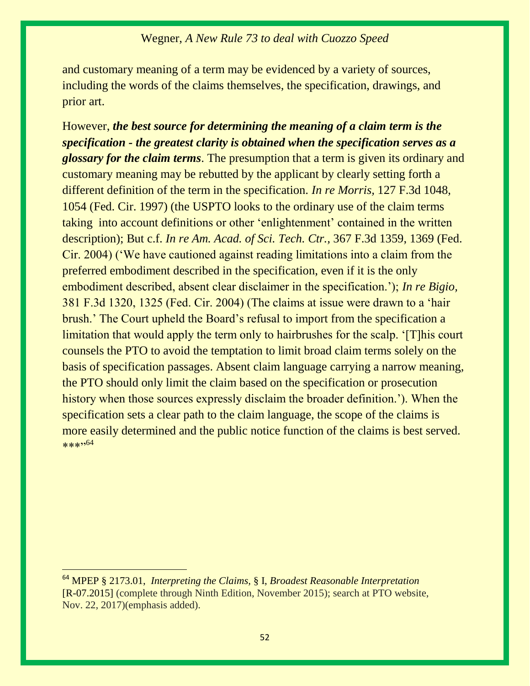and customary meaning of a term may be evidenced by a variety of sources, including the words of the claims themselves, the specification, drawings, and prior art.

However, *the best source for determining the meaning of a claim term is the specification - the greatest clarity is obtained when the specification serves as a glossary for the claim terms*. The presumption that a term is given its ordinary and customary meaning may be rebutted by the applicant by clearly setting forth a different definition of the term in the specification. *In re Morris,* 127 F.3d 1048, 1054 (Fed. Cir. 1997) (the USPTO looks to the ordinary use of the claim terms taking into account definitions or other 'enlightenment' contained in the written description); But c.f. *In re Am. Acad. of Sci. Tech. Ctr.,* 367 F.3d 1359, 1369 (Fed. Cir. 2004) ('We have cautioned against reading limitations into a claim from the preferred embodiment described in the specification, even if it is the only embodiment described, absent clear disclaimer in the specification.'); *In re Bigio,* 381 F.3d 1320, 1325 (Fed. Cir. 2004) (The claims at issue were drawn to a 'hair brush.' The Court upheld the Board's refusal to import from the specification a limitation that would apply the term only to hairbrushes for the scalp. '[T]his court counsels the PTO to avoid the temptation to limit broad claim terms solely on the basis of specification passages. Absent claim language carrying a narrow meaning, the PTO should only limit the claim based on the specification or prosecution history when those sources expressly disclaim the broader definition.'). When the specification sets a clear path to the claim language, the scope of the claims is more easily determined and the public notice function of the claims is best served.  $***$ . 64

<sup>64</sup> MPEP § 2173.01, *Interpreting the Claims,* § I, *Broadest Reasonable Interpretation* [R-07.2015] (complete through Ninth Edition, November 2015); search at PTO website, Nov. 22, 2017)(emphasis added).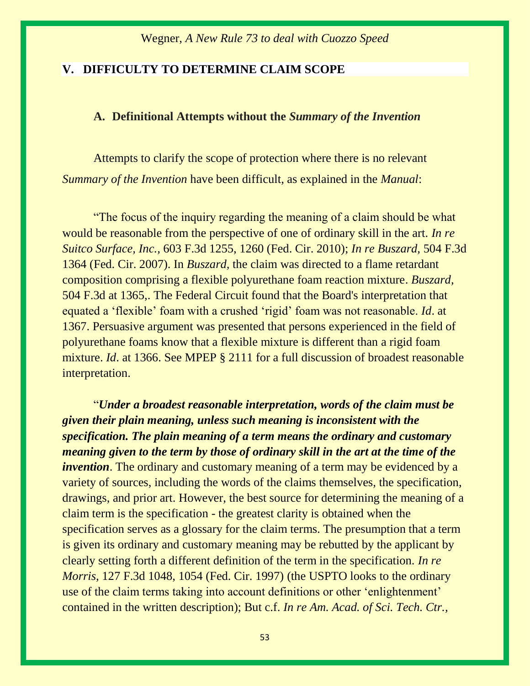#### **V. DIFFICULTY TO DETERMINE CLAIM SCOPE**

#### **A. Definitional Attempts without the** *Summary of the Invention*

Attempts to clarify the scope of protection where there is no relevant *Summary of the Invention* have been difficult, as explained in the *Manual*:

"The focus of the inquiry regarding the meaning of a claim should be what would be reasonable from the perspective of one of ordinary skill in the art. *[In re](https://1.next.westlaw.com/Link/Document/FullText?findType=Y&serNum=2021750064&pubNum=0000506&originatingDoc=I0bd7466068d311df9b8c850332338889&refType=RP&fi=co_pp_sp_506_1260&originationContext=document&transitionType=DocumentItem&contextData=(sc.Search)#co_pp_sp_506_1260)  Suitco Surface, Inc.,* [603 F.3d 1255, 1260 \(Fed. Cir. 2010\);](https://1.next.westlaw.com/Link/Document/FullText?findType=Y&serNum=2021750064&pubNum=0000506&originatingDoc=I0bd7466068d311df9b8c850332338889&refType=RP&fi=co_pp_sp_506_1260&originationContext=document&transitionType=DocumentItem&contextData=(sc.Search)#co_pp_sp_506_1260) *[In re Buszard,](https://1.next.westlaw.com/Link/Document/FullText?findType=Y&serNum=2013277495&pubNum=0000506&originatingDoc=I0bd7466068d311df9b8c850332338889&refType=RP&originationContext=document&transitionType=DocumentItem&contextData=(sc.Search))* 504 F.3d [1364 \(Fed. Cir. 2007\).](https://1.next.westlaw.com/Link/Document/FullText?findType=Y&serNum=2013277495&pubNum=0000506&originatingDoc=I0bd7466068d311df9b8c850332338889&refType=RP&originationContext=document&transitionType=DocumentItem&contextData=(sc.Search)) In *Buszard,* the claim was directed to a flame retardant composition comprising a flexible polyurethane foam reaction mixture. *[Buszard,](https://1.next.westlaw.com/Link/Document/FullText?findType=Y&serNum=2013277495&pubNum=0000506&originatingDoc=I0bd7466068d311df9b8c850332338889&refType=RP&fi=co_pp_sp_506_1365&originationContext=document&transitionType=DocumentItem&contextData=(sc.Search)#co_pp_sp_506_1365)* [504 F.3d at 1365,.](https://1.next.westlaw.com/Link/Document/FullText?findType=Y&serNum=2013277495&pubNum=0000506&originatingDoc=I0bd7466068d311df9b8c850332338889&refType=RP&fi=co_pp_sp_506_1365&originationContext=document&transitionType=DocumentItem&contextData=(sc.Search)#co_pp_sp_506_1365) The Federal Circuit found that the Board's interpretation that equated a 'flexible' foam with a crushed 'rigid' foam was not reasonable. *Id*[. at](https://1.next.westlaw.com/Link/Document/FullText?findType=Y&serNum=2013277495&pubNum=0001013&originatingDoc=I0bd7466068d311df9b8c850332338889&refType=RP&fi=co_pp_sp_1013_1751&originationContext=document&transitionType=DocumentItem&contextData=(sc.Search)#co_pp_sp_1013_1751)  [1367.](https://1.next.westlaw.com/Link/Document/FullText?findType=Y&serNum=2013277495&pubNum=0001013&originatingDoc=I0bd7466068d311df9b8c850332338889&refType=RP&fi=co_pp_sp_1013_1751&originationContext=document&transitionType=DocumentItem&contextData=(sc.Search)#co_pp_sp_1013_1751) Persuasive argument was presented that persons experienced in the field of polyurethane foams know that a flexible mixture is different than a rigid foam mixture. *Id*[. at 1366.](https://1.next.westlaw.com/Link/Document/FullText?findType=Y&serNum=2013277495&pubNum=0001013&originatingDoc=I0bd7466068d311df9b8c850332338889&refType=RP&fi=co_pp_sp_1013_1751&originationContext=document&transitionType=DocumentItem&contextData=(sc.Search)#co_pp_sp_1013_1751) See [MPEP § 2111](https://1.next.westlaw.com/Link/Document/FullText?findType=Y&pubNum=1015320&cite=MPEPs2111&originatingDoc=I0bd7466068d311df9b8c850332338889&refType=TS&originationContext=document&transitionType=DocumentItem&contextData=(sc.Search)) for a full discussion of broadest reasonable interpretation.

"*Under a broadest reasonable interpretation, words of the claim must be given their plain meaning, unless such meaning is inconsistent with the specification. The plain meaning of a term means the ordinary and customary meaning given to the term by those of ordinary skill in the art at the time of the invention*. The ordinary and customary meaning of a term may be evidenced by a variety of sources, including the words of the claims themselves, the specification, drawings, and prior art. However, the best source for determining the meaning of a claim term is the specification - the greatest clarity is obtained when the specification serves as a glossary for the claim terms. The presumption that a term is given its ordinary and customary meaning may be rebutted by the applicant by clearly setting forth a different definition of the term in the specification. *[In re](https://1.next.westlaw.com/Link/Document/FullText?findType=Y&serNum=1997186883&pubNum=0000506&originatingDoc=I0bd7466068d311df9b8c850332338889&refType=RP&fi=co_pp_sp_506_1054&originationContext=document&transitionType=DocumentItem&contextData=(sc.Search)#co_pp_sp_506_1054)  Morris,* [127 F.3d 1048, 1054 \(Fed. Cir. 1997\)](https://1.next.westlaw.com/Link/Document/FullText?findType=Y&serNum=1997186883&pubNum=0000506&originatingDoc=I0bd7466068d311df9b8c850332338889&refType=RP&fi=co_pp_sp_506_1054&originationContext=document&transitionType=DocumentItem&contextData=(sc.Search)#co_pp_sp_506_1054) (the USPTO looks to the ordinary use of the claim terms taking into account definitions or other 'enlightenment' contained in the written description); But c.f. *In re [Am. Acad. of Sci. Tech. Ctr.,](https://1.next.westlaw.com/Link/Document/FullText?findType=Y&serNum=2004468243&pubNum=0000506&originatingDoc=I0bd7466068d311df9b8c850332338889&refType=RP&fi=co_pp_sp_506_1369&originationContext=document&transitionType=DocumentItem&contextData=(sc.Search)#co_pp_sp_506_1369)*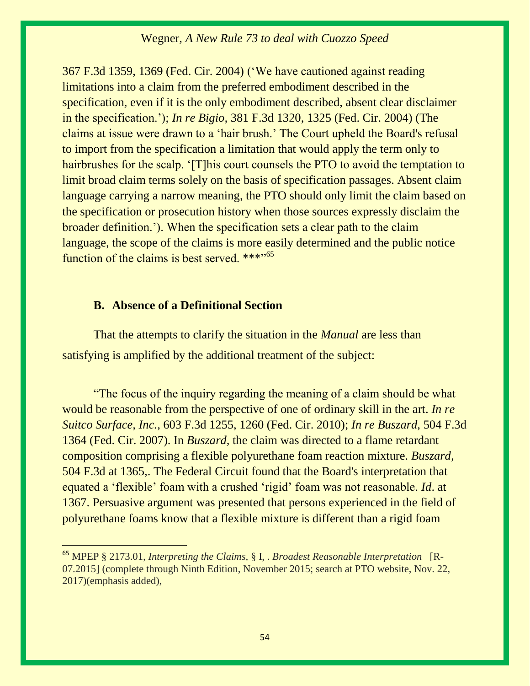367 F.3d 1359, 1369 (Fed. Cir. 2004) ('We have cautioned against reading limitations into a claim from the preferred embodiment described in the specification, even if it is the only embodiment described, absent clear disclaimer in the specification.'); *In re Bigio,* [381 F.3d 1320, 1325 \(Fed. Cir. 2004\)](https://1.next.westlaw.com/Link/Document/FullText?findType=Y&serNum=2004914137&pubNum=0000506&originatingDoc=I0bd7466068d311df9b8c850332338889&refType=RP&fi=co_pp_sp_506_1325&originationContext=document&transitionType=DocumentItem&contextData=(sc.Search)#co_pp_sp_506_1325) (The claims at issue were drawn to a 'hair brush.' The Court upheld the Board's refusal to import from the specification a limitation that would apply the term only to hairbrushes for the scalp. '[T]his court counsels the PTO to avoid the temptation to limit broad claim terms solely on the basis of specification passages. Absent claim language carrying a narrow meaning, the PTO should only limit the claim based on the specification or prosecution history when those sources expressly disclaim the broader definition.'). When the specification sets a clear path to the claim language, the scope of the claims is more easily determined and the public notice function of the claims is best served.  $***$ <sup>55</sup>

#### **B. Absence of a Definitional Section**

That the attempts to clarify the situation in the *Manual* are less than satisfying is amplified by the additional treatment of the subject:

"The focus of the inquiry regarding the meaning of a claim should be what would be reasonable from the perspective of one of ordinary skill in the art. *[In re](https://1.next.westlaw.com/Link/Document/FullText?findType=Y&serNum=2021750064&pubNum=0000506&originatingDoc=I0bd7466068d311df9b8c850332338889&refType=RP&fi=co_pp_sp_506_1260&originationContext=document&transitionType=DocumentItem&contextData=(sc.Search)#co_pp_sp_506_1260)  Suitco Surface, Inc.,* [603 F.3d 1255, 1260 \(Fed. Cir. 2010\);](https://1.next.westlaw.com/Link/Document/FullText?findType=Y&serNum=2021750064&pubNum=0000506&originatingDoc=I0bd7466068d311df9b8c850332338889&refType=RP&fi=co_pp_sp_506_1260&originationContext=document&transitionType=DocumentItem&contextData=(sc.Search)#co_pp_sp_506_1260) *[In re Buszard,](https://1.next.westlaw.com/Link/Document/FullText?findType=Y&serNum=2013277495&pubNum=0000506&originatingDoc=I0bd7466068d311df9b8c850332338889&refType=RP&originationContext=document&transitionType=DocumentItem&contextData=(sc.Search))* 504 F.3d [1364 \(Fed. Cir. 2007\).](https://1.next.westlaw.com/Link/Document/FullText?findType=Y&serNum=2013277495&pubNum=0000506&originatingDoc=I0bd7466068d311df9b8c850332338889&refType=RP&originationContext=document&transitionType=DocumentItem&contextData=(sc.Search)) In *Buszard,* the claim was directed to a flame retardant composition comprising a flexible polyurethane foam reaction mixture. *[Buszard,](https://1.next.westlaw.com/Link/Document/FullText?findType=Y&serNum=2013277495&pubNum=0000506&originatingDoc=I0bd7466068d311df9b8c850332338889&refType=RP&fi=co_pp_sp_506_1365&originationContext=document&transitionType=DocumentItem&contextData=(sc.Search)#co_pp_sp_506_1365)* [504 F.3d at 1365,.](https://1.next.westlaw.com/Link/Document/FullText?findType=Y&serNum=2013277495&pubNum=0000506&originatingDoc=I0bd7466068d311df9b8c850332338889&refType=RP&fi=co_pp_sp_506_1365&originationContext=document&transitionType=DocumentItem&contextData=(sc.Search)#co_pp_sp_506_1365) The Federal Circuit found that the Board's interpretation that equated a 'flexible' foam with a crushed 'rigid' foam was not reasonable. *Id*[. at](https://1.next.westlaw.com/Link/Document/FullText?findType=Y&serNum=2013277495&pubNum=0001013&originatingDoc=I0bd7466068d311df9b8c850332338889&refType=RP&fi=co_pp_sp_1013_1751&originationContext=document&transitionType=DocumentItem&contextData=(sc.Search)#co_pp_sp_1013_1751)  [1367.](https://1.next.westlaw.com/Link/Document/FullText?findType=Y&serNum=2013277495&pubNum=0001013&originatingDoc=I0bd7466068d311df9b8c850332338889&refType=RP&fi=co_pp_sp_1013_1751&originationContext=document&transitionType=DocumentItem&contextData=(sc.Search)#co_pp_sp_1013_1751) Persuasive argument was presented that persons experienced in the field of polyurethane foams know that a flexible mixture is different than a rigid foam

<sup>65</sup> MPEP § 2173.01*, Interpreting the Claims,* § I, . *Broadest Reasonable Interpretation* [R-07.2015] (complete through Ninth Edition, November 2015; search at PTO website, Nov. 22, 2017)(emphasis added),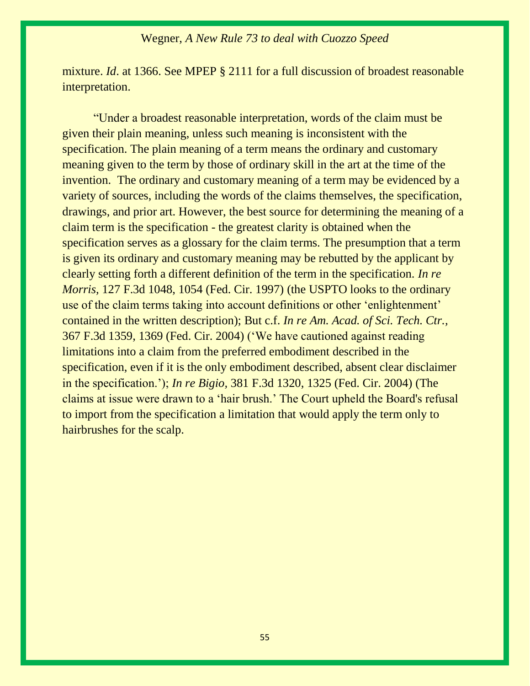mixture. *Id*[. at 1366.](https://1.next.westlaw.com/Link/Document/FullText?findType=Y&serNum=2013277495&pubNum=0001013&originatingDoc=I0bd7466068d311df9b8c850332338889&refType=RP&fi=co_pp_sp_1013_1751&originationContext=document&transitionType=DocumentItem&contextData=(sc.Search)#co_pp_sp_1013_1751) See [MPEP § 2111](https://1.next.westlaw.com/Link/Document/FullText?findType=Y&pubNum=1015320&cite=MPEPs2111&originatingDoc=I0bd7466068d311df9b8c850332338889&refType=TS&originationContext=document&transitionType=DocumentItem&contextData=(sc.Search)) for a full discussion of broadest reasonable interpretation.

"Under a broadest reasonable interpretation, words of the claim must be given their plain meaning, unless such meaning is inconsistent with the specification. The plain meaning of a term means the ordinary and customary meaning given to the term by those of ordinary skill in the art at the time of the invention. The ordinary and customary meaning of a term may be evidenced by a variety of sources, including the words of the claims themselves, the specification, drawings, and prior art. However, the best source for determining the meaning of a claim term is the specification - the greatest clarity is obtained when the specification serves as a glossary for the claim terms. The presumption that a term is given its ordinary and customary meaning may be rebutted by the applicant by clearly setting forth a different definition of the term in the specification. *[In re](https://1.next.westlaw.com/Link/Document/FullText?findType=Y&serNum=1997186883&pubNum=0000506&originatingDoc=I0bd7466068d311df9b8c850332338889&refType=RP&fi=co_pp_sp_506_1054&originationContext=document&transitionType=DocumentItem&contextData=(sc.Search)#co_pp_sp_506_1054)  Morris,* [127 F.3d 1048, 1054 \(Fed. Cir. 1997\)](https://1.next.westlaw.com/Link/Document/FullText?findType=Y&serNum=1997186883&pubNum=0000506&originatingDoc=I0bd7466068d311df9b8c850332338889&refType=RP&fi=co_pp_sp_506_1054&originationContext=document&transitionType=DocumentItem&contextData=(sc.Search)#co_pp_sp_506_1054) (the USPTO looks to the ordinary use of the claim terms taking into account definitions or other 'enlightenment' contained in the written description); But c.f. *In re [Am. Acad. of Sci. Tech. Ctr.,](https://1.next.westlaw.com/Link/Document/FullText?findType=Y&serNum=2004468243&pubNum=0000506&originatingDoc=I0bd7466068d311df9b8c850332338889&refType=RP&fi=co_pp_sp_506_1369&originationContext=document&transitionType=DocumentItem&contextData=(sc.Search)#co_pp_sp_506_1369)* [367 F.3d 1359, 1369 \(Fed. Cir. 2004\)](https://1.next.westlaw.com/Link/Document/FullText?findType=Y&serNum=2004468243&pubNum=0000506&originatingDoc=I0bd7466068d311df9b8c850332338889&refType=RP&fi=co_pp_sp_506_1369&originationContext=document&transitionType=DocumentItem&contextData=(sc.Search)#co_pp_sp_506_1369) ('We have cautioned against reading limitations into a claim from the preferred embodiment described in the specification, even if it is the only embodiment described, absent clear disclaimer in the specification.'); *In re Bigio,* [381 F.3d 1320, 1325 \(Fed. Cir. 2004\)](https://1.next.westlaw.com/Link/Document/FullText?findType=Y&serNum=2004914137&pubNum=0000506&originatingDoc=I0bd7466068d311df9b8c850332338889&refType=RP&fi=co_pp_sp_506_1325&originationContext=document&transitionType=DocumentItem&contextData=(sc.Search)#co_pp_sp_506_1325) (The claims at issue were drawn to a 'hair brush.' The Court upheld the Board's refusal to import from the specification a limitation that would apply the term only to hairbrushes for the scalp.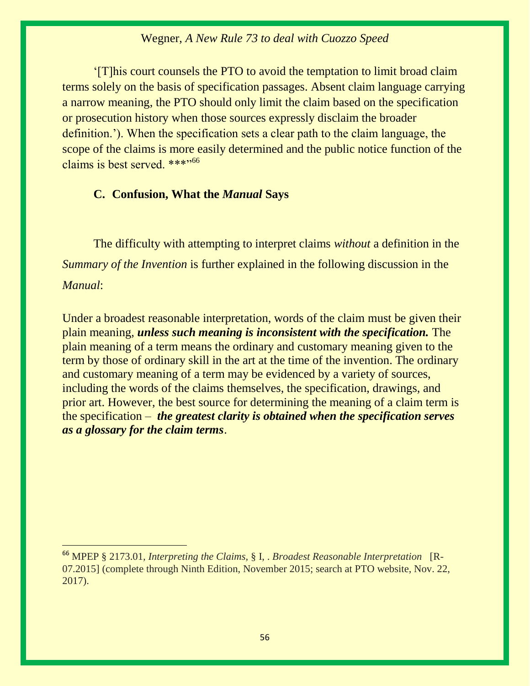'[T]his court counsels the PTO to avoid the temptation to limit broad claim terms solely on the basis of specification passages. Absent claim language carrying a narrow meaning, the PTO should only limit the claim based on the specification or prosecution history when those sources expressly disclaim the broader definition.'). When the specification sets a clear path to the claim language, the scope of the claims is more easily determined and the public notice function of the claims is best served. \*\*\*"<sup>66</sup>

## **C. Confusion, What the** *Manual* **Says**

The difficulty with attempting to interpret claims *without* a definition in the *Summary of the Invention* is further explained in the following discussion in the *Manual*:

Under a broadest reasonable interpretation, words of the claim must be given their plain meaning, *unless such meaning is inconsistent with the specification.* The plain meaning of a term means the ordinary and customary meaning given to the term by those of ordinary skill in the art at the time of the invention. The ordinary and customary meaning of a term may be evidenced by a variety of sources, including the words of the claims themselves, the specification, drawings, and prior art. However, the best source for determining the meaning of a claim term is the specification – *the greatest clarity is obtained when the specification serves as a glossary for the claim terms*.

<sup>66</sup> MPEP § 2173.01*, Interpreting the Claims,* § I, . *Broadest Reasonable Interpretation* [R-07.2015] (complete through Ninth Edition, November 2015; search at PTO website, Nov. 22, 2017).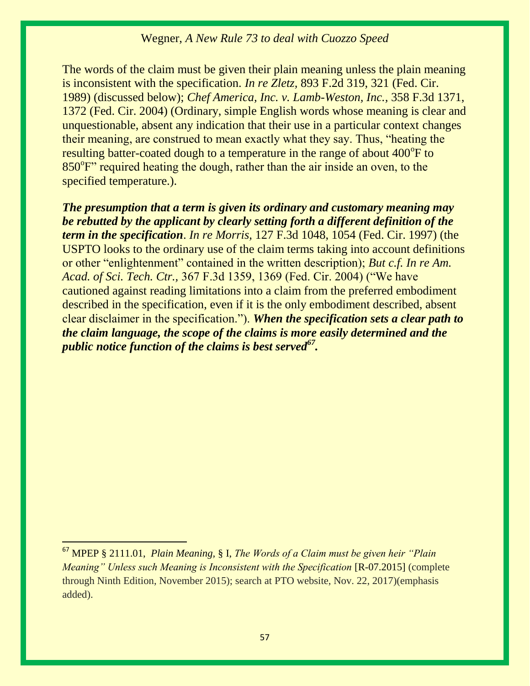The words of the claim must be given their plain meaning unless the plain meaning is inconsistent with the specification. *In re Zletz,* 893 F.2d 319, 321 (Fed. Cir. 1989) (discussed below); *Chef America, Inc. v. Lamb-Weston, Inc.,* 358 F.3d 1371, 1372 (Fed. Cir. 2004) (Ordinary, simple English words whose meaning is clear and unquestionable, absent any indication that their use in a particular context changes their meaning, are construed to mean exactly what they say. Thus, "heating the resulting batter-coated dough to a temperature in the range of about  $400^{\circ}$ F to 850°F" required heating the dough, rather than the air inside an oven, to the specified temperature.).

*The presumption that a term is given its ordinary and customary meaning may be rebutted by the applicant by clearly setting forth a different definition of the term in the specification*. *In re Morris,* 127 F.3d 1048, 1054 (Fed. Cir. 1997) (the USPTO looks to the ordinary use of the claim terms taking into account definitions or other "enlightenment" contained in the written description); *But c.f. In re Am. Acad. of Sci. Tech. Ctr.,* 367 F.3d 1359, 1369 (Fed. Cir. 2004) ("We have cautioned against reading limitations into a claim from the preferred embodiment described in the specification, even if it is the only embodiment described, absent clear disclaimer in the specification."). *When the specification sets a clear path to the claim language, the scope of the claims is more easily determined and the public notice function of the claims is best served<sup>67</sup> .*

<sup>67</sup> MPEP § 2111.01, *Plain Meaning,* § I, *The Words of a Claim must be given heir "Plain Meaning" Unless such Meaning is Inconsistent with the Specification* [R-07.2015] (complete through Ninth Edition, November 2015); search at PTO website, Nov. 22, 2017)(emphasis added).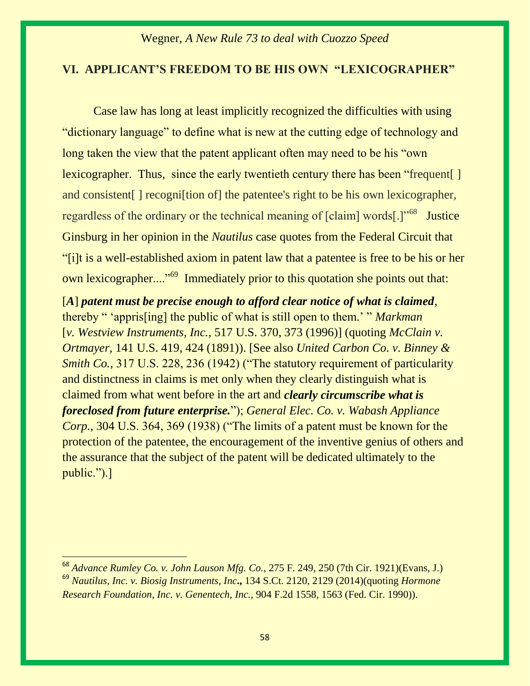#### **VI. APPLICANT'S FREEDOM TO BE HIS OWN "LEXICOGRAPHER"**

Case law has long at least implicitly recognized the difficulties with using "dictionary language" to define what is new at the cutting edge of technology and long taken the view that the patent applicant often may need to be his "own" lexicographer. Thus, since the early twentieth century there has been "frequent. and consistent | recognition of the patentee's right to be his own lexicographer, regardless of the ordinary or the technical meaning of [claim] words[.]"<sup>68</sup> Justice Ginsburg in her opinion in the *Nautilus* case quotes from the Federal Circuit that "[i]t is a well-established axiom in patent law that a patentee is free to be his or her own lexicographer...."<sup>69</sup> Immediately prior to this quotation she points out that:

[*A*] *patent must be precise enough to afford clear notice of what is claimed*, thereby " 'appris[ing] the public of what is still open to them.' " *Markman* [*v. Westview Instruments, Inc.,* 517 U.S. 370, 373 (1996)] (quoting *[McClain v.](https://1.next.westlaw.com/Link/Document/FullText?findType=Y&serNum=1891138943&pubNum=0000708&originatingDoc=I91b5583dea3a11e3b4bafa136b480ad2&refType=RP&originationContext=document&transitionType=DocumentItem&contextData=(sc.Search))  Ortmayer,* [141 U.S. 419, 424 \(1891\)\)](https://1.next.westlaw.com/Link/Document/FullText?findType=Y&serNum=1891138943&pubNum=0000708&originatingDoc=I91b5583dea3a11e3b4bafa136b480ad2&refType=RP&originationContext=document&transitionType=DocumentItem&contextData=(sc.Search)). [See also *United Carbon Co. v. Binney & Smith Co.,* 317 U.S. 228, 236 (1942) ("The statutory requirement of particularity and distinctness in claims is met only when they clearly distinguish what is claimed from what went before in the art and *clearly circumscribe what is foreclosed from future enterprise.*"); *General Elec. Co. v. Wabash Appliance Corp.,* 304 U.S. 364, 369 (1938) ("The limits of a patent must be known for the protection of the patentee, the encouragement of the inventive genius of others and the assurance that the subject of the patent will be dedicated ultimately to the public.").]

<sup>68</sup> *[Advance Rumley Co. v. John Lauson Mfg. Co.,](https://1.next.westlaw.com/Document/I920214af545a11d9bf30d7fdf51b6bd4/View/FullText.html?listSource=Search&navigationPath=Search%2fv3%2fsearch%2fresults%2fnavigation%2fi0ad740150000015fe8d06893f36455fc%3fNav%3dCASE%26fragmentIdentifier%3dI920214af545a11d9bf30d7fdf51b6bd4%26startIndex%3d1%26contextData%3d%2528sc.Search%2529%26transitionType%3dSearchItem&list=CASE&rank=1&listPageSource=02bab685a9dc7ea58f076f5347950554&originationContext=docHeader&contextData=(sc.Search)&transitionType=Document&needToInjectTerms=False&enableBestPortion=True&docSource=0b76b10a53194b4aa25663c6c7f0692e)* 275 F. 249, 250 (7th Cir. 1921)(Evans, J.) <sup>69</sup> *Nautilus, Inc. v. Biosig Instruments, Inc***.,** 134 S.Ct. 2120, 2129 (2014)(quoting *[Hormone](https://1.next.westlaw.com/Link/Document/FullText?findType=Y&serNum=1990088410&pubNum=0000350&originatingDoc=I91b5583dea3a11e3b4bafa136b480ad2&refType=RP&fi=co_pp_sp_350_1563&originationContext=document&transitionType=DocumentItem&contextData=(sc.Search)#co_pp_sp_350_1563)  [Research Foundation, Inc. v. Genentech, Inc.,](https://1.next.westlaw.com/Link/Document/FullText?findType=Y&serNum=1990088410&pubNum=0000350&originatingDoc=I91b5583dea3a11e3b4bafa136b480ad2&refType=RP&fi=co_pp_sp_350_1563&originationContext=document&transitionType=DocumentItem&contextData=(sc.Search)#co_pp_sp_350_1563)* 904 F.2d 1558, 1563 (Fed. Cir. 1990)).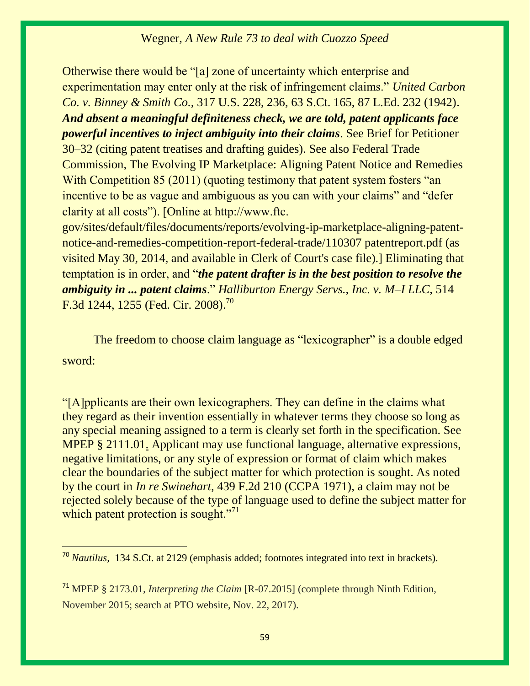Otherwise there would be "[a] zone of uncertainty which enterprise and experimentation may enter only at the risk of infringement claims." *[United Carbon](https://1.next.westlaw.com/Link/Document/FullText?findType=Y&serNum=1942121246&pubNum=0000708&originatingDoc=I91b5583dea3a11e3b4bafa136b480ad2&refType=RP&originationContext=document&transitionType=DocumentItem&contextData=(sc.Search))  Co. v. Binney & Smith Co.,* [317 U.S. 228, 236, 63 S.Ct. 165, 87 L.Ed. 232 \(1942\).](https://1.next.westlaw.com/Link/Document/FullText?findType=Y&serNum=1942121246&pubNum=0000708&originatingDoc=I91b5583dea3a11e3b4bafa136b480ad2&refType=RP&originationContext=document&transitionType=DocumentItem&contextData=(sc.Search)) *And absent a meaningful definiteness check, we are told, patent applicants face powerful incentives to inject ambiguity into their claims*. See Brief for Petitioner 30–32 (citing patent treatises and drafting guides). See also Federal Trade Commission, The Evolving IP Marketplace: Aligning Patent Notice and Remedies With Competition 85 (2011) (quoting testimony that patent system fosters "an incentive to be as vague and ambiguous as you can with your claims" and "defer clarity at all costs"). [Online at http://www.ftc.

gov/sites/default/files/documents/reports/evolving-ip-marketplace-aligning-patentnotice-and-remedies-competition-report-federal-trade/110307 patentreport.pdf (as visited May 30, 2014, and available in Clerk of Court's case file).] Eliminating that temptation is in order, and "*the patent drafter is in the best position to resolve the ambiguity in ... patent claims*." *[Halliburton Energy Servs., Inc. v. M](https://1.next.westlaw.com/Link/Document/FullText?findType=Y&serNum=2014902410&pubNum=0000506&originatingDoc=I91b5583dea3a11e3b4bafa136b480ad2&refType=RP&fi=co_pp_sp_506_1255&originationContext=document&transitionType=DocumentItem&contextData=(sc.Search)#co_pp_sp_506_1255)–I LLC,* 514 [F.3d 1244, 1255 \(Fed. Cir. 2008\).](https://1.next.westlaw.com/Link/Document/FullText?findType=Y&serNum=2014902410&pubNum=0000506&originatingDoc=I91b5583dea3a11e3b4bafa136b480ad2&refType=RP&fi=co_pp_sp_506_1255&originationContext=document&transitionType=DocumentItem&contextData=(sc.Search)#co_pp_sp_506_1255)<sup>70</sup>

The freedom to choose claim language as "lexicographer" is a double edged sword:

"[A]pplicants are their own lexicographers. They can define in the claims what they regard as their invention essentially in whatever terms they choose so long as any special meaning assigned to a term is clearly set forth in the specification. See [MPEP § 2111.01.](https://1.next.westlaw.com/Link/Document/FullText?findType=Y&pubNum=1015320&cite=MPEPs2111.01&originatingDoc=I0bd7466068d311df9b8c850332338889&refType=TS&originationContext=document&transitionType=DocumentItem&contextData=(sc.Search)) Applicant may use functional language, alternative expressions, negative limitations, or any style of expression or format of claim which makes clear the boundaries of the subject matter for which protection is sought. As noted by the court in *In re Swinehart,* [439 F.2d 210 \(CCPA 1971\),](https://1.next.westlaw.com/Link/Document/FullText?findType=Y&serNum=1971109121&pubNum=0000350&originatingDoc=I0bd7466068d311df9b8c850332338889&refType=RP&originationContext=document&transitionType=DocumentItem&contextData=(sc.Search)) a claim may not be rejected solely because of the type of language used to define the subject matter for which patent protection is sought."<sup>71</sup>

<sup>70</sup> *Nautilus,* 134 S.Ct. at 2129 (emphasis added; footnotes integrated into text in brackets).

<sup>71</sup> MPEP § 2173.01*, Interpreting the Claim* [R-07.2015] (complete through Ninth Edition, November 2015; search at PTO website, Nov. 22, 2017).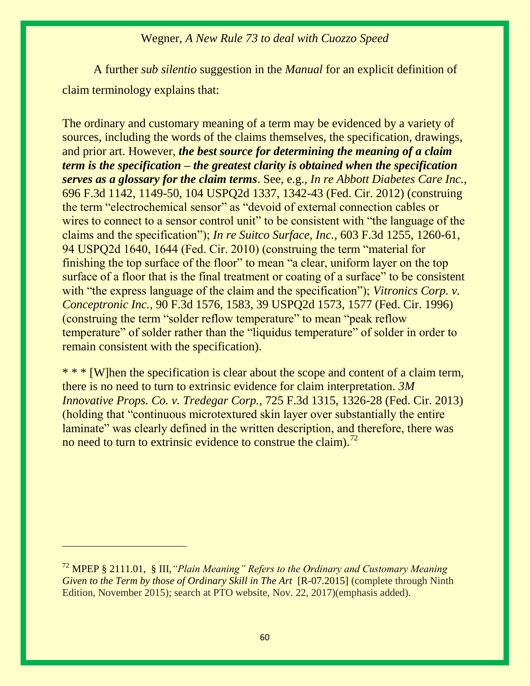A further *sub silentio* suggestion in the *Manual* for an explicit definition of claim terminology explains that:

The ordinary and customary meaning of a term may be evidenced by a variety of sources, including the words of the claims themselves, the specification, drawings, and prior art. However, *the best source for determining the meaning of a claim term is the specification – the greatest clarity is obtained when the specification serves as a glossary for the claim terms*. See, e.g., *In re Abbott Diabetes Care Inc.,* 696 F.3d 1142, 1149-50, 104 USPQ2d 1337, 1342-43 (Fed. Cir. 2012) (construing the term "electrochemical sensor" as "devoid of external connection cables or wires to connect to a sensor control unit" to be consistent with "the language of the claims and the specification"); *In re Suitco Surface, Inc.,* 603 F.3d 1255, 1260-61, 94 USPQ2d 1640, 1644 (Fed. Cir. 2010) (construing the term "material for finishing the top surface of the floor" to mean "a clear, uniform layer on the top surface of a floor that is the final treatment or coating of a surface" to be consistent with "the express language of the claim and the specification"); *Vitronics Corp. v. Conceptronic Inc.,* 90 F.3d 1576, 1583, 39 USPQ2d 1573, 1577 (Fed. Cir. 1996) (construing the term "solder reflow temperature" to mean "peak reflow temperature" of solder rather than the "liquidus temperature" of solder in order to remain consistent with the specification).

\* \* \* [W]hen the specification is clear about the scope and content of a claim term, there is no need to turn to extrinsic evidence for claim interpretation. *3M Innovative Props. Co. v. Tredegar Corp.,* 725 F.3d 1315, 1326-28 (Fed. Cir. 2013) (holding that "continuous microtextured skin layer over substantially the entire laminate" was clearly defined in the written description, and therefore, there was no need to turn to extrinsic evidence to construe the claim).<sup>72</sup>

<sup>72</sup> MPEP § 2111.01, § III,*"Plain Meaning" Refers to the Ordinary and Customary Meaning Given to the Term by those of Ordinary Skill in The Art* [R-07.2015] (complete through Ninth Edition, November 2015); search at PTO website, Nov. 22, 2017)(emphasis added).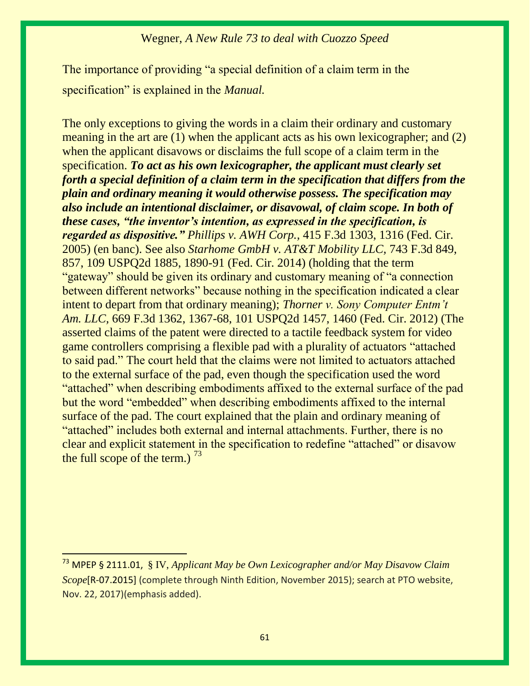The importance of providing "a special definition of a claim term in the specification" is explained in the *Manual.*

The only exceptions to giving the words in a claim their ordinary and customary meaning in the art are (1) when the applicant acts as his own lexicographer; and (2) when the applicant disavows or disclaims the full scope of a claim term in the specification. *To act as his own lexicographer, the applicant must clearly set forth a special definition of a claim term in the specification that differs from the plain and ordinary meaning it would otherwise possess. The specification may also include an intentional disclaimer, or disavowal, of claim scope. In both of these cases, "the inventor's intention, as expressed in the specification, is regarded as dispositive." Phillips v. AWH Corp.,* 415 F.3d 1303, 1316 (Fed. Cir. 2005) (en banc). See also *Starhome GmbH v. AT&T Mobility LLC,* 743 F.3d 849, 857, 109 USPQ2d 1885, 1890-91 (Fed. Cir. 2014) (holding that the term "gateway" should be given its ordinary and customary meaning of "a connection between different networks" because nothing in the specification indicated a clear intent to depart from that ordinary meaning); *Thorner v. Sony Computer Entm't Am. LLC,* 669 F.3d 1362, 1367-68, 101 USPQ2d 1457, 1460 (Fed. Cir. 2012) (The asserted claims of the patent were directed to a tactile feedback system for video game controllers comprising a flexible pad with a plurality of actuators "attached to said pad." The court held that the claims were not limited to actuators attached to the external surface of the pad, even though the specification used the word "attached" when describing embodiments affixed to the external surface of the pad but the word "embedded" when describing embodiments affixed to the internal surface of the pad. The court explained that the plain and ordinary meaning of "attached" includes both external and internal attachments. Further, there is no clear and explicit statement in the specification to redefine "attached" or disavow the full scope of the term.)  $^{73}$ 

<sup>73</sup> MPEP § 2111.01, § IV, *Applicant May be Own Lexicographer and/or May Disavow Claim Scope*[R-07.2015] (complete through Ninth Edition, November 2015); search at PTO website, Nov. 22, 2017)(emphasis added).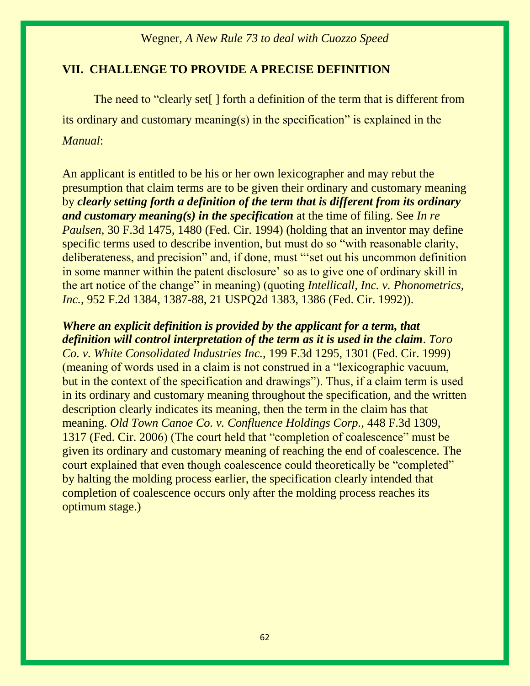#### **VII. CHALLENGE TO PROVIDE A PRECISE DEFINITION**

The need to "clearly set[ ] forth a definition of the term that is different from its ordinary and customary meaning(s) in the specification" is explained in the *Manual*:

An applicant is entitled to be his or her own lexicographer and may rebut the presumption that claim terms are to be given their ordinary and customary meaning by *clearly setting forth a definition of the term that is different from its ordinary and customary meaning(s) in the specification* at the time of filing. See *In re Paulsen,* 30 F.3d 1475, 1480 (Fed. Cir. 1994) (holding that an inventor may define specific terms used to describe invention, but must do so "with reasonable clarity, deliberateness, and precision" and, if done, must "'set out his uncommon definition in some manner within the patent disclosure' so as to give one of ordinary skill in the art notice of the change" in meaning) (quoting *Intellicall, Inc. v. Phonometrics, Inc.,* 952 F.2d 1384, 1387-88, 21 USPQ2d 1383, 1386 (Fed. Cir. 1992)).

*Where an explicit definition is provided by the applicant for a term, that definition will control interpretation of the term as it is used in the claim*. *Toro Co. v. White Consolidated Industries Inc.,* 199 F.3d 1295, 1301 (Fed. Cir. 1999) (meaning of words used in a claim is not construed in a "lexicographic vacuum, but in the context of the specification and drawings"). Thus, if a claim term is used in its ordinary and customary meaning throughout the specification, and the written description clearly indicates its meaning, then the term in the claim has that meaning. *Old Town Canoe Co. v. Confluence Holdings Corp.,* 448 F.3d 1309, 1317 (Fed. Cir. 2006) (The court held that "completion of coalescence" must be given its ordinary and customary meaning of reaching the end of coalescence. The court explained that even though coalescence could theoretically be "completed" by halting the molding process earlier, the specification clearly intended that completion of coalescence occurs only after the molding process reaches its optimum stage.)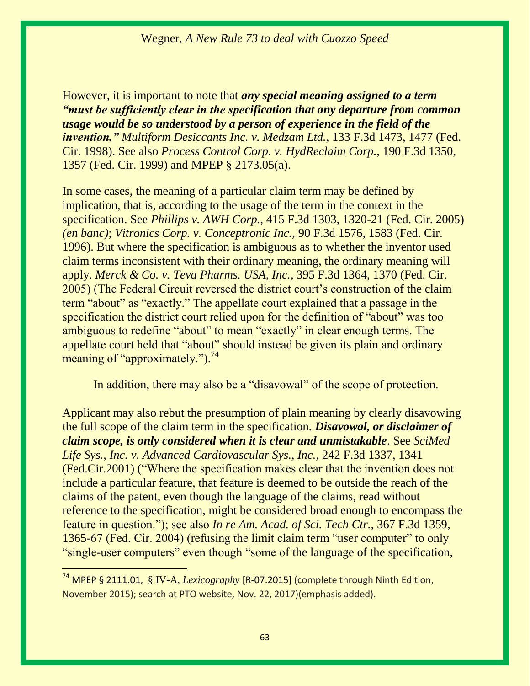However, it is important to note that *any special meaning assigned to a term "must be sufficiently clear in the specification that any departure from common usage would be so understood by a person of experience in the field of the invention." Multiform Desiccants Inc. v. Medzam Ltd.,* 133 F.3d 1473, 1477 (Fed. Cir. 1998). See also *Process Control Corp. v. HydReclaim Corp.,* 190 F.3d 1350, 1357 (Fed. Cir. 1999) and MPEP § [2173.05\(a\).](https://www.uspto.gov/web/offices/pac/mpep/s2173.html#d0e217839)

In some cases, the meaning of a particular claim term may be defined by implication, that is, according to the usage of the term in the context in the specification. See *Phillips v. AWH Corp.,* 415 F.3d 1303, 1320-21 (Fed. Cir. 2005) *(en banc)*; *Vitronics Corp. v. Conceptronic Inc.,* 90 F.3d 1576, 1583 (Fed. Cir. 1996). But where the specification is ambiguous as to whether the inventor used claim terms inconsistent with their ordinary meaning, the ordinary meaning will apply. *Merck & Co. v. Teva Pharms. USA, Inc.*, 395 F.3d 1364, 1370 (Fed. Cir. 2005) (The Federal Circuit reversed the district court's construction of the claim term "about" as "exactly." The appellate court explained that a passage in the specification the district court relied upon for the definition of "about" was too ambiguous to redefine "about" to mean "exactly" in clear enough terms. The appellate court held that "about" should instead be given its plain and ordinary meaning of "approximately."). $^{74}$ 

In addition, there may also be a "disavowal" of the scope of protection.

Applicant may also rebut the presumption of plain meaning by clearly disavowing the full scope of the claim term in the specification. *Disavowal, or disclaimer of claim scope, is only considered when it is clear and unmistakable*. See *SciMed Life Sys., Inc. v. Advanced Cardiovascular Sys., Inc.,* 242 F.3d 1337, 1341 (Fed.Cir.2001) ("Where the specification makes clear that the invention does not include a particular feature, that feature is deemed to be outside the reach of the claims of the patent, even though the language of the claims, read without reference to the specification, might be considered broad enough to encompass the feature in question."); see also *In re Am. Acad. of Sci. Tech Ctr.,* 367 F.3d 1359, 1365-67 (Fed. Cir. 2004) (refusing the limit claim term "user computer" to only "single-user computers" even though "some of the language of the specification,

<sup>&</sup>lt;sup>74</sup> MPEP § 2111.01, § IV-A, *Lexicography* [R-07.2015] (complete through Ninth Edition, November 2015); search at PTO website, Nov. 22, 2017)(emphasis added).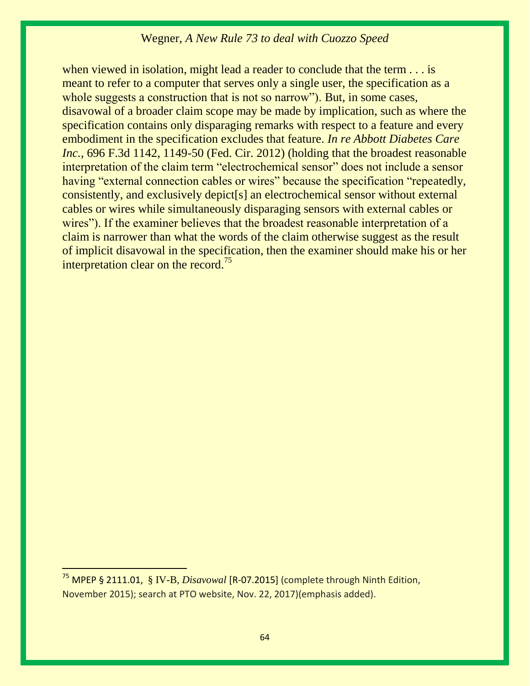when viewed in isolation, might lead a reader to conclude that the term . . . is meant to refer to a computer that serves only a single user, the specification as a whole suggests a construction that is not so narrow"). But, in some cases, disavowal of a broader claim scope may be made by implication, such as where the specification contains only disparaging remarks with respect to a feature and every embodiment in the specification excludes that feature. *In re Abbott Diabetes Care Inc.*, 696 F.3d 1142, 1149-50 (Fed. Cir. 2012) (holding that the broadest reasonable interpretation of the claim term "electrochemical sensor" does not include a sensor having "external connection cables or wires" because the specification "repeatedly, consistently, and exclusively depict[s] an electrochemical sensor without external cables or wires while simultaneously disparaging sensors with external cables or wires"). If the examiner believes that the broadest reasonable interpretation of a claim is narrower than what the words of the claim otherwise suggest as the result of implicit disavowal in the specification, then the examiner should make his or her interpretation clear on the record.<sup>75</sup>

<sup>&</sup>lt;sup>75</sup> MPEP § 2111.01, § IV-B, *Disavowal* [R-07.2015] (complete through Ninth Edition, November 2015); search at PTO website, Nov. 22, 2017)(emphasis added).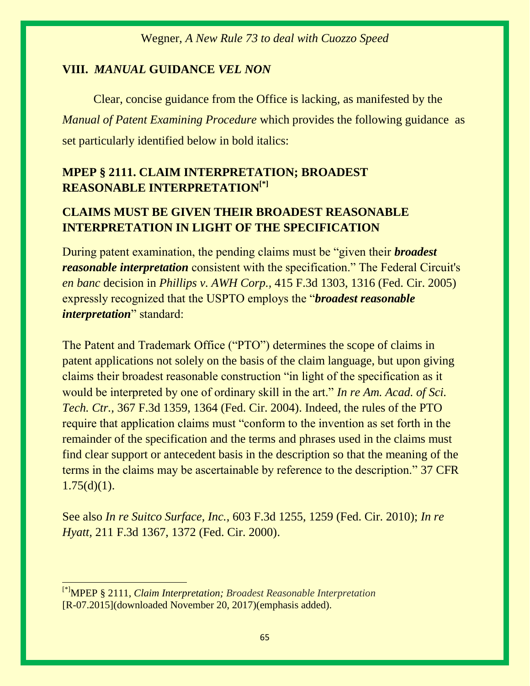#### **VIII.** *MANUAL* **GUIDANCE** *VEL NON*

Clear, concise guidance from the Office is lacking, as manifested by the *Manual of Patent Examining Procedure* which provides the following guidance as set particularly identified below in bold italics:

# **MPEP § 2111. CLAIM INTERPRETATION; BROADEST REASONABLE INTERPRETATION[\*]**

# **CLAIMS MUST BE GIVEN THEIR BROADEST REASONABLE INTERPRETATION IN LIGHT OF THE SPECIFICATION**

During patent examination, the pending claims must be "given their *broadest reasonable interpretation* consistent with the specification." The Federal Circuit's *en banc* decision in *Phillips v. AWH Corp.,* [415 F.3d 1303, 1316 \(Fed. Cir. 2005\)](https://1.next.westlaw.com/Link/Document/FullText?findType=Y&serNum=2006931523&pubNum=0000506&originatingDoc=Ida8feb95f1bf11e598dc8b09b4f043e0&refType=RP&fi=co_pp_sp_506_1316&originationContext=document&transitionType=DocumentItem&contextData=(sc.Search)#co_pp_sp_506_1316) expressly recognized that the USPTO employs the "*broadest reasonable interpretation*" standard:

The Patent and Trademark Office ("PTO") determines the scope of claims in patent applications not solely on the basis of the claim language, but upon giving claims their broadest reasonable construction "in light of the specification as it would be interpreted by one of ordinary skill in the art." *In re [Am. Acad. of Sci.](https://1.next.westlaw.com/Link/Document/FullText?findType=Y&serNum=2004468243&pubNum=0000506&originatingDoc=Ida8feb95f1bf11e598dc8b09b4f043e0&refType=RP&fi=co_pp_sp_506_1364&originationContext=document&transitionType=DocumentItem&contextData=(sc.Search)#co_pp_sp_506_1364)  Tech. Ctr.,* [367 F.3d 1359, 1364 \(Fed. Cir. 2004\).](https://1.next.westlaw.com/Link/Document/FullText?findType=Y&serNum=2004468243&pubNum=0000506&originatingDoc=Ida8feb95f1bf11e598dc8b09b4f043e0&refType=RP&fi=co_pp_sp_506_1364&originationContext=document&transitionType=DocumentItem&contextData=(sc.Search)#co_pp_sp_506_1364) Indeed, the rules of the PTO require that application claims must "conform to the invention as set forth in the remainder of the specification and the terms and phrases used in the claims must find clear support or antecedent basis in the description so that the meaning of the terms in the claims may be ascertainable by reference to the description." [37 CFR](https://1.next.westlaw.com/Link/Document/FullText?findType=L&pubNum=1000547&cite=37CFRS1.75&originatingDoc=Ida8feb95f1bf11e598dc8b09b4f043e0&refType=RB&originationContext=document&transitionType=DocumentItem&contextData=(sc.Search)#co_pp_e07e0000a9f57)   $1.75(d)(1)$ .

See also *In re Suitco Surface, Inc.,* [603 F.3d 1255, 1259 \(Fed. Cir. 2010\);](https://1.next.westlaw.com/Link/Document/FullText?findType=Y&serNum=2021750064&pubNum=0000506&originatingDoc=Ida8feb95f1bf11e598dc8b09b4f043e0&refType=RP&fi=co_pp_sp_506_1259&originationContext=document&transitionType=DocumentItem&contextData=(sc.Search)#co_pp_sp_506_1259) *[In re](https://1.next.westlaw.com/Link/Document/FullText?findType=Y&serNum=2000308067&pubNum=0000506&originatingDoc=Ida8feb95f1bf11e598dc8b09b4f043e0&refType=RP&fi=co_pp_sp_506_1372&originationContext=document&transitionType=DocumentItem&contextData=(sc.Search)#co_pp_sp_506_1372)  Hyatt,* [211 F.3d 1367, 1372 \(Fed. Cir. 2000\).](https://1.next.westlaw.com/Link/Document/FullText?findType=Y&serNum=2000308067&pubNum=0000506&originatingDoc=Ida8feb95f1bf11e598dc8b09b4f043e0&refType=RP&fi=co_pp_sp_506_1372&originationContext=document&transitionType=DocumentItem&contextData=(sc.Search)#co_pp_sp_506_1372)

<sup>[\*]</sup>MPEP § 2111, *Claim Interpretation; Broadest Reasonable Interpretation* [R-07.2015](downloaded November 20, 2017)(emphasis added).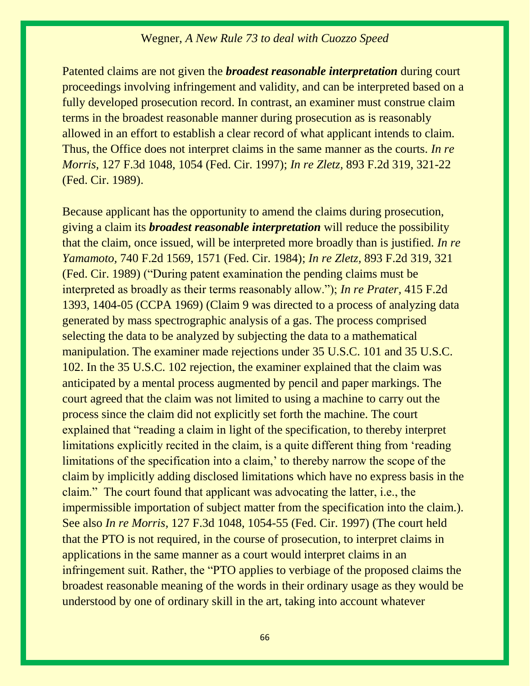Patented claims are not given the *broadest reasonable interpretation* during court proceedings involving infringement and validity, and can be interpreted based on a fully developed prosecution record. In contrast, an examiner must construe claim terms in the broadest reasonable manner during prosecution as is reasonably allowed in an effort to establish a clear record of what applicant intends to claim. Thus, the Office does not interpret claims in the same manner as the courts. *[In re](https://1.next.westlaw.com/Link/Document/FullText?findType=Y&serNum=1997186883&pubNum=0000506&originatingDoc=Ida8feb95f1bf11e598dc8b09b4f043e0&refType=RP&fi=co_pp_sp_506_1054&originationContext=document&transitionType=DocumentItem&contextData=(sc.Search)#co_pp_sp_506_1054)  Morris,* [127 F.3d 1048, 1054 \(Fed. Cir. 1997\);](https://1.next.westlaw.com/Link/Document/FullText?findType=Y&serNum=1997186883&pubNum=0000506&originatingDoc=Ida8feb95f1bf11e598dc8b09b4f043e0&refType=RP&fi=co_pp_sp_506_1054&originationContext=document&transitionType=DocumentItem&contextData=(sc.Search)#co_pp_sp_506_1054) *In re Zletz,* [893 F.2d 319, 321-22](https://1.next.westlaw.com/Link/Document/FullText?findType=Y&serNum=1990014746&pubNum=0000350&originatingDoc=Ida8feb95f1bf11e598dc8b09b4f043e0&refType=RP&fi=co_pp_sp_350_321&originationContext=document&transitionType=DocumentItem&contextData=(sc.Search)#co_pp_sp_350_321)  [\(Fed. Cir. 1989\).](https://1.next.westlaw.com/Link/Document/FullText?findType=Y&serNum=1990014746&pubNum=0000350&originatingDoc=Ida8feb95f1bf11e598dc8b09b4f043e0&refType=RP&fi=co_pp_sp_350_321&originationContext=document&transitionType=DocumentItem&contextData=(sc.Search)#co_pp_sp_350_321)

Because applicant has the opportunity to amend the claims during prosecution, giving a claim its *broadest reasonable interpretation* will reduce the possibility that the claim, once issued, will be interpreted more broadly than is justified. *[In re](https://1.next.westlaw.com/Link/Document/FullText?findType=Y&serNum=1984138738&pubNum=0000350&originatingDoc=Ida8feb95f1bf11e598dc8b09b4f043e0&refType=RP&fi=co_pp_sp_350_1571&originationContext=document&transitionType=DocumentItem&contextData=(sc.Search)#co_pp_sp_350_1571)  Yamamoto,* [740 F.2d 1569, 1571 \(Fed. Cir. 1984\);](https://1.next.westlaw.com/Link/Document/FullText?findType=Y&serNum=1984138738&pubNum=0000350&originatingDoc=Ida8feb95f1bf11e598dc8b09b4f043e0&refType=RP&fi=co_pp_sp_350_1571&originationContext=document&transitionType=DocumentItem&contextData=(sc.Search)#co_pp_sp_350_1571) *In re Zletz,* [893 F.2d 319, 321](https://1.next.westlaw.com/Link/Document/FullText?findType=Y&serNum=1990014746&pubNum=0000350&originatingDoc=Ida8feb95f1bf11e598dc8b09b4f043e0&refType=RP&fi=co_pp_sp_350_321&originationContext=document&transitionType=DocumentItem&contextData=(sc.Search)#co_pp_sp_350_321)  [\(Fed. Cir. 1989\)](https://1.next.westlaw.com/Link/Document/FullText?findType=Y&serNum=1990014746&pubNum=0000350&originatingDoc=Ida8feb95f1bf11e598dc8b09b4f043e0&refType=RP&fi=co_pp_sp_350_321&originationContext=document&transitionType=DocumentItem&contextData=(sc.Search)#co_pp_sp_350_321) ("During patent examination the pending claims must be interpreted as broadly as their terms reasonably allow."); *In re Prater,* [415 F.2d](https://1.next.westlaw.com/Link/Document/FullText?findType=Y&serNum=1969105492&pubNum=0000350&originatingDoc=Ida8feb95f1bf11e598dc8b09b4f043e0&refType=RP&fi=co_pp_sp_350_1404&originationContext=document&transitionType=DocumentItem&contextData=(sc.Search)#co_pp_sp_350_1404)  [1393, 1404-05 \(CCPA 1969\)](https://1.next.westlaw.com/Link/Document/FullText?findType=Y&serNum=1969105492&pubNum=0000350&originatingDoc=Ida8feb95f1bf11e598dc8b09b4f043e0&refType=RP&fi=co_pp_sp_350_1404&originationContext=document&transitionType=DocumentItem&contextData=(sc.Search)#co_pp_sp_350_1404) (Claim 9 was directed to a process of analyzing data generated by mass spectrographic analysis of a gas. The process comprised selecting the data to be analyzed by subjecting the data to a mathematical manipulation. The examiner made rejections under [35 U.S.C. 101](https://1.next.westlaw.com/Link/Document/FullText?findType=L&pubNum=1000546&cite=35USCAS101&originatingDoc=Ida8feb95f1bf11e598dc8b09b4f043e0&refType=LQ&originationContext=document&transitionType=DocumentItem&contextData=(sc.Search)) and [35 U.S.C.](https://1.next.westlaw.com/Link/Document/FullText?findType=L&pubNum=1000546&cite=35USCAS102&originatingDoc=Ida8feb95f1bf11e598dc8b09b4f043e0&refType=LQ&originationContext=document&transitionType=DocumentItem&contextData=(sc.Search))  [102.](https://1.next.westlaw.com/Link/Document/FullText?findType=L&pubNum=1000546&cite=35USCAS102&originatingDoc=Ida8feb95f1bf11e598dc8b09b4f043e0&refType=LQ&originationContext=document&transitionType=DocumentItem&contextData=(sc.Search)) In the [35 U.S.C. 102](https://1.next.westlaw.com/Link/Document/FullText?findType=L&pubNum=1000546&cite=35USCAS102&originatingDoc=Ida8feb95f1bf11e598dc8b09b4f043e0&refType=LQ&originationContext=document&transitionType=DocumentItem&contextData=(sc.Search)) rejection, the examiner explained that the claim was anticipated by a mental process augmented by pencil and paper markings. The court agreed that the claim was not limited to using a machine to carry out the process since the claim did not explicitly set forth the machine. The court explained that "reading a claim in light of the specification, to thereby interpret limitations explicitly recited in the claim, is a quite different thing from 'reading limitations of the specification into a claim,' to thereby narrow the scope of the claim by implicitly adding disclosed limitations which have no express basis in the claim." The court found that applicant was advocating the latter, i.e., the impermissible importation of subject matter from the specification into the claim.). See also *In re Morris,* [127 F.3d 1048, 1054-55 \(Fed. Cir. 1997\)](https://1.next.westlaw.com/Link/Document/FullText?findType=Y&serNum=1997186883&pubNum=0000506&originatingDoc=Ida8feb95f1bf11e598dc8b09b4f043e0&refType=RP&fi=co_pp_sp_506_1054&originationContext=document&transitionType=DocumentItem&contextData=(sc.Search)#co_pp_sp_506_1054) (The court held that the PTO is not required, in the course of prosecution, to interpret claims in applications in the same manner as a court would interpret claims in an infringement suit. Rather, the "PTO applies to verbiage of the proposed claims the broadest reasonable meaning of the words in their ordinary usage as they would be understood by one of ordinary skill in the art, taking into account whatever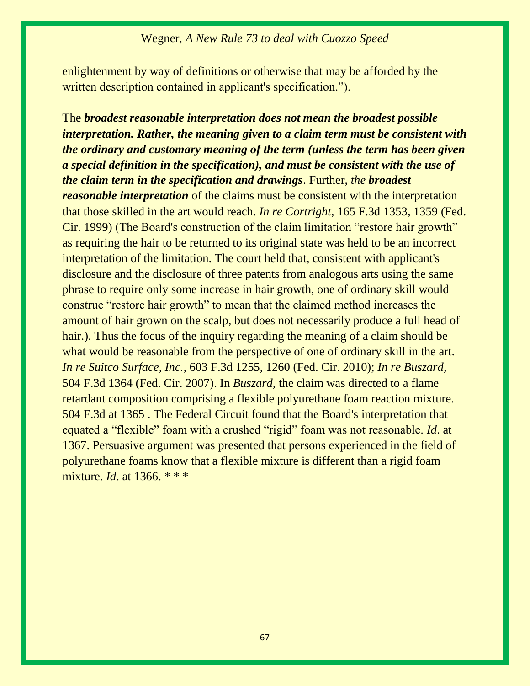enlightenment by way of definitions or otherwise that may be afforded by the written description contained in applicant's specification.").

The *broadest reasonable interpretation does not mean the broadest possible interpretation. Rather, the meaning given to a claim term must be consistent with the ordinary and customary meaning of the term (unless the term has been given a special definition in the specification), and must be consistent with the use of the claim term in the specification and drawings*. Further, *the broadest reasonable interpretation* of the claims must be consistent with the interpretation that those skilled in the art would reach. *In re Cortright,* [165 F.3d 1353, 1359 \(Fed.](https://1.next.westlaw.com/Link/Document/FullText?findType=Y&serNum=1999034601&pubNum=0000506&originatingDoc=Ida8feb95f1bf11e598dc8b09b4f043e0&refType=RP&fi=co_pp_sp_506_1359&originationContext=document&transitionType=DocumentItem&contextData=(sc.Search)#co_pp_sp_506_1359)  [Cir. 1999\)](https://1.next.westlaw.com/Link/Document/FullText?findType=Y&serNum=1999034601&pubNum=0000506&originatingDoc=Ida8feb95f1bf11e598dc8b09b4f043e0&refType=RP&fi=co_pp_sp_506_1359&originationContext=document&transitionType=DocumentItem&contextData=(sc.Search)#co_pp_sp_506_1359) (The Board's construction of the claim limitation "restore hair growth" as requiring the hair to be returned to its original state was held to be an incorrect interpretation of the limitation. The court held that, consistent with applicant's disclosure and the disclosure of three patents from analogous arts using the same phrase to require only some increase in hair growth, one of ordinary skill would construe "restore hair growth" to mean that the claimed method increases the amount of hair grown on the scalp, but does not necessarily produce a full head of hair.). Thus the focus of the inquiry regarding the meaning of a claim should be what would be reasonable from the perspective of one of ordinary skill in the art. *In re Suitco Surface, Inc.,* [603 F.3d 1255, 1260 \(Fed. Cir. 2010\);](https://1.next.westlaw.com/Link/Document/FullText?findType=Y&serNum=2021750064&pubNum=0000506&originatingDoc=Ida8feb95f1bf11e598dc8b09b4f043e0&refType=RP&fi=co_pp_sp_506_1260&originationContext=document&transitionType=DocumentItem&contextData=(sc.Search)#co_pp_sp_506_1260) *[In re Buszard,](https://1.next.westlaw.com/Link/Document/FullText?findType=Y&serNum=2013277495&pubNum=0000506&originatingDoc=Ida8feb95f1bf11e598dc8b09b4f043e0&refType=RP&originationContext=document&transitionType=DocumentItem&contextData=(sc.Search))* [504 F.3d 1364 \(Fed. Cir. 2007\).](https://1.next.westlaw.com/Link/Document/FullText?findType=Y&serNum=2013277495&pubNum=0000506&originatingDoc=Ida8feb95f1bf11e598dc8b09b4f043e0&refType=RP&originationContext=document&transitionType=DocumentItem&contextData=(sc.Search)) In *Buszard,* the claim was directed to a flame retardant composition comprising a flexible polyurethane foam reaction mixture. [504 F.3d at 1365](https://1.next.westlaw.com/Link/Document/FullText?findType=Y&serNum=2013277495&pubNum=0000506&originatingDoc=Ida8feb95f1bf11e598dc8b09b4f043e0&refType=RP&fi=co_pp_sp_506_1365&originationContext=document&transitionType=DocumentItem&contextData=(sc.Search)#co_pp_sp_506_1365) . The Federal Circuit found that the Board's interpretation that equated a "flexible" foam with a crushed "rigid" foam was not reasonable. *Id*[. at](https://1.next.westlaw.com/Link/Document/FullText?findType=Y&serNum=2013277495&pubNum=0001013&originatingDoc=Ida8feb95f1bf11e598dc8b09b4f043e0&refType=RP&fi=co_pp_sp_1013_1751&originationContext=document&transitionType=DocumentItem&contextData=(sc.Search)#co_pp_sp_1013_1751)  [1367.](https://1.next.westlaw.com/Link/Document/FullText?findType=Y&serNum=2013277495&pubNum=0001013&originatingDoc=Ida8feb95f1bf11e598dc8b09b4f043e0&refType=RP&fi=co_pp_sp_1013_1751&originationContext=document&transitionType=DocumentItem&contextData=(sc.Search)#co_pp_sp_1013_1751) Persuasive argument was presented that persons experienced in the field of polyurethane foams know that a flexible mixture is different than a rigid foam mixture. *Id*[. at 1366.](https://1.next.westlaw.com/Link/Document/FullText?findType=Y&serNum=2013277495&pubNum=0001013&originatingDoc=Ida8feb95f1bf11e598dc8b09b4f043e0&refType=RP&fi=co_pp_sp_1013_1751&originationContext=document&transitionType=DocumentItem&contextData=(sc.Search)#co_pp_sp_1013_1751) \* \* \*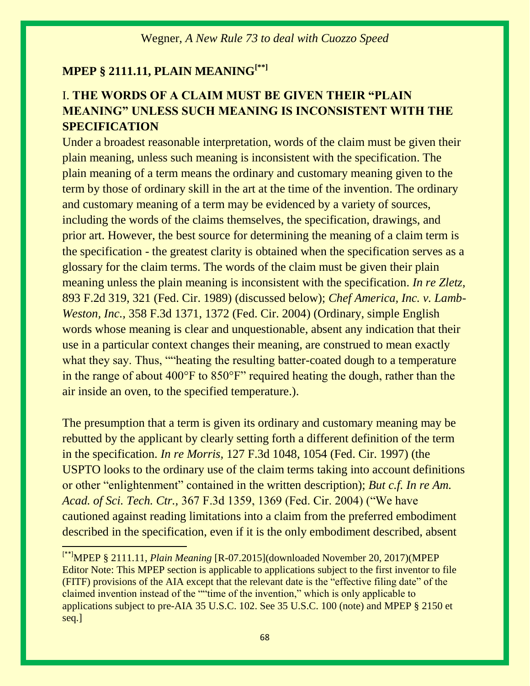# **MPEP § 2111.11, PLAIN MEANING[\*\*]**

# I. **THE WORDS OF A CLAIM MUST BE GIVEN THEIR "PLAIN MEANING" UNLESS SUCH MEANING IS INCONSISTENT WITH THE SPECIFICATION**

Under a broadest reasonable interpretation, words of the claim must be given their plain meaning, unless such meaning is inconsistent with the specification. The plain meaning of a term means the ordinary and customary meaning given to the term by those of ordinary skill in the art at the time of the invention. The ordinary and customary meaning of a term may be evidenced by a variety of sources, including the words of the claims themselves, the specification, drawings, and prior art. However, the best source for determining the meaning of a claim term is the specification - the greatest clarity is obtained when the specification serves as a glossary for the claim terms. The words of the claim must be given their plain meaning unless the plain meaning is inconsistent with the specification. *[In re Zletz,](https://1.next.westlaw.com/Link/Document/FullText?findType=Y&serNum=1990014746&pubNum=0000350&originatingDoc=Ida8feb97f1bf11e598dc8b09b4f043e0&refType=RP&fi=co_pp_sp_350_321&originationContext=document&transitionType=DocumentItem&contextData=(sc.Search)#co_pp_sp_350_321)* [893 F.2d 319, 321 \(Fed. Cir. 1989\)](https://1.next.westlaw.com/Link/Document/FullText?findType=Y&serNum=1990014746&pubNum=0000350&originatingDoc=Ida8feb97f1bf11e598dc8b09b4f043e0&refType=RP&fi=co_pp_sp_350_321&originationContext=document&transitionType=DocumentItem&contextData=(sc.Search)#co_pp_sp_350_321) (discussed below); *[Chef America, Inc. v. Lamb-](https://1.next.westlaw.com/Link/Document/FullText?findType=Y&serNum=2004149535&pubNum=0000506&originatingDoc=Ida8feb97f1bf11e598dc8b09b4f043e0&refType=RP&fi=co_pp_sp_506_1372&originationContext=document&transitionType=DocumentItem&contextData=(sc.Search)#co_pp_sp_506_1372)Weston, Inc.,* [358 F.3d 1371, 1372 \(Fed. Cir. 2004\)](https://1.next.westlaw.com/Link/Document/FullText?findType=Y&serNum=2004149535&pubNum=0000506&originatingDoc=Ida8feb97f1bf11e598dc8b09b4f043e0&refType=RP&fi=co_pp_sp_506_1372&originationContext=document&transitionType=DocumentItem&contextData=(sc.Search)#co_pp_sp_506_1372) (Ordinary, simple English words whose meaning is clear and unquestionable, absent any indication that their use in a particular context changes their meaning, are construed to mean exactly what they say. Thus, ""heating the resulting batter-coated dough to a temperature in the range of about 400°F to 850°F" required heating the dough, rather than the air inside an oven, to the specified temperature.).

The presumption that a term is given its ordinary and customary meaning may be rebutted by the applicant by clearly setting forth a different definition of the term in the specification. *In re Morris,* 127 F.3d 1048, 1054 (Fed. Cir. 1997) (the USPTO looks to the ordinary use of the claim terms taking into account definitions or other "enlightenment" contained in the written description); *But c.f. In re Am. Acad. of Sci. Tech. Ctr.,* 367 F.3d 1359, 1369 (Fed. Cir. 2004) ("We have cautioned against reading limitations into a claim from the preferred embodiment described in the specification, even if it is the only embodiment described, absent

<sup>[\*\*]</sup>MPEP § 2111.11, *Plain Meaning* [R-07.2015](downloaded November 20, 2017)(MPEP Editor Note: This MPEP section is applicable to applications subject to the first inventor to file (FITF) provisions of the AIA except that the relevant date is the "effective filing date" of the claimed invention instead of the ""time of the invention," which is only applicable to applications subject to pre-AIA [35 U.S.C. 102.](https://1.next.westlaw.com/Link/Document/FullText?findType=L&pubNum=1000546&cite=35USCAS102&originatingDoc=Ida8feb97f1bf11e598dc8b09b4f043e0&refType=LQ&originationContext=document&transitionType=DocumentItem&contextData=(sc.Search)) See [35 U.S.C. 100 \(note\)](https://1.next.westlaw.com/Link/Document/FullText?findType=L&pubNum=1000546&cite=35USCAS100&originatingDoc=Ida8feb97f1bf11e598dc8b09b4f043e0&refType=LQ&originationContext=document&transitionType=DocumentItem&contextData=(sc.Search)) and [MPEP § 2150 et](https://1.next.westlaw.com/Link/Document/FullText?findType=Y&pubNum=1015320&cite=MPEPs2150&originatingDoc=Ida8feb97f1bf11e598dc8b09b4f043e0&refType=TS&originationContext=document&transitionType=DocumentItem&contextData=(sc.Search))  [seq.\]](https://1.next.westlaw.com/Link/Document/FullText?findType=Y&pubNum=1015320&cite=MPEPs2150&originatingDoc=Ida8feb97f1bf11e598dc8b09b4f043e0&refType=TS&originationContext=document&transitionType=DocumentItem&contextData=(sc.Search))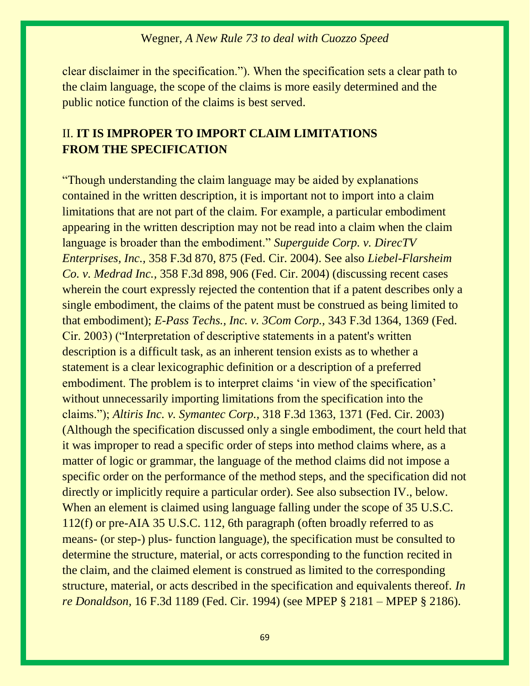clear disclaimer in the specification."). When the specification sets a clear path to the claim language, the scope of the claims is more easily determined and the public notice function of the claims is best served.

# II. **IT IS IMPROPER TO IMPORT CLAIM LIMITATIONS FROM THE SPECIFICATION**

"Though understanding the claim language may be aided by explanations contained in the written description, it is important not to import into a claim limitations that are not part of the claim. For example, a particular embodiment appearing in the written description may not be read into a claim when the claim language is broader than the embodiment." *Superguide Corp. v. DirecTV Enterprises, Inc.,* 358 F.3d 870, 875 (Fed. Cir. 2004). See also *Liebel-Flarsheim Co. v. Medrad Inc.,* 358 F.3d 898, 906 (Fed. Cir. 2004) (discussing recent cases wherein the court expressly rejected the contention that if a patent describes only a single embodiment, the claims of the patent must be construed as being limited to that embodiment); *E-Pass Techs., Inc. v. 3Com Corp.,* 343 F.3d 1364, 1369 (Fed. Cir. 2003) ("Interpretation of descriptive statements in a patent's written description is a difficult task, as an inherent tension exists as to whether a statement is a clear lexicographic definition or a description of a preferred embodiment. The problem is to interpret claims 'in view of the specification' without unnecessarily importing limitations from the specification into the claims."); *Altiris Inc. v. Symantec Corp.,* 318 F.3d 1363, 1371 (Fed. Cir. 2003) (Although the specification discussed only a single embodiment, the court held that it was improper to read a specific order of steps into method claims where, as a matter of logic or grammar, the language of the method claims did not impose a specific order on the performance of the method steps, and the specification did not directly or implicitly require a particular order). See also subsection IV., below. When an element is claimed using language falling under the scope of 35 U.S.C. 112(f) or pre-AIA 35 U.S.C. 112, 6th paragraph (often broadly referred to as means- (or step-) plus- function language), the specification must be consulted to determine the structure, material, or acts corresponding to the function recited in the claim, and the claimed element is construed as limited to the corresponding structure, material, or acts described in the specification and equivalents thereof. *In re Donaldson,* 16 F.3d 1189 (Fed. Cir. 1994) (see MPEP § 2181 – MPEP § 2186).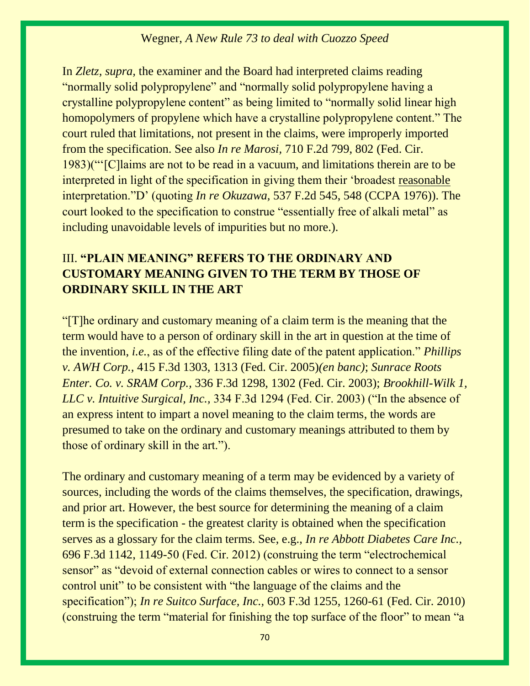In *Zletz, supra,* the examiner and the Board had interpreted claims reading "normally solid polypropylene" and "normally solid polypropylene having a crystalline polypropylene content" as being limited to "normally solid linear high homopolymers of propylene which have a crystalline polypropylene content." The court ruled that limitations, not present in the claims, were improperly imported from the specification. See also *In re Marosi,* 710 F.2d 799, 802 (Fed. Cir. 1983)("'[C]laims are not to be read in a vacuum, and limitations therein are to be interpreted in light of the specification in giving them their 'broadest reasonable interpretation."D' (quoting *In re Okuzawa,* 537 F.2d 545, 548 (CCPA 1976)). The court looked to the specification to construe "essentially free of alkali metal" as including unavoidable levels of impurities but no more.).

# III. **"PLAIN MEANING" REFERS TO THE ORDINARY AND CUSTOMARY MEANING GIVEN TO THE TERM BY THOSE OF ORDINARY SKILL IN THE ART**

"[T]he ordinary and customary meaning of a claim term is the meaning that the term would have to a person of ordinary skill in the art in question at the time of the invention, *i.e.*, as of the effective filing date of the patent application." *Phillips v. AWH Corp.,* 415 F.3d 1303, 1313 (Fed. Cir. 2005)*(en banc)*; *Sunrace Roots Enter. Co. v. SRAM Corp.,* 336 F.3d 1298, 1302 (Fed. Cir. 2003); *Brookhill-Wilk 1, LLC v. Intuitive Surgical, Inc.,* 334 F.3d 1294 (Fed. Cir. 2003) ("In the absence of an express intent to impart a novel meaning to the claim terms, the words are presumed to take on the ordinary and customary meanings attributed to them by those of ordinary skill in the art.").

The ordinary and customary meaning of a term may be evidenced by a variety of sources, including the words of the claims themselves, the specification, drawings, and prior art. However, the best source for determining the meaning of a claim term is the specification - the greatest clarity is obtained when the specification serves as a glossary for the claim terms. See, e.g., *In re Abbott Diabetes Care Inc.,* 696 F.3d 1142, 1149-50 (Fed. Cir. 2012) (construing the term "electrochemical sensor" as "devoid of external connection cables or wires to connect to a sensor control unit" to be consistent with "the language of the claims and the specification"); *In re Suitco Surface, Inc.,* 603 F.3d 1255, 1260-61 (Fed. Cir. 2010) (construing the term "material for finishing the top surface of the floor" to mean "a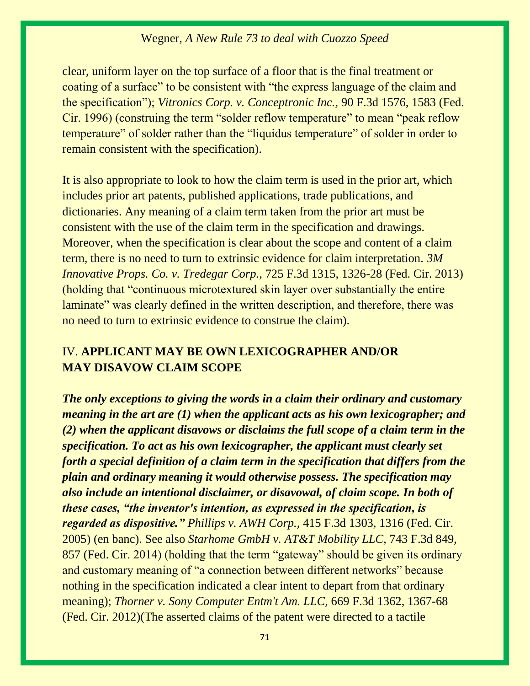clear, uniform layer on the top surface of a floor that is the final treatment or coating of a surface" to be consistent with "the express language of the claim and the specification"); *Vitronics Corp. v. Conceptronic Inc.,* 90 F.3d 1576, 1583 (Fed. Cir. 1996) (construing the term "solder reflow temperature" to mean "peak reflow temperature" of solder rather than the "liquidus temperature" of solder in order to remain consistent with the specification).

It is also appropriate to look to how the claim term is used in the prior art, which includes prior art patents, published applications, trade publications, and dictionaries. Any meaning of a claim term taken from the prior art must be consistent with the use of the claim term in the specification and drawings. Moreover, when the specification is clear about the scope and content of a claim term, there is no need to turn to extrinsic evidence for claim interpretation. *3M Innovative Props. Co. v. Tredegar Corp.,* 725 F.3d 1315, 1326-28 (Fed. Cir. 2013) (holding that "continuous microtextured skin layer over substantially the entire laminate" was clearly defined in the written description, and therefore, there was no need to turn to extrinsic evidence to construe the claim).

## IV. **APPLICANT MAY BE OWN LEXICOGRAPHER AND/OR MAY DISAVOW CLAIM SCOPE**

*The only exceptions to giving the words in a claim their ordinary and customary meaning in the art are (1) when the applicant acts as his own lexicographer; and (2) when the applicant disavows or disclaims the full scope of a claim term in the specification. To act as his own lexicographer, the applicant must clearly set forth a special definition of a claim term in the specification that differs from the plain and ordinary meaning it would otherwise possess. The specification may also include an intentional disclaimer, or disavowal, of claim scope. In both of these cases, "the inventor's intention, as expressed in the specification, is regarded as dispositive." Phillips v. AWH Corp.,* 415 F.3d 1303, 1316 (Fed. Cir. 2005) (en banc). See also *Starhome GmbH v. AT&T Mobility LLC,* 743 F.3d 849, 857 (Fed. Cir. 2014) (holding that the term "gateway" should be given its ordinary and customary meaning of "a connection between different networks" because nothing in the specification indicated a clear intent to depart from that ordinary meaning); *Thorner v. Sony Computer Entm't Am. LLC,* 669 F.3d 1362, 1367-68 (Fed. Cir. 2012)(The asserted claims of the patent were directed to a tactile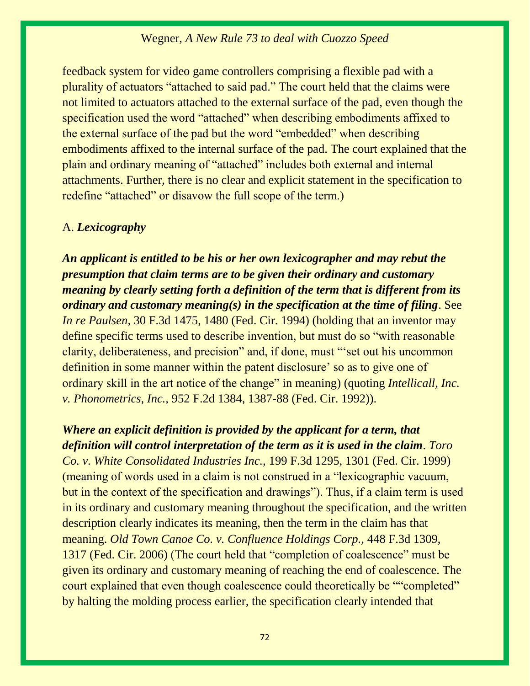feedback system for video game controllers comprising a flexible pad with a plurality of actuators "attached to said pad." The court held that the claims were not limited to actuators attached to the external surface of the pad, even though the specification used the word "attached" when describing embodiments affixed to the external surface of the pad but the word "embedded" when describing embodiments affixed to the internal surface of the pad. The court explained that the plain and ordinary meaning of "attached" includes both external and internal attachments. Further, there is no clear and explicit statement in the specification to redefine "attached" or disavow the full scope of the term.)

#### A. *Lexicography*

*An applicant is entitled to be his or her own lexicographer and may rebut the presumption that claim terms are to be given their ordinary and customary meaning by clearly setting forth a definition of the term that is different from its ordinary and customary meaning(s) in the specification at the time of filing*. See *In re Paulsen,* 30 F.3d 1475, 1480 (Fed. Cir. 1994) (holding that an inventor may define specific terms used to describe invention, but must do so "with reasonable clarity, deliberateness, and precision" and, if done, must "'set out his uncommon definition in some manner within the patent disclosure' so as to give one of ordinary skill in the art notice of the change" in meaning) (quoting *Intellicall, Inc. v. Phonometrics, Inc.,* 952 F.2d 1384, 1387-88 (Fed. Cir. 1992)).

# *Where an explicit definition is provided by the applicant for a term, that definition will control interpretation of the term as it is used in the claim*. *Toro*

*Co. v. White Consolidated Industries Inc.,* 199 F.3d 1295, 1301 (Fed. Cir. 1999) (meaning of words used in a claim is not construed in a "lexicographic vacuum, but in the context of the specification and drawings"). Thus, if a claim term is used in its ordinary and customary meaning throughout the specification, and the written description clearly indicates its meaning, then the term in the claim has that meaning. *Old Town Canoe Co. v. Confluence Holdings Corp.,* 448 F.3d 1309, 1317 (Fed. Cir. 2006) (The court held that "completion of coalescence" must be given its ordinary and customary meaning of reaching the end of coalescence. The court explained that even though coalescence could theoretically be ""completed" by halting the molding process earlier, the specification clearly intended that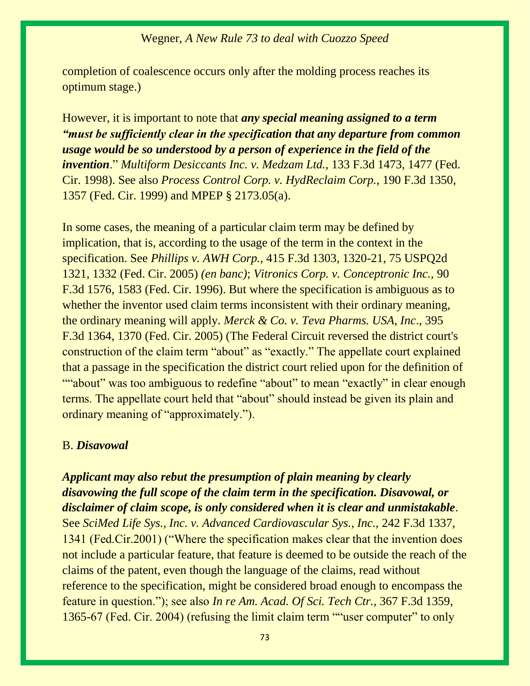## Wegner, *A New Rule 73 to deal with Cuozzo Speed*

completion of coalescence occurs only after the molding process reaches its optimum stage.)

However, it is important to note that *any special meaning assigned to a term "must be sufficiently clear in the specification that any departure from common usage would be so understood by a person of experience in the field of the invention*." *Multiform Desiccants Inc. v. Medzam Ltd.,* 133 F.3d 1473, 1477 (Fed. Cir. 1998). See also *Process Control Corp. v. HydReclaim Corp.,* 190 F.3d 1350, 1357 (Fed. Cir. 1999) and MPEP § 2173.05(a).

In some cases, the meaning of a particular claim term may be defined by implication, that is, according to the usage of the term in the context in the specification. See *Phillips v. AWH Corp.,* 415 F.3d 1303, 1320-21, 75 USPQ2d 1321, 1332 (Fed. Cir. 2005) *(en banc)*; *Vitronics Corp. v. Conceptronic Inc.,* 90 F.3d 1576, 1583 (Fed. Cir. 1996). But where the specification is ambiguous as to whether the inventor used claim terms inconsistent with their ordinary meaning, the ordinary meaning will apply. *Merck & Co. v. Teva Pharms. USA, Inc*., 395 F.3d 1364, 1370 (Fed. Cir. 2005) (The Federal Circuit reversed the district court's construction of the claim term "about" as "exactly." The appellate court explained that a passage in the specification the district court relied upon for the definition of ""about" was too ambiguous to redefine "about" to mean "exactly" in clear enough terms. The appellate court held that "about" should instead be given its plain and ordinary meaning of "approximately.").

#### B. *Disavowal*

*Applicant may also rebut the presumption of plain meaning by clearly disavowing the full scope of the claim term in the specification. Disavowal, or disclaimer of claim scope, is only considered when it is clear and unmistakable*. See *SciMed Life Sys., Inc. v. Advanced Cardiovascular Sys., Inc.,* 242 F.3d 1337, 1341 (Fed.Cir.2001) ("Where the specification makes clear that the invention does not include a particular feature, that feature is deemed to be outside the reach of the claims of the patent, even though the language of the claims, read without reference to the specification, might be considered broad enough to encompass the feature in question."); see also *In re Am. Acad. Of Sci. Tech Ctr.,* 367 F.3d 1359, 1365-67 (Fed. Cir. 2004) (refusing the limit claim term ""user computer" to only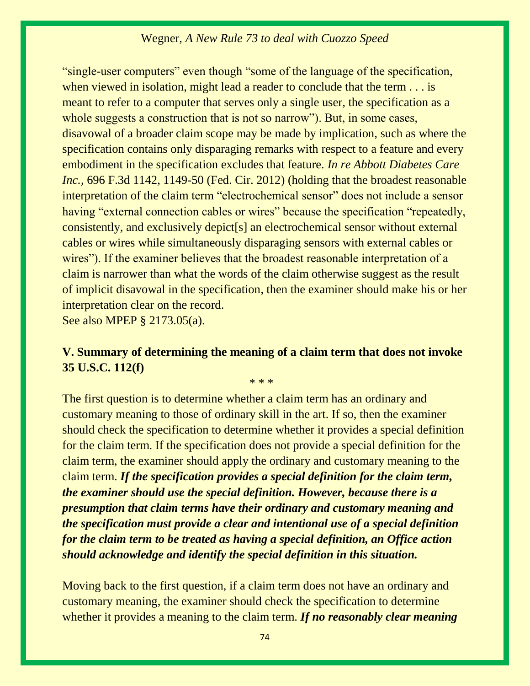## Wegner, *A New Rule 73 to deal with Cuozzo Speed*

"single-user computers" even though "some of the language of the specification, when viewed in isolation, might lead a reader to conclude that the term . . . is meant to refer to a computer that serves only a single user, the specification as a whole suggests a construction that is not so narrow"). But, in some cases, disavowal of a broader claim scope may be made by implication, such as where the specification contains only disparaging remarks with respect to a feature and every embodiment in the specification excludes that feature. *In re Abbott Diabetes Care Inc.*, 696 F.3d 1142, 1149-50 (Fed. Cir. 2012) (holding that the broadest reasonable interpretation of the claim term "electrochemical sensor" does not include a sensor having "external connection cables or wires" because the specification "repeatedly, consistently, and exclusively depict[s] an electrochemical sensor without external cables or wires while simultaneously disparaging sensors with external cables or wires"). If the examiner believes that the broadest reasonable interpretation of a claim is narrower than what the words of the claim otherwise suggest as the result of implicit disavowal in the specification, then the examiner should make his or her interpretation clear on the record.

See also MPEP § 2173.05(a).

# **V. Summary of determining the meaning of a claim term that does not invoke 35 U.S.C. 112(f)**

\* \* \*

The first question is to determine whether a claim term has an ordinary and customary meaning to those of ordinary skill in the art. If so, then the examiner should check the specification to determine whether it provides a special definition for the claim term. If the specification does not provide a special definition for the claim term, the examiner should apply the ordinary and customary meaning to the claim term. *If the specification provides a special definition for the claim term, the examiner should use the special definition. However, because there is a presumption that claim terms have their ordinary and customary meaning and the specification must provide a clear and intentional use of a special definition for the claim term to be treated as having a special definition, an Office action should acknowledge and identify the special definition in this situation.*

Moving back to the first question, if a claim term does not have an ordinary and customary meaning, the examiner should check the specification to determine whether it provides a meaning to the claim term. *If no reasonably clear meaning*